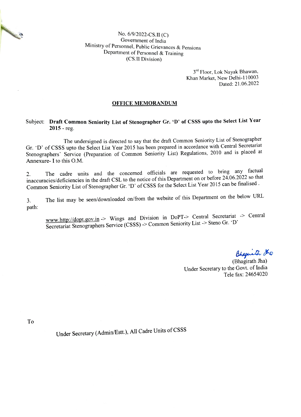No. 6/9/2022-CS.II (C) Government of India Ministry of Personnel, Public Grievances & Pensions Department of Personnel & Training (CS.II Division)

> 3rd Floor, Lok Nayak Bhawan, Khan Market, New Delhi-110003 Dated: 21.06.2022

## OFFICE MEMORANDUM

## Subject: Draft Common Seniority List of Stenographer Gr. 'D' of CSSS upto the Select List Year  $2015 - reg.$

The undersigned is directed to say that the draft Common Seniority List of Stenographer Gr. D' of CSSS upto the Select List Year 2015 has been prepared in accordance with Central Secretariat Stenographers' Service (Preparation of Common Seniority List) Regulations, 2010 and is placed at Annexure- I to this O.M.

The cadre units and the concerned officials are requested to bring any factual 2. The cadre units and the concerned officials are requested to the 24.06.2022 so that inaccuracies/deficiencies in the draft CSL to the notice of this Department on or before 24.06.2022 so that Common Seniority List of Stenographer Gr. 'D' of CSSS for the Select List Year 2015 can be finalised.

3. The list may be seen/downloaded on/from the website of this Department on the below URIL path:

www.http://dopt.gov.in -> Wings and Division in DoPT-> Central Secretariat -> Central Secretariat Stenographers Service (CSSS) ->Common Seniority List > Steno Gr. 'D'

Bhagueth 20

Under Secretary to the Govt. of India Tele fax: 24654020

To

No. of Cancer of Cancer of

Under Secretary (Admin/Estt.), All Cadre Units of CSSS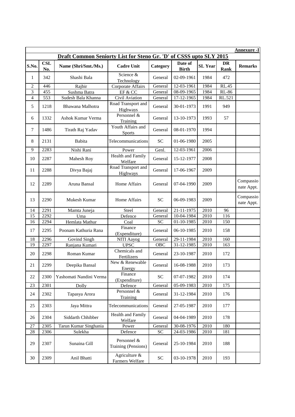|                  |                   |                                                                    |                                     |                            |                         |                |                   | <b>Annexure -I</b>      |
|------------------|-------------------|--------------------------------------------------------------------|-------------------------------------|----------------------------|-------------------------|----------------|-------------------|-------------------------|
|                  |                   | Draft Common Seniorty List for Steno Gr. 'D' of CSSS upto SLY 2015 |                                     |                            |                         |                |                   |                         |
| S.No.            | <b>CSL</b><br>No. | Name (Shri/Smt./Ms.)                                               | <b>Cadre Unit</b>                   | Category                   | Date of<br><b>Birth</b> | <b>SL</b> Year | DR<br><b>Rank</b> | <b>Remarks</b>          |
| 1                | 342               | Shashi Bala                                                        | Science &<br>Technology             | General                    | 02-09-1961              | 1984           | 472               |                         |
| $\overline{2}$   | 446               | Rajbir                                                             | Corporate Affairs                   | General                    | 12-03-1961              | 1984           | <b>RL.45</b>      |                         |
| 3                | 455               | Sushma Batra                                                       | EF & CC                             | General                    | 08-09-1965              | 1984           | <b>RL-86</b>      |                         |
| $\overline{4}$   | 553               | Sudesh Bala Khanna                                                 | Civil Aviation                      | General                    | 17-12-1965              | 1984           | RL.521            |                         |
| $\sqrt{5}$       | 1218              | Bhawana Malhotra                                                   | Road Transport and<br>Highways      | General                    | 30-01-1973              | 1991           | 949               |                         |
| 6                | 1332              | Ashok Kumar Verma                                                  | Personnel &<br>Training             | General                    | 13-10-1973              | 1993           | 57                |                         |
| $\boldsymbol{7}$ | 1486              | Tirath Raj Yadav                                                   | Youth Affairs and<br><b>Sports</b>  | General                    | 08-01-1970              | 1994           |                   |                         |
| $\,8\,$          | 2131              | Babita                                                             | Telecommunications                  | <b>SC</b>                  | 01-06-1980              | 2005           |                   |                         |
| 9                | 2283              | Nishi Rani                                                         | Power                               | Genl.                      | 12-03-1961              | 2006           |                   |                         |
| 10               | 2287              | Mahesh Roy                                                         | <b>Health and Family</b><br>Welfare | General                    | 15-12-1977              | 2008           |                   |                         |
| 11               | 2288              | Divya Bajaj                                                        | Road Transport and<br>Highways      | General                    | 17-06-1967              | 2009           |                   |                         |
| 12               | 2289              | Aruna Bansal                                                       | Home Affairs                        | General                    | 07-04-1990              | 2009           |                   | Compassio<br>nate Appt. |
| 13               | 2290              | Mukesh Kumar                                                       | Home Affairs                        | <b>SC</b>                  | 06-09-1983              | 2009           |                   | Compassio<br>nate Appt. |
| 14               | 2291              | Mamta Juneja                                                       | Steel                               | General                    | 21-11-1975              | 2010           | 96                |                         |
| 15               | 2292              | Uma                                                                | Defence                             | General                    | 10-04-1984              | 2010           | 116               |                         |
| 16               | 2294              | Hemlata Mathur                                                     | Coal                                | SC                         | 01-10-1985              | 2010           | 150               |                         |
| 17               | 2295              | Poonam Kathuria Rana                                               | Finance<br>(Expenditure)            | General                    | 06-10-1985              | 2010           | 158               |                         |
| 18               | 2296              | Govind Singh                                                       | NITI Aayog                          | General                    | 29-11-1984              | 2010           | 160               |                         |
| 19               | 2297              | Ranjana Kumari                                                     | <b>UPSC</b>                         | OBC                        | 31-12-1985              | 2010           | 163               |                         |
| 20               | 2298              | Roman Kumar                                                        | Chemicals and<br>Fertilizers        | General                    | 23-10-1987              | 2010           | 172               |                         |
| 21               | 2299              | Deepika Bansal                                                     | New & Renewable<br>Energy           | General                    | 16-08-1988              | 2010           | 173               |                         |
| 22               | 2300              | Yashomati Nandini Verma                                            | Finance<br>(Expenditure)            | <b>SC</b>                  | 07-07-1982              | 2010           | 174               |                         |
| 23               | 2301              | Dolly                                                              | Defence                             | General                    | 05-09-1983              | 2010           | 175               |                         |
| 24               | 2302              | Tapasya Arora                                                      | Personnel &<br>Training             | General                    | 31-12-1984              | 2010           | 176               |                         |
| 25               | 2303              | Jaya Mittra                                                        | Telecommunications                  | General                    | 27-05-1987              | 2010           | 177               |                         |
| 26               | 2304              | Siddarth Chhibber                                                  | Health and Family<br>Welfare        | General                    | 04-04-1989              | 2010           | 178               |                         |
| 27               | 2305              | Tarun Kumar Singhania                                              | Power                               | General                    | 30-08-1976              | 2010           | 180               |                         |
| 28               | 2306              | Sulekha                                                            | Defence                             | <b>SC</b>                  | 24-03-1986              | 2010           | 181               |                         |
| 29               | 2307              | Sunaina Gill                                                       | Personnel &<br>Training (Pensions)  | General                    | 25-10-1984              | 2010           | 188               |                         |
| 30               | 2309              | Anil Bhatti                                                        | Agriculture &<br>Farmers Welfare    | $\ensuremath{\mathbf{SC}}$ | 03-10-1978              | 2010           | 193               |                         |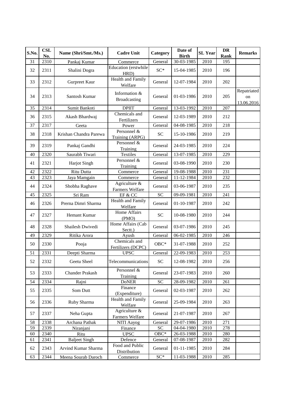| S.No. | <b>CSL</b><br>No. | Name (Shri/Smt./Ms.)   | <b>Cadre Unit</b>                    | Category        | Date of<br><b>Birth</b>  | <b>SL</b> Year   | <b>DR</b><br>Rank | <b>Remarks</b>                  |
|-------|-------------------|------------------------|--------------------------------------|-----------------|--------------------------|------------------|-------------------|---------------------------------|
| 31    | 2310              | Pankaj Kumar           | Commerce                             | General         | $30-03-1985$             | 2010             | 195               |                                 |
| 32    | 2311              | Shalini Dogra          | <b>Education</b> (erstwhile<br>HRD)  | $SC*$           | 15-04-1985               | 2010             | 196               |                                 |
| 33    | 2312              | Gurpreet Kaur          | <b>Health and Family</b><br>Welfare  | General         | 12-07-1984               | 2010             | 202               |                                 |
| 34    | 2313              | Santosh Kumar          | Information &<br><b>Broadcasting</b> | General         | 01-03-1986               | 2010             | 205               | Repatriated<br>on<br>13.06.2016 |
| 35    | 2314              | Sumit Bankoti          | <b>DPIIT</b>                         | General         | 13-03-1992               | 2010             | $\overline{207}$  |                                 |
| 36    | 2315              | Akash Bhardwaj         | Chemicals and<br>Fertilizers         | General         | 12-03-1989               | 2010             | 212               |                                 |
| 37    | 2317              | Geeta                  | Power                                | General         | 04-08-1985               | 2010             | 218               |                                 |
| 38    | 2318              | Krishan Chandra Parewa | Personnel &<br>Training (ARPG)       | <b>SC</b>       | 15-10-1986               | 2010             | 219               |                                 |
| 39    | 2319              | Pankaj Gandhi          | Personnel &<br>Training              | General         | 24-03-1985               | 2010             | 224               |                                 |
| 40    | 2320              | Saurabh Tiwari         | <b>Textiles</b>                      | General         | 13-07-1985               | 2010             | 229               |                                 |
| 41    | 2321              | Harjot Singh           | Personnel &<br>Training              | General         | 03-08-1990               | 2010             | 230               |                                 |
| 42    | 2322              | Ritu Dutta             | Commerce                             | General         | 19-08-1988               | $\frac{2010}{ }$ | 231               |                                 |
| 43    | 2323              | Jaya Mamgain           | Commerce                             | General         | 11-12-1984               | 2010             | 232               |                                 |
| 44    | 2324              | Shobha Raghave         | Agriculture &<br>Farmers Welfare     | General         | 03-06-1987               | 2010             | 235               |                                 |
| 45    | 2325              | Sri Ram                | EF & CC                              | <b>SC</b>       | 09-09-1981               | 2010             | 241               |                                 |
| 46    | 2326              | Prerna Dimri Sharma    | Health and Family<br>Welfare         | General         | 01-10-1987               | 2010             | 242               |                                 |
| 47    | 2327              | Hemant Kumar           | Home Affairs<br>(PMO)                | <b>SC</b>       | 10-08-1980               | 2010             | 244               |                                 |
| 48    | 2328              | Shailesh Dwivedi       | Home Affairs (Cab<br>Sectt.)         | General         | 03-07-1986               | 2010             | 245               |                                 |
| 49    | 2329              | Ritika Arora           | Ayush                                | General         | 06-02-1985               | 2010             | 246               |                                 |
| 50    | 2330              | Pooja                  | Chemicals and<br>Fertilizers (DCPC)  | $OBC*$          | 31-07-1988               | 2010             | 252               |                                 |
| 51    | 2331              | Deepti Sharma          | <b>UPSC</b>                          | General         | 22-09-1983               | 2010             | 253               |                                 |
| 52    | 2332              | Geetu Sheel            | Telecommunications                   | <b>SC</b>       | 12-08-1982               | 2010             | 256               |                                 |
| 53    | 2333              | <b>Chander Prakash</b> | Personnel &<br>Training              | General         | 23-07-1983               | 2010             | 260               |                                 |
| 54    | 2334              | Rajni                  | <b>DoNER</b>                         | $\overline{SC}$ | 28-09-1982               | 2010             | 261               |                                 |
| 55    | 2335              | Som Dutt               | Finance<br>(Expenditure)             | General         | 02-03-1987               | 2010             | 262               |                                 |
| 56    | 2336              | Ruby Sharma            | Health and Family<br>Welfare         | General         | 25-09-1984               | 2010             | 263               |                                 |
| 57    | 2337              | Neha Gupta             | Agriculture &<br>Farmers Welfare     | General         | 21-07-1987               | 2010             | 267               |                                 |
| 58    | 2338              | Archana Pathak         | NITI Aayog                           | General         | 29-07-1986               | 2010             | 271               |                                 |
| 59    | 2339              | Niranjani              | Finance                              | ${\rm SC}$      | $\overline{0}$ 4-04-1980 | 2010             | 278               |                                 |
| 60    | 2340              | Ritu                   | <b>UPSC</b>                          | ${\rm OBC^*}$   | 26-03-1988               | 2010             | 280               |                                 |
| 61    | 2341              | <b>Baljeet Singh</b>   | Defence<br>Food and Public           | General         | $\overline{07}$ -08-1987 | 2010             | 282               |                                 |
| 62    | 2343              | Arvind Kumar Sharma    | Distribution                         | General         | 01-11-1985               | 2010             | 284               |                                 |
| 63    | 2344              | Meena Sourab Daroch    | Commerce                             | $SC^*$          | 11-03-1988               | 2010             | 285               |                                 |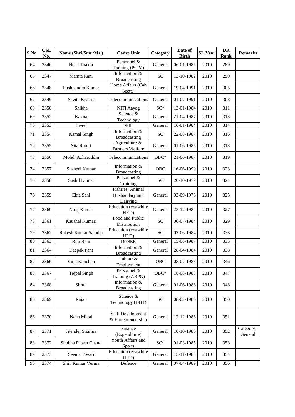| S.No. | <b>CSL</b><br>No. | Name (Shri/Smt./Ms.) | <b>Cadre Unit</b>                              | Category                   | Date of<br><b>Birth</b> | <b>SL</b> Year    | <b>DR</b><br>Rank | <b>Remarks</b>        |
|-------|-------------------|----------------------|------------------------------------------------|----------------------------|-------------------------|-------------------|-------------------|-----------------------|
| 64    | 2346              | Neha Thakur          | Personnel &<br>Training (ISTM)                 | General                    | 06-01-1985              | 2010              | 289               |                       |
| 65    | 2347              | Mamta Rani           | Information &<br><b>Broadcasting</b>           | <b>SC</b>                  | 13-10-1982              | 2010              | 290               |                       |
| 66    | 2348              | Pushpendra Kumar     | Home Affairs (Cab<br>Sectt.)                   | General                    | 19-04-1991              | 2010              | 305               |                       |
| 67    | 2349              | Savita Kwatra        | Telecommunications                             | General                    | 01-07-1991              | 2010              | 308               |                       |
| 68    | 2350              | Shikha               | <b>NITI Aayog</b>                              | $SC*$                      | 13-01-1984              | $\overline{2010}$ | 311               |                       |
| 69    | 2352              | Kavita               | Science &<br>Technology                        | General                    | 21-04-1987              | 2010              | 313               |                       |
| 70    | 2353              | Javed                | <b>DPIIT</b>                                   | General                    | 16-01-1984              | 2010              | 314               |                       |
| 71    | 2354              | Kamal Singh          | Information &<br>Broadcasting                  | <b>SC</b>                  | 22-08-1987              | 2010              | 316               |                       |
| 72    | 2355              | Sita Raturi          | Agriculture &<br>Farmers Welfare               | General                    | 01-06-1985              | 2010              | 318               |                       |
| 73    | 2356              | Mohd. Azharuddin     | Telecommunications                             | OBC*                       | 21-06-1987              | 2010              | 319               |                       |
| 74    | 2357              | <b>Susheel Kumar</b> | Information &<br>Broadcasting                  | <b>OBC</b>                 | 16-06-1990              | 2010              | 323               |                       |
| 75    | 2358              | Sushil Kumar         | Personnel &<br>Training                        | <b>SC</b>                  | 20-10-1979              | 2010              | 324               |                       |
| 76    | 2359              | Ekta Sahi            | Fishries, Animal<br>Husbandary and<br>Dairying | General                    | 03-09-1976              | 2010              | 325               |                       |
| 77    | 2360              | Niraj Kumar          | Education (erstwhile<br>HRD)                   | General                    | 25-12-1984              | 2010              | 327               |                       |
| 78    | 2361              | Kaushal Kumari       | Food and Public<br>Distribution                | <b>SC</b>                  | 06-07-1984              | 2010              | 329               |                       |
| 79    | 2362              | Rakesh Kumar Salodia | Education (erstwhile<br>HRD)                   | <b>SC</b>                  | 02-06-1984              | 2010              | 333               |                       |
| 80    | 2363              | Ritu Rani            | <b>DoNER</b>                                   | General                    | $15 - 08 - 1987$        | 2010              | 335               |                       |
| 81    | 2364              | Deepak Pant          | Information &<br><b>Broadcasting</b>           | General                    | 28-04-1984              | 2010              | 338               |                       |
| 82    | 2366              | Virat Kanchan        | Labour &<br>Employment                         | <b>OBC</b>                 | 08-07-1988              | 2010              | 346               |                       |
| 83    | 2367              | <b>Tejpal Singh</b>  | Personnel &<br>Training (ARPG)                 | $OBC*$                     | 18-08-1988              | 2010              | 347               |                       |
| 84    | 2368              | Shruti               | Information &<br><b>Broadcasting</b>           | General                    | 01-06-1986              | 2010              | 348               |                       |
| 85    | 2369              | Rajan                | Science &<br>Technology (DBT)                  | $\ensuremath{\mathbf{SC}}$ | 08-02-1986              | 2010              | 350               |                       |
| 86    | 2370              | Neha Mittal          | Skill Development<br>& Entrepreneurship        | General                    | 12-12-1986              | 2010              | 351               |                       |
| 87    | 2371              | Jitender Sharma      | Finance<br>(Expenditure)                       | General                    | 10-10-1986              | 2010              | 352               | Category -<br>General |
| 88    | 2372              | Shobha Ritash Chand  | Youth Affairs and<br><b>Sports</b>             | $SC^*$                     | 01-03-1985              | 2010              | 353               |                       |
| 89    | 2373              | Seema Tiwari         | Education (erstwhile<br>HRD)                   | General                    | 15-11-1983              | 2010              | 354               |                       |
| 90    | 2374              | Shiv Kumar Verma     | Defence                                        | General                    | 07-04-1989              | 2010              | 356               |                       |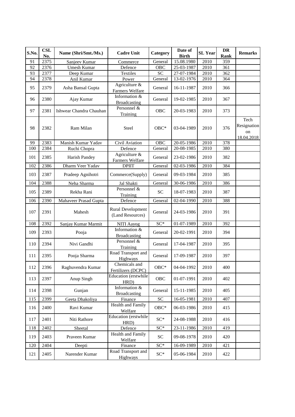| S.No. | <b>CSL</b><br>No. | Name (Shri/Smt./Ms.)    | <b>Cadre Unit</b>                            | Category                          | Date of<br><b>Birth</b> | <b>SL</b> Year    | <b>DR</b><br>Rank | <b>Remarks</b>                          |
|-------|-------------------|-------------------------|----------------------------------------------|-----------------------------------|-------------------------|-------------------|-------------------|-----------------------------------------|
| 91    | 2375              | Sanjeev Kumar           | Commerce                                     | General                           | 15.08.1980              | 2010              | 359               |                                         |
| 92    | 2376              | Umesh Kumar             | Defence                                      | <b>OBC</b>                        | 25-03-1987              | 2010              | 361               |                                         |
| 93    | 2377              | Deep Kumar              | <b>Textiles</b>                              | <b>SC</b>                         | 27-07-1984              | 2010              | 362               |                                         |
| 94    | 2378              | Anil Kumar              | Power                                        | General                           | 13-02-1976              | 2010              | 364               |                                         |
| 95    | 2379              | Asha Bansal Gupta       | Agriculture &<br>Farmers Welfare             | General                           | 16-11-1987              | 2010              | 366               |                                         |
| 96    | 2380              | Ajay Kumar              | Information &<br>Broadcasting                | General                           | 19-02-1985              | 2010              | 367               |                                         |
| 97    | 2381              | Ishwear Chandra Chauhan | Personnel &<br>Training                      | <b>OBC</b>                        | 20-03-1983              | 2010              | 373               |                                         |
| 98    | 2382              | Ram Milan               | Steel                                        | $OBC*$                            | 03-04-1989              | 2010              | 376               | Tech<br>Resignation<br>on<br>18.04.2018 |
| 99    | 2383              | Manish Kumar Yadav      | Civil Aviation                               | <b>OBC</b>                        | 20-05-1986              | 2010              | 378               |                                         |
| 100   | 2384              | Ruchi Chopra            | Defence                                      | General                           | 20-08-1985              | 2010              | 380               |                                         |
| 101   | 2385              | Harish Pandey           | Agriculture &<br>Farmers Welfare             | General                           | 23-02-1986              | 2010              | 382               |                                         |
| 102   | 2386              | Dharm Veer Yadav        | <b>DPIIT</b>                                 | $\overline{G}$ eneral             | 02-03-1986              | $\overline{2010}$ | 384               |                                         |
| 103   | 2387              | Pradeep Agnihotri       | Commerce(Supply)                             | General                           | 09-03-1984              | 2010              | 385               |                                         |
| 104   | 2388              | Neha Sharma             | Jal Shakti                                   | General                           | 30-06-1986              | 2010              | 386               |                                         |
| 105   | 2389              | Rekha Rani              | Personnel &<br>Training                      | <b>SC</b>                         | 18-07-1983              | 2010              | 387               |                                         |
| 106   | 2390              | Mahaveer Prasad Gupta   | Defence                                      | General                           | $02 - 04 - 1990$        | 2010              | 388               |                                         |
| 107   | 2391              | Mahesh                  | <b>Rural Development</b><br>(Land Resources) | General                           | 24-03-1986              | 2010              | 391               |                                         |
| 108   | 2392              | Sanjay Kumar Marmit     | <b>NITI Aayog</b>                            | $SC^*$                            | 01-07-1989              | 2010              | 392               |                                         |
| 109   | 2393              | Pooja                   | Information &<br><b>Broadcasting</b>         | General                           | 20-02-1991              | 2010              | 394               |                                         |
| 110   | 2394              | Nivi Gandhi             | Personnel &<br>Training                      | General                           | 17-04-1987              | 2010              | 395               |                                         |
| 111   | 2395              | Pooja Sharma            | Road Transport and<br>Highways               | General                           | 17-09-1987              | 2010              | 397               |                                         |
| 112   | 2396              | Raghuvendra Kumar       | Chemicals and<br>Fertilizers (DCPC)          | OBC*                              | 04-04-1992              | 2010              | 400               |                                         |
| 113   | 2397              | Anup Singh              | Education (erstwhile<br>HRD)                 | OBC                               | 01-07-1991              | 2010              | 402               |                                         |
| 114   | 2398              | Gunjan                  | Information &<br><b>Broadcasting</b>         | General                           | 15-11-1985              | 2010              | 405               |                                         |
| 115   | 2399              | Geeta Dhakoliya         | Finance                                      | $\ensuremath{\mathbf{SC}}\xspace$ | 16-05-1981              | 2010              | 407               |                                         |
| 116   | 2400              | Ravi Kumar              | Health and Family<br>Welfare                 | $OBC*$                            | 06-03-1986              | 2010              | 415               |                                         |
| 117   | 2401              | Niti Rathore            | Education (erstwhile<br>HRD)                 | $SC^*$                            | 24-08-1988              | 2010              | 416               |                                         |
| 118   | 2402              | Sheetal                 | Defence                                      | $SC^*$                            | 23-11-1986              | 2010              | 419               |                                         |
| 119   | 2403              | Praveen Kumar           | Health and Family<br>Welfare                 | SC <sub>1</sub>                   | 09-08-1978              | 2010              | 420               |                                         |
| 120   | 2404              | Deepti                  | Finance                                      | $SC^*$                            | 16-09-1989              | 2010              | 421               |                                         |
| 121   | 2405              | Narender Kumar          | Road Transport and<br>Highways               | $SC^*$                            | 05-06-1984              | 2010              | 422               |                                         |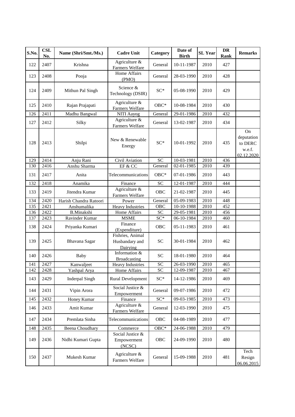| S.No. | <b>CSL</b><br>No. | Name (Shri/Smt./Ms.)   | <b>Cadre Unit</b>                              | Category        | Date of<br><b>Birth</b> | <b>SL</b> Year | DR<br>Rank | <b>Remarks</b>                                      |
|-------|-------------------|------------------------|------------------------------------------------|-----------------|-------------------------|----------------|------------|-----------------------------------------------------|
| 122   | 2407              | Krishna                | Agriculture &<br>Farmers Welfare               | General         | 10-11-1987              | 2010           | 427        |                                                     |
| 123   | 2408              | Pooja                  | <b>Home Affairs</b><br>(PMO)                   | General         | 28-03-1990              | 2010           | 428        |                                                     |
| 124   | 2409              | Mithun Pal Singh       | Science &<br>Technology (DSIR)                 | $SC^*$          | 05-08-1990              | 2010           | 429        |                                                     |
| 125   | 2410              | Rajan Prajapati        | Agriculture $\&$<br>Farmers Welfare            | $OBC*$          | 10-08-1984              | 2010           | 430        |                                                     |
| 126   | 2411              | Madhu Bangwal          | NITI Aayog                                     | General         | 29-01-1986              | 2010           | 432        |                                                     |
| 127   | 2412              | Silky                  | Agriculture &<br>Farmers Welfare               | General         | 13-02-1987              | 2010           | 434        |                                                     |
| 128   | 2413              | Shilpi                 | New & Renewable<br>Energy                      | $SC^*$          | 10-01-1992              | 2010           | 435        | On<br>deputation<br>to DERC<br>w.e.f.<br>02.12.2020 |
| 129   | 2414              | Anju Rani              | Civil Aviation                                 | $\overline{SC}$ | 10-03-1981              | 2010           | 436        |                                                     |
| 130   | 2416              | Anshu Sharma           | EF & CC                                        | General         | 02-01-1985              | 2010           | 439        |                                                     |
| 131   | 2417              | Anita                  | Telecommunications                             | $OBC*$          | 07-01-1986              | 2010           | 443        |                                                     |
| 132   | 2418              | Anamika                | Finance                                        | <b>SC</b>       | 12-01-1987              | 2010           | 444        |                                                     |
| 133   | 2419              | Jitendra Kumar         | Agriculture &<br>Farmers Welfare               | <b>OBC</b>      | 21-02-1987              | 2010           | 445        |                                                     |
| 134   | 2420              | Harish Chandra Ratoori | Power                                          | General         | 05-09-1983              | 2010           | 448        |                                                     |
| 135   | 2421              | Anshumalika            | <b>Heavy Industries</b>                        | OBC             | 10-10-1988              | 2010           | 452        |                                                     |
| 136   | 2422              | <b>B.Minakshi</b>      | Home Affairs                                   | $\overline{SC}$ | 29-05-1981              | 2010           | 456        |                                                     |
| 137   | 2423              | Ravinder Kumar         | <b>MSME</b>                                    | $SC*$           | 06-10-1984              | 2010           | 460        |                                                     |
| 138   | 2424              | Priyanka Kumari        | Finance<br>(Expenditure)                       | <b>OBC</b>      | 05-11-1983              | 2010           | 461        |                                                     |
| 139   | 2425              | Bhavana Sagar          | Fishries, Animal<br>Husbandary and<br>Dairying | <b>SC</b>       | 30-01-1984              | 2010           | 462        |                                                     |
| 140   | 2426              | <b>Baby</b>            | Information &<br><b>Broadcasting</b>           | <b>SC</b>       | 18-01-1980              | 2010           | 464        |                                                     |
| 141   | 2427              | Kanwaljeet             | <b>Heavy Industries</b>                        | <b>SC</b>       | 26-03-1990              | 2010           | 465        |                                                     |
| 142   | 2428              | Yashpal Arya           | Home Affairs                                   | <b>SC</b>       | 12-09-1987              | 2010           | 467        |                                                     |
| 143   | 2429              | <b>Inderpal Singh</b>  | <b>Rural Development</b>                       | $SC^*$          | 14-12-1986              | 2010           | 469        |                                                     |
| 144   | 2431              | Vipin Arora            | Social Justice &<br>Empowerment                | General         | 09-07-1986              | 2010           | 472        |                                                     |
| 145   | 2432              | <b>Honey Kumar</b>     | Finance                                        | $SC^*$          | 09-03-1985              | 2010           | 473        |                                                     |
| 146   | 2433              | Amit Kumar             | Agriculture &<br>Farmers Welfare               | General         | 12-03-1990              | 2010           | 475        |                                                     |
| 147   | 2434              | Premlata Sinha         | Telecommunications                             | OBC             | 04-08-1989              | 2010           | 477        |                                                     |
| 148   | 2435              | Beena Choudhary        | Commerce                                       | $OBC*$          | 24-06-1988              | 2010           | 479        |                                                     |
| 149   | 2436              | Nidhi Kumari Gupta     | Social Justice &<br>Empowerment<br>(NCSC)      | OBC             | 24-09-1990              | 2010           | 480        |                                                     |
| 150   | 2437              | Mukesh Kumar           | Agriculture &<br>Farmers Welfare               | General         | 15-09-1988              | 2010           | 481        | Tech<br>Resign<br>06.06.2015                        |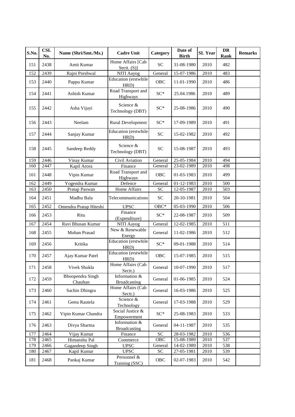| S.No. | <b>CSL</b><br>No. | Name (Shri/Smt./Ms.)               | <b>Cadre Unit</b>                    | Category                   | Date of<br><b>Birth</b>     | <b>SL Year</b>    | DR<br>Rank | <b>Remarks</b> |
|-------|-------------------|------------------------------------|--------------------------------------|----------------------------|-----------------------------|-------------------|------------|----------------|
| 151   | 2438              | Amit Kumar                         | Home Affairs [Cab<br>Sectt. $(S)$ ]  | <b>SC</b>                  | 31-08-1980                  | 2010              | 482        |                |
| 152   | 2439              | Rajni Porshwal                     | NITI Aayog                           | General                    | 15-07-1986                  | 2010              | 483        |                |
| 153   | 2440              | Pappu Kumar                        | Education (erstwhile<br>HRD)         | OBC                        | 11-01-1990                  | 2010              | 486        |                |
| 154   | 2441              | Ashish Kumar                       | Road Transport and<br>Highways       | $SC^*$                     | 25.04.1986                  | 2010              | 489        |                |
| 155   | 2442              | Asha Vijayi                        | Science &<br>Technology (DBT)        | $SC^*$                     | 25-08-1986                  | 2010              | 490        |                |
| 156   | 2443              | Neelam                             | <b>Rural Development</b>             | $SC^*$                     | 17-09-1989                  | 2010              | 491        |                |
| 157   | 2444              | Sanjay Kumar                       | Education (erstwhile<br>HRD)         | <b>SC</b>                  | 15-02-1982                  | 2010              | 492        |                |
| 158   | 2445              | Sandeep Reddy                      | Science &<br>Technology (DBT)        | <b>SC</b>                  | 15-08-1987                  | 2010              | 493        |                |
| 159   | 2446              | Vinay Kumar                        | Civil Aviation                       | $\overline{G}$ eneral      | 25-05-1984                  | $\overline{20}10$ | 494        |                |
| 160   | 2447              | Kapil Arora                        | Finance                              | General                    | $23-02-1989$                | 2010              | 498        |                |
| 161   | 2448              | Vipin Kumar                        | Road Transport and<br>Highways       | <b>OBC</b>                 | 01-03-1983                  | 2010              | 499        |                |
| 162   | 2449              | Yogendra Kumar                     | Defence                              | General                    | 01-12-1983                  | 2010              | 500        |                |
| 163   | 2450              | Pratap Paswan                      | Home Affairs                         | <b>SC</b>                  | 12-05-1987                  | 2010              | 503        |                |
| 164   | 2451              | Madhu Bala                         | Telecommunications                   | SC                         | 20-10-1981                  | 2010              | 504        |                |
| 165   | 2452              | Omendra Pratap Hiteshi             | <b>UPSC</b>                          | $OBC*$                     | 05-03-1990                  | 2010              | 506        |                |
| 166   | 2453              | Ritu                               | Finance<br>(Expenditure)             | $SC*$                      | 22-08-1987                  | 2010              | 509        |                |
| 167   | 2454              | Ravi Bhusan Kumar                  | NITI Aayog                           | General                    | $\overline{12} - 02 - 1985$ | 2010              | 511        |                |
| 168   | 2455              | Mohan Prasad                       | New & Renewable<br>Energy            | General                    | 11-02-1986                  | 2010              | 512        |                |
| 169   | 2456              | Kritika                            | Education (erstwhile<br>HRD)         | $SC^*$                     | 09-01-1988                  | 2010              | 514        |                |
| 170   | 2457              | Ajay Kumar Patel                   | Education (erstwhile<br>HRD)         | OBC                        | 15-07-1985                  | 2010              | 515        |                |
| 171   | 2458              | Vivek Shukla                       | Home Affairs (Cab<br>Sectt.)         | General                    | 10-07-1990                  | 2010              | 517        |                |
| 172   | 2459              | <b>Bhoopendra Singh</b><br>Chauhan | Information &<br>Broadcasting        | General                    | 01-06-1985                  | 2010              | 524        |                |
| 173   | 2460              | Sachin Dhingra                     | Home Affairs (Cab<br>Sectt.)         | General                    | 16-03-1986                  | 2010              | 525        |                |
| 174   | 2461              | Geeta Rautela                      | Science &<br>Technology              | General                    | 17-03-1988                  | 2010              | 529        |                |
| 175   | 2462              | Vipin Kumar Chandra                | Social Justice &<br>Empowerment      | $SC^*$                     | 25-08-1983                  | 2010              | 533        |                |
| 176   | 2463              | Divya Sharma                       | Information &<br><b>Broadcasting</b> | General                    | 04-11-1987                  | 2010              | 535        |                |
| 177   | 2464              | Vijay Kumar                        | Finance                              | $\ensuremath{\mathbf{SC}}$ | 28-03-1982                  | 2010              | 536        |                |
| 178   | 2465              | Himanshu Pal                       | Commerce                             | OBC                        | 15-08-1989                  | 2010              | 537        |                |
| 179   | 2466              | Gagandeep Singh                    | <b>UPSC</b>                          | General                    | 14-02-1989                  | 2010              | 538        |                |
| 180   | 2467              | Kapil Kumar                        | <b>UPSC</b>                          | <b>SC</b>                  | $\overline{27-05-1981}$     | 2010              | 539        |                |
| 181   | 2468              | Pankaj Kumar                       | Personnel &<br>Training (SSC)        | OBC                        | 02-07-1983                  | 2010              | 542        |                |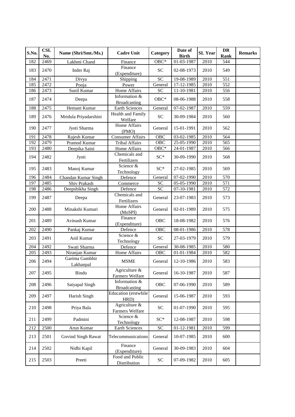| S.No. | <b>CSL</b><br>No. | Name (Shri/Smt./Ms.)        | <b>Cadre Unit</b>                    | Category   | Date of<br><b>Birth</b> | <b>SL Year</b> | <b>DR</b><br>Rank | <b>Remarks</b> |
|-------|-------------------|-----------------------------|--------------------------------------|------------|-------------------------|----------------|-------------------|----------------|
| 182   | 2469              | Lakhmi Chand                | Finance                              | $OBC*$     | 01-03-1987              | 2010           | 544               |                |
| 183   | 2470              | Inder Raj                   | Finance<br>(Expenditure)             | <b>SC</b>  | 02-08-1973              | 2010           | 549               |                |
| 184   | 2471              | Divya                       | Shipping                             | <b>SC</b>  | 19-08-1989              | 2010           | 551               |                |
| 185   | 2472              | Pooja                       | Power                                | General    | 17-12-1985              | 2010           | 552               |                |
| 186   | 2473              | Sunil Kumar                 | Home Affairs                         | <b>SC</b>  | 11-10-1981              | 2010           | 556               |                |
| 187   | 2474              | Deepa                       | Information &<br><b>Broadcasting</b> | $OBC*$     | 08-06-1988              | 2010           | 558               |                |
| 188   | 2475              | Hemant Kumar                | Earth Sciences                       | General    | 07-02-1987              | 2010           | 559               |                |
| 189   | 2476              | Mridula Priyadarshini       | Health and Family<br>Welfare         | <b>SC</b>  | 30-09-1984              | 2010           | 560               |                |
| 190   | 2477              | Jyoti Sharma                | Home Affairs<br>(PMO)                | General    | 15-01-1991              | 2010           | 562               |                |
| 191   | 2478              | Rajesh Kumar                | <b>Consumer Affairs</b>              | OBC        | 03-02-1985              | 2010           | 564               |                |
| 192   | 2479              | Pramod Kumar                | <b>Tribal Affairs</b>                | OBC        | 25-05-1990              | 2010           | 565               |                |
| 193   | 2480              | Deepika Saini               | Home Affairs                         | $OBC*$     | 24-01-1987              | 2010           | 566               |                |
| 194   | 2482              | Jyoti                       | Chemicals and<br>Fertilizers         | $SC^*$     | 30-09-1990              | 2010           | 568               |                |
| 195   | 2483              | Manoj Kumar                 | Science &<br>Technology              | $SC^*$     | 27-02-1985              | 2010           | 569               |                |
| 196   | 2484              | Chandan Kumar Singh         | Defence                              | General    | 07-02-1990              | 2010           | 570               |                |
| 197   | 2485              | Shiv Prakash                | Commerce                             | SC         | $05-05-1990$            | 2010           | 571               |                |
| 198   | 2486              | Deepshikha Singh            | Defence                              | SC         | 07-10-1981              | 2010           | 572               |                |
| 199   | 2487              | Deepa                       | Chemicals and<br>Fertilizers         | General    | 23-07-1983              | 2010           | 573               |                |
| 200   | 2488              | Minakshi Kumari             | Home Affairs<br>(MoSPI)              | General    | 02-01-1989              | 2010           | 575               |                |
| 201   | 2489              | Avinash Kumar               | Finance<br>(Expenditure)             | OBC        | 18-08-1982              | 2010           | 576               |                |
| 202   | 2490              | Pankaj Kumar                | Defence                              | <b>OBC</b> | 08-01-1986              | 2010           | 578               |                |
| 203   | 2491              | Anil Kumar                  | Science &<br>Technology              | <b>SC</b>  | 27-03-1979              | 2010           | 579               |                |
| 204   | 2492              | Swati Sharma                | Defence                              | General    | 30-08-1985              | 2010           | 580               |                |
| 205   | 2493              | Niranjan Kumar              | Home Affairs                         | <b>OBC</b> | 01-01-1984              | 2010           | 582               |                |
| 206   | 2494              | Garima Gambhir<br>Lakhanpal | <b>MSME</b>                          | General    | 12-10-1986              | 2010           | 583               |                |
| 207   | 2495              | Bindu                       | Agriculture &<br>Farmers Welfare     | General    | 16-10-1987              | 2010           | 587               |                |
| 208   | 2496              | Satyapal Singh              | Information &<br><b>Broadcasting</b> | OBC        | 07-06-1990              | 2010           | 589               |                |
| 209   | 2497              | Harish Singh                | Education (erstwhile<br>HRD)         | General    | 15-06-1987              | 2010           | 593               |                |
| 210   | 2498              | Priya Bala                  | Agriculture &<br>Farmers Welfare     | <b>SC</b>  | 01-07-1990              | 2010           | 595               |                |
| 211   | 2499              | Padmini                     | Science &<br>Technology              | $SC^*$     | 12-08-1987              | 2010           | 598               |                |
| 212   | 2500              | Arun Kumar                  | <b>Earth Sciences</b>                | SC         | $01 - 12 - 1981$        | 2010           | 599               |                |
| 213   | 2501              | Govind Singh Rawat          | Telecommunications                   | General    | 10-07-1985              | 2010           | 600               |                |
| 214   | 2502              | Nidhi Kapil                 | Finance<br>(Expenditure)             | General    | 30-09-1983              | 2010           | 604               |                |
| 215   | 2503              | Preeti                      | Food and Public<br>Distribution      | ${\rm SC}$ | 07-09-1982              | 2010           | 605               |                |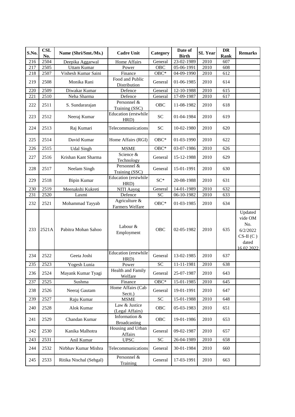| S.No. | <b>CSL</b><br>No. | Name (Shri/Smt./Ms.)    | <b>Cadre Unit</b>                    | Category        | Date of<br><b>Birth</b>  | <b>SL Year</b> | DR<br>Rank | <b>Remarks</b>                                                             |
|-------|-------------------|-------------------------|--------------------------------------|-----------------|--------------------------|----------------|------------|----------------------------------------------------------------------------|
| 216   | 2504              | Deepika Aggarwal        | Home Affairs                         | General         | 23-02-1989               | 2010           | 607        |                                                                            |
| 217   | 2505              | <b>Uttam Kumar</b>      | Power                                | <b>OBC</b>      | $\overline{05}$ -06-1991 | 2010           | 608        |                                                                            |
| 218   | 2507              | Vishesh Kumar Saini     | Finance                              | $OBC*$          | 04-09-1990               | 2010           | 612        |                                                                            |
| 219   | 2508              | Monika Rani             | Food and Public<br>Distribution      | General         | 01-06-1985               | 2010           | 614        |                                                                            |
| 220   | 2509              | Diwakar Kumar           | Defence                              | General         | 12-10-1988               | 2010           | 615        |                                                                            |
| 221   | 2510              | Neha Sharma             | Defence                              | General         | 17-09-1987               | 2010           | 617        |                                                                            |
| 222   | 2511              | S. Sundararajan         | Personnel &<br>Training (SSC)        | <b>OBC</b>      | 11-08-1982               | 2010           | 618        |                                                                            |
| 223   | 2512              | Neeraj Kumar            | Education (erstwhile<br>HRD)         | <b>SC</b>       | 01-04-1984               | 2010           | 619        |                                                                            |
| 224   | 2513              | Raj Kumari              | Telecommunications                   | <b>SC</b>       | 10-02-1980               | 2010           | 620        |                                                                            |
| 225   | 2514              | David Kumar             | Home Affairs (RGI)                   | $OBC*$          | 01-03-1990               | 2010           | 622        |                                                                            |
| 226   | 2515              | <b>Udal Singh</b>       | <b>MSME</b>                          | $OBC*$          | 03-07-1986               | 2010           | 626        |                                                                            |
| 227   | 2516              | Krishan Kant Sharma     | Science &<br>Technology              | General         | 15-12-1988               | 2010           | 629        |                                                                            |
| 228   | 2517              | Neelam Singh            | Personnel &<br>Training (SSC)        | General         | 15-01-1991               | 2010           | 630        |                                                                            |
| 229   | 2518              | <b>Bipin Kumar</b>      | Education (erstwhile<br>HRD)         | $SC^*$          | 20-08-1988               | 2010           | 631        |                                                                            |
| 230   | 2519              | Meenakshi Kukreti       | NITI Aayog                           | General         | 14-01-1989               | 2010           | 632        |                                                                            |
| 231   | 2520              | Laxmi                   | Defence                              | <b>SC</b>       | 06-10-1982               | 2010           | 633        |                                                                            |
| 232   | 2521              | Mohammad Tayyab         | Agriculture &<br>Farmers Welfare     | OBC*            | 01-03-1985               | 2010           | 634        |                                                                            |
| 233   | 2521A             | Pabitra Mohan Sahoo     | Labour &<br>Employment               | <b>OBC</b>      | 02-05-1982               | 2010           | 635        | Updated<br>vide OM<br>No.<br>6/2/2022<br>$CS-II(C)$<br>dated<br>16.02.2022 |
| 234   | 2522              | Geeta Joshi             | Education (erstwhile<br>HRD)         | General         | 13-02-1985               | 2010           | 637        |                                                                            |
| 235   | 2523              | Yogesh Lunia            | Power                                | <b>SC</b>       | 11-11-1981               | 2010           | 638        |                                                                            |
| 236   | 2524              | Mayank Kumar Tyagi      | Health and Family<br>Welfare         | General         | 25-07-1987               | 2010           | 643        |                                                                            |
| 237   | 2525              | Sushma                  | Finance                              | $OBC*$          | 15-01-1985               | 2010           | 645        |                                                                            |
| 238   | 2526              | Neeraj Gautam           | Home Affairs (Cab<br>Sectt.)         | General         | 19-01-1991               | 2010           | 647        |                                                                            |
| 239   | 2527              | Raju Kumar              | <b>MSME</b>                          | ${\rm SC}$      | 15-01-1988               | 2010           | 648        |                                                                            |
| 240   | 2528              | Alok Kumar              | Law & Justice<br>(Legal Affairs)     | <b>OBC</b>      | 05-03-1983               | 2010           | 651        |                                                                            |
| 241   | 2529              | Chandan Kumar           | Information &<br><b>Broadcasting</b> | OBC             | 19-01-1986               | 2010           | 653        |                                                                            |
| 242   | 2530              | Kanika Malhotra         | Housing and Urban<br>Affairs         | General         | 09-02-1987               | 2010           | 657        |                                                                            |
| 243   | 2531              | Anil Kumar              | <b>UPSC</b>                          | $\overline{SC}$ | 26-04-1989               | 2010           | 658        |                                                                            |
| 244   | 2532              | Nirbhav Kumar Mishra    | Telecommunications                   | General         | 30-01-1984               | 2010           | 660        |                                                                            |
| 245   | 2533              | Ritika Nischal (Sehgal) | Personnel &<br>Training              | General         | 17-03-1991               | 2010           | 663        |                                                                            |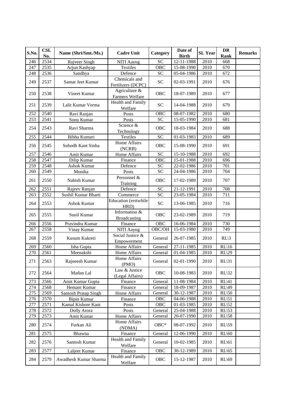| S.No. | <b>CSL</b><br>No. | Name (Shri/Smt./Ms.)  | <b>Cadre Unit</b>                                                                     | Category    | Date of<br><b>Birth</b> | <b>SL Year</b> | <b>DR</b><br>Rank   | <b>Remarks</b> |
|-------|-------------------|-----------------------|---------------------------------------------------------------------------------------|-------------|-------------------------|----------------|---------------------|----------------|
| 246   | 2534              | Rajveer Singh         | NITI Aayog                                                                            | <b>SC</b>   | 12-11-1988              | 2010           | 668                 |                |
| 247   | 2535              | Arjun Kashyap         | Textiles                                                                              | <b>OBC</b>  | 15-08-1990              | 2010           | 670                 |                |
| 248   | 2536              | Sandhya               | Defence                                                                               | <b>SC</b>   | 05-04-1986              | 2010           | 672                 |                |
| 249   | 2537              | Samar Jeet Kumar      | Chemicals and<br>Fertilizers (DCPC)                                                   | <b>SC</b>   | 02-03-1991              | 2010           | 676                 |                |
| 250   | 2538              | Vineet Kumar          | Agriculture &<br>Farmers Welfare                                                      | OBC         | 18-07-1989              | 2010           | 677                 |                |
| 251   | 2539              | Lalit Kumar Verma     | <b>Health and Family</b><br>Welfare                                                   | <b>SC</b>   | 14-04-1988              | 2010           | 679                 |                |
| 252   | 2540              | Ravi Ranjan           | Posts                                                                                 | <b>OBC</b>  | 08-07-1982              | 2010           | 680                 |                |
| 253   | 2541              | Sonu Kumar            | Posts                                                                                 | <b>SC</b>   | 15-05-1990              | 2010           | 681                 |                |
| 254   | 2543              | Ravi Sharma           | Science &<br>Technology                                                               | <b>OBC</b>  | 18-03-1984              | 2010           | 688                 |                |
| 255   | 2544              | Bibha Kumari          | Textiles                                                                              | <b>SC</b>   | 01-03-1983              | 2010           | 689                 |                |
| 256   | 2545              | Subodh Kant Sinha     | Home Affairs<br>(NCRB)                                                                | OBC         | 15-08-1990              | 2010           | 691                 |                |
| 257   | 2546              | Amit Kumar            | Home Affairs                                                                          | <b>SC</b>   | 15-10-1988              | 2010           | 692                 |                |
| 258   | 2547              | Dilip Kumar           | Finance                                                                               | <b>OBC</b>  | 15-01-1988              | 2010           | 696                 |                |
| 259   | 2548              | <b>Ashok Kumar</b>    | Defence                                                                               | <b>SC</b>   | 22-02-1986              | 2010           | 701                 |                |
| 260   | 2549              | Monika                | Posts                                                                                 | <b>SC</b>   | 24-04-1986              | 2010           | 704                 |                |
| 261   | 2550              | Nabish Kumar          | Personnel &<br>Training                                                               | OBC         | 17-02-1989              | 2010           | 707                 |                |
| 262   | 2551              | Rajeev Ranjan         | Defence                                                                               | <b>SC</b>   | 21-12-1991              | 2010           | 708                 |                |
| 263   | 2552              | Sushil Kumar Bharti   | Commerce                                                                              | <b>SC</b>   | 23-05-1984              | 2010           | 711                 |                |
| 264   | 2553              | Ashok Kumar           | Education (erstwhile<br>HRD)                                                          | <b>SC</b>   | 13-06-1985              | 2010           | 716                 |                |
| 265   | 2555              | Sunil Kumar           | Information &<br><b>Broadcasting</b>                                                  | OBC         | 23-02-1989              | 2010           | 719                 |                |
| 266   | 2556              | Pravindra Kumar       | Finance                                                                               | <b>OBC</b>  | 16-06-1984              | 2010           | 730                 |                |
| 267   | 2558              | Vinay Kumar           | NITI Aayog                                                                            | OBC/OH      | 15-03-1980              | 2010           | 749                 |                |
| 268   | 2559              | Kusum Kukreti         | Social Justice &<br>Empowerment                                                       | General     | 26-07-1985              | 2010           | $RL\backslash 3$    |                |
| 269   | 2560              | Isha Gupta            | Home Affairs                                                                          | General     | 27-11-1985              | 2010           | $RL\backslash 16$   |                |
| 270   | 2561              | Meenakshi             | Home Affairs                                                                          | General     | 01-04-1985              | 2010           | $RL\$ 29            |                |
| 271   | 2563              | Rajneesh Kumar        | Home Affairs<br>(PMO)                                                                 | General     | 02-01-1990              | 2010           | $RL\backslash31$    |                |
| 272   | 2564              | Madan Lal             | Law & Justice<br>(Legal Affairs)                                                      | OBC         | 10-08-1983              | 2010           | $RL\$ 32            |                |
| 273   | 2566              | Amit Kumar Gupta      | Finance                                                                               | General     | 11-08-1984              | 2010           | $RL\$ <sub>41</sub> |                |
| 274   | 2568              | Hemant Kumar          | Finance                                                                               | General     | 18-09-1987              | 2010           | $RL\$ 49            |                |
| 275   | 2569              | Santosh Pratap Singh  | Home Affairs                                                                          | General     | 30-12-1987              | 2010           | $RL\setminus 50$    |                |
| 276   | 2570              | <b>Bipin Kumar</b>    | Finance                                                                               | OBC         | 04-06-1988              | 2010           | $RL\setminus 51$    |                |
| 277   | 2571              | Kamal Kishore Kant    | Posts                                                                                 | OBC         | 01-03-1985              | 2010           | $RL\$ 52            |                |
| 278   | 2572              | Dolly Arora           | $\operatorname*{Posts}% \left( X\right) \equiv\operatorname*{Posts}\left( X\right) ,$ | General     | 25-04-1988              | 2010           | $RL\$ <sub>53</sub> |                |
| 279   | 2573              | Amit Kumar            | Home Affairs                                                                          | General     | 20-07-1990              | 2010           | $RL\$ 58            |                |
| 280   | 2574              | Furkan Ali            | Home Affairs<br>(NDMA)                                                                | $OBC*$      | 08-07-1992              | 2010           | $RL\$ 59            |                |
| 281   | 2575              | Bhawna                | Finance                                                                               | General     | 12-06-1990              | 2010           | $RL\$ 60            |                |
| 282   | 2576              | Santosh Kumar         | Health and Family<br>Welfare                                                          | General     | 10-02-1985              | 2010           | $RL\setminus 61$    |                |
| 283   | 2577              | Laljeet Kumar         | Finance                                                                               | ${\rm OBC}$ | 30-12-1989              | 2010           | $RL\$               |                |
| 284   | 2579              | Awadhesh Kumar Sharma | Health and Family<br>Welfare                                                          | ${\rm OBC}$ | 15-12-1987              | 2010           | $RL\$ 69            |                |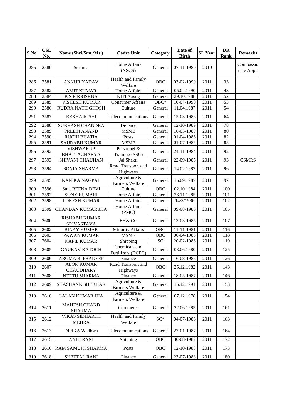| S.No. | <b>CSL</b><br>No. | Name (Shri/Smt./Ms.)                      | <b>Cadre Unit</b>                   | Category        | Date of<br><b>Birth</b> | <b>SL Year</b> | <b>DR</b><br>Rank | <b>Remarks</b>          |
|-------|-------------------|-------------------------------------------|-------------------------------------|-----------------|-------------------------|----------------|-------------------|-------------------------|
| 285   | 2580              | Sushma                                    | Home Affairs<br>(NSCS)              | General         | 07-11-1980              | 2010           |                   | Compassio<br>nate Appt. |
| 286   | 2581              | ANKUR YADAV                               | Health and Family<br>Welfare        | OBC             | 03-02-1990              | 2011           | 33                |                         |
| 287   | 2582              | <b>AMIT KUMAR</b>                         | Home Affairs                        | General         | 05.04.1990              | 2011           | 43                |                         |
| 288   | 2584              | <b>B S R KRISHNA</b>                      | NITI Aayog                          | General         | 29.10.1988              | 2011           | 52                |                         |
| 289   | 2585              | <b>VISHESH KUMAR</b>                      | <b>Consumer Affairs</b>             | $OBC*$          | 10-07-1990              | 2011           | 53                |                         |
| 290   | 2586              | RUDRA NATH GHOSH                          | Culture                             | General         | 11.04.1987              | 2011           | 54                |                         |
| 291   | 2587              | REKHA JOSHI                               | Telecommunications                  | General         | 15-03-1986              | 2011           | 64                |                         |
| 292   | 2588              | SUBHASH CHANDRA                           | Defence                             | General         | 12-10-1989              | 2011           | 78                |                         |
| 293   | 2589              | PREETI ANAND                              | <b>MSME</b>                         | General         | 16-05-1989              | 2011           | 80                |                         |
| 294   | 2590              | <b>RUCHI BHATIA</b>                       | Posts                               | General         | 01-04-1986              | 2011           | 82                |                         |
| 295   | 2591              | <b>SAURABH KUMAR</b>                      | <b>MSME</b>                         | General         | $\overline{01-07-1985}$ | 2011           | 85                |                         |
| 296   | 2592              | <b>VISHWARUP</b><br><b>BHATTACHARYA</b>   | Personnel &<br>Training (SSC)       | General         | 24-11-1984              | 2011           | 92                |                         |
| 297   | 2593              | SHIVANI CHAUHAN                           | Jal Shakti                          | General         | 22-09-1985              | 2011           | 93                | <b>CSMRS</b>            |
| 298   | 2594              | SONIA SHARMA                              | Road Transport and<br>Highways      | General         | 14.02.1982              | 2011           | 96                |                         |
| 299   | 2595              | <b>KANIKA NAGPAL</b>                      | Agriculture &<br>Farmers Welfare    | General         | 16.09.1987              | 2011           | 97                |                         |
| 300   | 2596              | Smt. REENA DEVI                           | Culture                             | <b>OBC</b>      | 02.10.1984              | 2011           | 100               |                         |
| 301   | 2597              | <b>SONY KUMARI</b>                        | Home Affairs                        | General         | 26.11.1985              | 2011           | 101               |                         |
| 302   | 2598              | <b>LOKESH KUMAR</b>                       | Home Affairs                        | General         | 14/3/1986               | 2011           | 102               |                         |
| 303   | 2599              | CHANDAN KUMAR JHA                         | Home Affairs<br>(PMO)               | General         | 09-08-1986              | 2011           | 105               |                         |
| 304   | 2600              | <b>RISHABH KUMAR</b><br><b>SRIVASTAVA</b> | EF & CC                             | General         | 13-03-1985              | 2011           | 107               |                         |
| 305   | 2602              | <b>BINAY KUMAR</b>                        | <b>Minority Affairs</b>             | OBC             | 11-11-1981              | 2011           | 116               |                         |
| 306   | 2603              | PAWAN KUMAR                               | <b>MSME</b>                         | OBC             | 06-04-1985              | 2011           | 118               |                         |
| 307   | 2604              | KAPIL KUMAR                               | Shipping                            | $\overline{SC}$ | 20-02-1986              | 2011           | 119               |                         |
| 308   | 2605              | <b>GAURAV KATOCH</b>                      | Chemicals and<br>Fertilizers (DCPC) | General         | 03.06.1980              | 2011           | 125               |                         |
| 309   | 2606              | AROMA R. PRADEEP                          | Finance                             | General         | 16-08-1986              | 2011           | 126               |                         |
| 310   | 2607              | <b>ALOK KUMAR</b><br><b>CHAUDHARY</b>     | Road Transport and<br>Highways      | OBC             | 25.12.1982              | 2011           | 143               |                         |
| 311   | 2608              | NEETU SHARMA                              | Finance                             | General         | 18-05-1987              | 2011           | 146               |                         |
| 312   | 2609              | SHASHANK SHEKHAR                          | Agriculture &<br>Farmers Welfare    | General         | 15.12.1991              | 2011           | 153               |                         |
| 313   | 2610              | LALAN KUMAR JHA                           | Agriculture &<br>Farmers Welfare    | General         | 07.12.1978              | 2011           | 154               |                         |
| 314   | 2611              | <b>MAHESH CHAND</b><br><b>SHARMA</b>      | Commerce                            | General         | 22.06.1985              | 2011           | 161               |                         |
| 315   | 2612              | <b>VIKAS SIDHARTH</b><br><b>MEHRA</b>     | Health and Family<br>Welfare        | $SC^*$          | 04-07-1986              | 2011           | 163               |                         |
| 316   | 2613              | DIPIKA Wadhwa                             | Telecommunications                  | General         | 27-01-1987              | 2011           | 164               |                         |
| 317   | 2615              | <b>ANJU RANI</b>                          | Shipping                            | OBC             | 30-08-1982              | 2011           | 172               |                         |
| 318   | 2616              | RAM SAMUJH SHARMA                         | Posts                               | OBC             | 12-10-1983              | 2011           | 173               |                         |
| 319   | 2618              | SHEETAL RANI                              | Finance                             | General         | 23-07-1988              | 2011           | 180               |                         |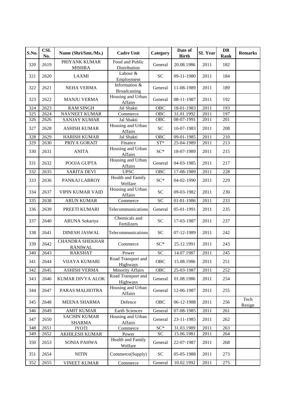| S.No. | <b>CSL</b><br>No. | Name (Shri/Smt./Ms.)                     | <b>Cadre Unit</b>                    | Category         | Date of<br><b>Birth</b> | <b>SL</b> Year | DR<br>Rank | <b>Remarks</b> |
|-------|-------------------|------------------------------------------|--------------------------------------|------------------|-------------------------|----------------|------------|----------------|
| 320   | 2619              | PRIYANK KUMAR<br><b>MISHRA</b>           | Food and Public<br>Distribution      | General          | 20.08.1986              | 2011           | 182        |                |
| 321   | 2620              | <b>LAXMI</b>                             | Labour &<br>Employment               | <b>SC</b>        | 09-11-1980              | 2011           | 184        |                |
| 322   | 2621              | <b>NEHA VERMA</b>                        | Information &<br><b>Broadcasting</b> | General          | 11-08-1989              | 2011           | 189        |                |
| 323   | 2622              | <b>MANJU VERMA</b>                       | Housing and Urban<br>Affairs         | General          | 08-11-1987              | 2011           | 192        |                |
| 324   | 2623              | <b>RAM SINGH</b>                         | Jal Shakti                           | <b>OBC</b>       | 18-01-1983              | 2011           | 193        |                |
| 325   | 2624              | <b>NAVNEET KUMAR</b>                     | Commerce                             | $\overline{OBC}$ | 31.01.1992              | 2011           | 197        |                |
| 326   | 2626              | <b>SANJAY KUMAR</b>                      | Jal Shakti                           | <b>OBC</b>       | 08-07-1991              | 2011           | 201        |                |
| 327   | 2628              | <b>ASHISH KUMAR</b>                      | Housing and Urban<br>Affairs         | <b>SC</b>        | 10-07-1983              | 2011           | 208        |                |
| 328   | 2629              | <b>HARISH KUMAR</b>                      | Jal Shakti                           | <b>OBC</b>       | 09-01-1985              | 2011           | 210        |                |
| 329   | 2630              | PRIYA GORAIT                             | Finance                              | $ST^*$           | $25-04-1989$            | 2011           | 213        |                |
| 330   | 2631              | <b>ANITA</b>                             | Housing and Urban<br>Affairs         | $SC^*$           | 18-07-1989              | 2011           | 215        |                |
| 331   | 2632              | POOJA GUPTA                              | Housing and Urban<br>Affairs         | General          | 04-03-1985              | 2011           | 217        |                |
| 332   | 2635              | <b>SARITA DEVI</b>                       | <b>UPSC</b>                          | <b>OBC</b>       | 17-08-1989              | 2011           | 228        |                |
| 333   | 2636              | PANKAJ LABROY                            | <b>Health and Family</b><br>Welfare  | $SC^*$           | 04-02-1990              | 2011           | 229        |                |
| 334   | 2637              | <b>VIPIN KUMAR VAID</b>                  | Housing and Urban<br>Affairs         | <b>SC</b>        | 09-03-1982              | 2011           | 230        |                |
| 335   | 2638              | <b>ARUN KUMAR</b>                        | Commerce                             | <b>SC</b>        | 01-01-1986              | 2011           | 233        |                |
| 336   | 2639              | PREETI KUMARI                            | Telecommunications                   | General          | 05-01-1991              | 2011           | 235        |                |
| 337   | 2640              | <b>ARUNA Sokariya</b>                    | Chemicals and<br>Fertilizers         | <b>SC</b>        | 17-03-1987              | 2011           | 237        |                |
| 338   | 2641              | <b>DINESH JASWAL</b>                     | Telecommunications                   | <b>SC</b>        | 07-12-1989              | 2011           | 242        |                |
| 339   | 2642              | <b>CHANDRA SHEKHAR</b><br><b>RANIWAL</b> | Commerce                             | $SC^*$           | 25.12.1991              | 2011           | 243        |                |
| 340   | 2643              | <b>RAKSHAT</b>                           | Power                                | <b>SC</b>        | 14.07.1987              | 2011           | 245        |                |
| 341   | 2644              | <b>VIJAYA KUMARI</b>                     | Road Transport and<br>Highways       | <b>OBC</b>       | 15.08.1986              | 2011           | 251        |                |
| 342   | 2645              | <b>ASHISH VERMA</b>                      | <b>Minority Affairs</b>              | OBC              | 25-03-1987              | 2011           | 252        |                |
| 343   | 2646              | <b>KUMAR DIVYA ALOK</b>                  | Road Transport and<br>Highways       | General          | 01.08.1986              | 2011           | 254        |                |
| 344   | 2647              | PARAS MALHOTRA                           | Housing and Urban<br>Affairs         | General          | 12-06-1987              | 2011           | 255        |                |
| 345   | 2648              | <b>MEENA SHARMA</b>                      | Defence                              | OBC              | 06-12-1988              | 2011           | 256        | Tech<br>Resign |
| 346   | 2649              | <b>AMIT KUMAR</b>                        | Earth Sciences                       | General          | 07-08-1985              | 2011           | 261        |                |
| 347   | 2650              | <b>SACHIN KUMAR</b><br><b>SHARMA</b>     | Housing and Urban<br>Affairs         | General          | 23-11-1985              | 2011           | 262        |                |
| 348   | 2651              | <b>JYOTI</b>                             | Commerce                             | $\mathrm{SC}^*$  | 31.03.1989              | 2011           | 263        |                |
| 349   | 2652              | AKHILESH KUMAR                           | Power                                | ${\rm SC}$       | 15.06.1981              | 2011           | 264        |                |
| 350   | 2653              | SONIA PAHWA                              | Health and Family<br>Welfare         | General          | 22-07-1987              | 2011           | 268        |                |
| 351   | 2654              | <b>NITIN</b>                             | Commerce(Supply)                     | SC <sub>1</sub>  | 05-05-1988              | 2011           | 273        |                |
| 352   | 2655              | <b>VINEET KUMAR</b>                      | Commerce                             | General          | 10.02.1992              | 2011           | 275        |                |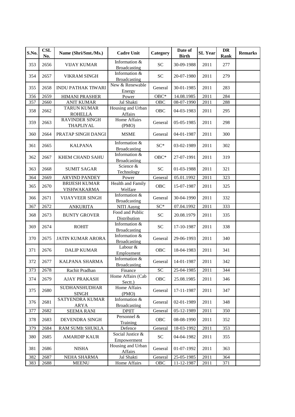| S.No. | <b>CSL</b><br>No. | Name (Shri/Smt./Ms.)                 | <b>Cadre Unit</b>                    | Category        | Date of<br><b>Birth</b> | <b>SL Year</b> | <b>DR</b><br>Rank | <b>Remarks</b> |
|-------|-------------------|--------------------------------------|--------------------------------------|-----------------|-------------------------|----------------|-------------------|----------------|
| 353   | 2656              | <b>VIJAY KUMAR</b>                   | Information &<br><b>Broadcasting</b> | <b>SC</b>       | 30-09-1988              | 2011           | 277               |                |
| 354   | 2657              | <b>VIKRAM SINGH</b>                  | Information &<br><b>Broadcasting</b> | <b>SC</b>       | 20-07-1980              | 2011           | 279               |                |
| 355   | 2658              | <b>INDU PATHAK TIWARI</b>            | New & Renewable<br>Energy            | General         | 30-01-1985              | 2011           | 283               |                |
| 356   | 2659              | <b>HIMANI PRASHER</b>                | Power                                | $OBC*$          | 14.08.1985              | 2011           | 284               |                |
| 357   | 2660              | <b>ANIT KUMAR</b>                    | Jal Shakti                           | <b>OBC</b>      | 08-07-1990              | 2011           | 288               |                |
| 358   | 2662              | <b>TARUN KUMAR</b><br><b>ROHELLA</b> | Housing and Urban<br>Affairs         | OBC             | 04-03-1983              | 2011           | 295               |                |
| 359   | 2663              | <b>RAVINDER SINGH</b><br>THAPLIYAL   | <b>Home Affairs</b><br>(PMO)         | General         | 05-05-1985              | 2011           | 298               |                |
| 360   | 2664              | PRATAP SINGH DANGI                   | <b>MSME</b>                          | General         | 04-01-1987              | 2011           | 300               |                |
| 361   | 2665              | <b>KALPANA</b>                       | Information &<br><b>Broadcasting</b> | $SC*$           | 03-02-1989              | 2011           | 302               |                |
| 362   | 2667              | <b>KHEM CHAND SAHU</b>               | Information &<br>Broadcasting        | $OBC*$          | 27-07-1991              | 2011           | 319               |                |
| 363   | 2668              | <b>SUMIT SAGAR</b>                   | Science &<br>Technology              | <b>SC</b>       | 01-03-1988              | 2011           | 321               |                |
| 364   | 2669              | <b>ARVIND PANDEY</b>                 | Power                                | General         | 05.01.1992              | 2011           | 323               |                |
| 365   | 2670              | <b>BRIJESH KUMAR</b><br>VISHWAKARMA  | <b>Health and Family</b><br>Welfare  | OBC             | 15-07-1987              | 2011           | 325               |                |
| 366   | 2671              | <b>VIJAYVEER SINGH</b>               | Information &<br><b>Broadcasting</b> | General         | 30-04-1990              | 2011           | 332               |                |
| 367   | 2672              | <b>ANKURITA</b>                      | <b>NITI Aayog</b>                    | SC*             | 07.04.1992              | 2011           | 333               |                |
| 368   | 2673              | <b>BUNTY GROVER</b>                  | Food and Public<br>Distribution      | <b>SC</b>       | 20.08.1979              | 2011           | 335               |                |
| 369   | 2674              | <b>ROHIT</b>                         | Information &<br><b>Broadcasting</b> | <b>SC</b>       | 17-10-1987              | 2011           | 338               |                |
| 370   | 2675              | JATIN KUMAR ARORA                    | Information &<br><b>Broadcasting</b> | General         | 29-06-1993              | 2011           | 340               |                |
| 371   | 2676              | <b>DALIP KUMAR</b>                   | Labour &<br>Employment               | <b>OBC</b>      | 18-04-1983              | 2011           | 341               |                |
| 372   | 2677              | KALPANA SHARMA                       | Information &<br><b>Broadcasting</b> | General         | 14-01-1987              | 2011           | 342               |                |
| 373   | 2678              | Rachit Pradhan                       | Finance                              | $\overline{SC}$ | 25-04-1985              | 2011           | 344               |                |
| 374   | 2679              | <b>AJAY PRAKASH</b>                  | Home Affairs (Cab<br>Sectt.)         | OBC             | 25.08.1985              | 2011           | 346               |                |
| 375   | 2680              | <b>SUDHANSHUDHAR</b><br><b>SINGH</b> | Home Affairs<br>(PMO)                | General         | 17-11-1987              | 2011           | 347               |                |
| 376   | 2681              | SATYENDRA KUMAR<br>ARYA              | Information &<br><b>Broadcasting</b> | General         | 02-01-1989              | 2011           | 348               |                |
| 377   | 2682              | <b>SEEMA RANI</b>                    | <b>DPIIT</b>                         | General         | 05-12-1989              | 2011           | 350               |                |
| 378   | 2683              | DEVENDRA SINGH                       | Personnel &<br>Training              | OBC             | 08-08-1990              | 2011           | 352               |                |
| 379   | 2684              | RAM SUMIt SHUKLA                     | Defence                              | General         | 18-03-1992              | 2011           | 353               |                |
| 380   | 2685              | <b>AMARDIP KAUR</b>                  | Social Justice &<br>Empowerment      | SC <sub>1</sub> | 04-04-1982              | 2011           | 355               |                |
| 381   | 2686              | <b>NISHA</b>                         | Housing and Urban<br>Affairs         | General         | 01-07-1992              | 2011           | 363               |                |
| 382   | 2687              | NEHA SHARMA                          | Jal Shakti                           | General         | 25-05-1985              | 2011           | 364               |                |
| 383   | 2688              | <b>MEENU</b>                         | Home Affairs                         | OBC             | 11-12-1987              | 2011           | 371               |                |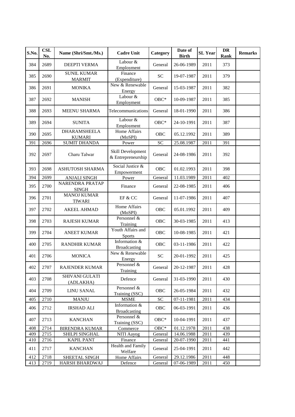| S.No. | <b>CSL</b><br>No. | Name (Shri/Smt./Ms.)                 | <b>Cadre Unit</b>                       | Category   | Date of<br><b>Birth</b> | <b>SL Year</b> | <b>DR</b><br>Rank | <b>Remarks</b> |
|-------|-------------------|--------------------------------------|-----------------------------------------|------------|-------------------------|----------------|-------------------|----------------|
| 384   | 2689              | <b>DEEPTI VERMA</b>                  | Labour &<br>Employment                  | General    | 26-06-1989              | 2011           | 373               |                |
| 385   | 2690              | <b>SUNIL KUMAR</b><br><b>MARMIT</b>  | Finance<br>(Expenditure)                | <b>SC</b>  | 19-07-1987              | 2011           | 379               |                |
| 386   | 2691              | <b>MONIKA</b>                        | New & Renewable<br>Energy               | General    | 15-03-1987              | 2011           | 382               |                |
| 387   | 2692              | <b>MANISH</b>                        | Labour &<br>Employment                  | $OBC*$     | 10-09-1987              | 2011           | 385               |                |
| 388   | 2693              | <b>MEENU SHARMA</b>                  | Telecommunications                      | General    | 18-01-1990              | 2011           | 386               |                |
| 389   | 2694              | <b>SUNITA</b>                        | Labour &<br>Employment                  | $OBC*$     | 24-10-1991              | 2011           | 387               |                |
| 390   | 2695              | <b>DHARAMSHEELA</b><br><b>KUMARI</b> | Home Affairs<br>(MoSPI)                 | OBC        | 05.12.1992              | 2011           | 389               |                |
| 391   | 2696              | <b>SUMIT DHANDA</b>                  | Power                                   | <b>SC</b>  | 25.08.1987              | 2011           | 391               |                |
| 392   | 2697              | Charu Talwar                         | Skill Development<br>& Entrepreneurship | General    | 24-08-1986              | 2011           | 392               |                |
| 393   | 2698              | <b>ASHUTOSH SHARMA</b>               | Social Justice &<br>Empowerment         | <b>OBC</b> | 01.02.1993              | 2011           | 398               |                |
| 394   | 2699              | <b>ANJALI SINGH</b>                  | Power                                   | General    | 11.03.1989              | 2011           | 402               |                |
| 395   | 2700              | NARENDRA PRATAP<br><b>SINGH</b>      | Finance                                 | General    | 22-08-1985              | 2011           | 406               |                |
| 396   | 2701              | <b>MANOJ KUMAR</b><br><b>TIWARI</b>  | EF & CC                                 | General    | 11-07-1986              | 2011           | 407               |                |
| 397   | 2702              | <b>AKEEL AHMAD</b>                   | Home Affairs<br>(MoSPI)                 | <b>OBC</b> | 05.01.1992              | 2011           | 409               |                |
| 398   | 2703              | <b>RAJESH KUMAR</b>                  | Personnel &<br>Training                 | OBC        | 30-03-1985              | 2011           | 413               |                |
| 399   | 2704              | <b>ANEET KUMAR</b>                   | Youth Affairs and<br><b>Sports</b>      | OBC        | 10-08-1985              | 2011           | 421               |                |
| 400   | 2705              | <b>RANDHIR KUMAR</b>                 | Information &<br><b>Broadcasting</b>    | <b>OBC</b> | 03-11-1986              | 2011           | 422               |                |
| 401   | 2706              | <b>MONICA</b>                        | New & Renewable<br>Energy               | <b>SC</b>  | 20-01-1992              | 2011           | 425               |                |
| 402   | 2707              | <b>RAJENDER KUMAR</b>                | Personnel &<br>Training                 | General    | 20-12-1987              | 2011           | 428               |                |
| 403   | 2708              | SHIVANI GULATI<br>(ADLAKHA)          | Defence                                 | General    | 31-03-1990              | 2011           | 430               |                |
| 404   | 2709              | <b>LINU SANAL</b>                    | Personnel &<br>Training (SSC)           | OBC        | 26-05-1984              | 2011           | 432               |                |
| 405   | 2710              | <b>MANJU</b>                         | <b>MSME</b>                             | SC         | 07-11-1981              | 2011           | 434               |                |
| 406   | 2712              | <b>IRSHAD ALI</b>                    | Information &<br><b>Broadcasting</b>    | OBC        | 06-03-1991              | 2011           | 436               |                |
| 407   | 2713              | <b>KANCHAN</b>                       | Personnel &<br>Training (SSC)           | $OBC*$     | 10-04-1991              | 2011           | 437               |                |
| 408   | 2714              | <b>BIRENDRA KUMAR</b>                | Commerce                                | $OBC*$     | 01.12.1978              | 2011           | 438               |                |
| 409   | 2715              | SHILPI SINGHAL                       | NITI Aayog                              | General    | 14.06.1988              | 2011           | 439               |                |
| 410   | 2716              | <b>KAPIL PANT</b>                    | Finance                                 | General    | 20-07-1990              | 2011           | 441               |                |
| 411   | 2717              | <b>KANCHAN</b>                       | Health and Family<br>Welfare            | General    | 25-04-1991              | 2011           | 442               |                |
| 412   | 2718              | SHEETAL SINGH                        | Home Affairs                            | General    | 29.12.1986              | 2011           | 448               |                |
| 413   | 2719              | HARSH BHARDWAJ                       | Defence                                 | General    | 07-06-1989              | 2011           | 450               |                |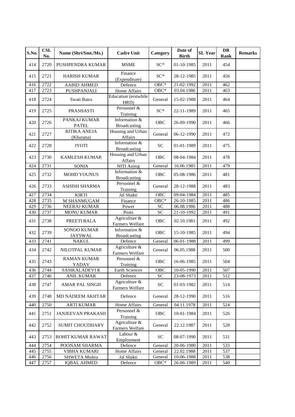| S.No. | <b>CSL</b><br>No. | Name (Shri/Smt./Ms.)                 | <b>Cadre Unit</b>                    | Category                   | Date of<br><b>Birth</b> | <b>SL</b> Year | <b>DR</b><br>Rank | <b>Remarks</b> |
|-------|-------------------|--------------------------------------|--------------------------------------|----------------------------|-------------------------|----------------|-------------------|----------------|
| 414   | 2720              | <b>PUSHPENDRA KUMAR</b>              | <b>MSME</b>                          | $SC*$                      | 01-10-1985              | 2011           | 454               |                |
| 415   | 2721              | <b>HARISH KUMAR</b>                  | Finance<br>(Expenditure)             | $SC^*$                     | 28-12-1985              | 2011           | 456               |                |
| 416   | 2722              | <b>AABID AHMED</b>                   | Defence                              | $OBC*$                     | 21-02-1992              | 2011           | 462               |                |
| 417   | 2723              | PUSHPANJALI                          | Home Affairs                         | $OBC*$                     | 03.04.1986              | 2011           | 463               |                |
| 418   | 2724              | Swati Batra                          | Education (erstwhile<br>HRD)         | General                    | 15-02-1988              | 2011           | 464               |                |
| 419   | 2725              | <b>PRASHASTI</b>                     | Personnel &<br>Training              | $SC*$                      | 22-11-1989              | 2011           | 465               |                |
| 420   | 2726              | PANKAJ KUMAR<br><b>PATEL</b>         | Information &<br><b>Broadcasting</b> | <b>OBC</b>                 | 26-09-1990              | 2011           | 466               |                |
| 421   | 2727              | <b>RITIKA ANEJA</b><br>(Khurana)     | Housing and Urban<br>Affairs         | General                    | 06-12-1990              | 2011           | 472               |                |
| 422   | 2728              | <b>JYOTI</b>                         | Information &<br><b>Broadcasting</b> | <b>SC</b>                  | 01-01-1989              | 2011           | 475               |                |
| 423   | 2730              | <b>KAMLESH KUMAR</b>                 | Housing and Urban<br>Affairs         | <b>OBC</b>                 | 08-04-1984              | 2011           | 478               |                |
| 424   | 2731              | <b>SONIA</b>                         | NITI Aayog                           | General                    | 16.06.1985              | 2011           | 479               |                |
| 425   | 2732              | MOHD YOUNUS                          | Information &<br><b>Broadcasting</b> | <b>OBC</b>                 | 05-08-1986              | 2011           | 481               |                |
| 426   | 2733              | <b>ASHISH SHARMA</b>                 | Personnel &<br>Training              | General                    | 28-12-1988              | 2011           | 483               |                |
| 427   | 2734              | <b>KIRTI</b>                         | Jal Shakti                           | OBC                        | 09-04-1984              | 2011           | 485               |                |
| 428   | 2735              | M SHANMUGAM                          | Finance                              | $OBC*$                     | 26-10-1985              | 2011           | 486               |                |
| 429   | 2736              | NEERAJ KUMAR                         | Power                                | SC                         | 06.08.1986              | 2011           | 488               |                |
| 430   | 2737              | <b>MONU KUMAR</b>                    | Posts                                | SC                         | 21-10-1992              | 2011           | 491               |                |
| 431   | 2738              | PREETI BALA                          | Agriculture &<br>Farmers Welfare     | OBC                        | 02.10.1981              | 2011           | 492               |                |
| 432   | 2739              | <b>SONOO KUMAR</b><br><b>JAYSWAL</b> | Information &<br><b>Broadcasting</b> | OBC                        | 15-10-1985              | 2011           | 494               |                |
| 433   | 2741              | <b>NAKUL</b>                         | Defence                              | General                    | 06-01-1988              | 2011           | 499               |                |
| 434   | 2742              | NILOTPAL KUMAR                       | Agriculture &<br>Farmers Welfare     | General                    | 06.05.1988              | 2011           | 500               |                |
| 435   | 2743              | <b>RAMAN KUMAR</b><br>YADAV          | Personnel &<br>Training              | <b>OBC</b>                 | 16-06-1985              | 2011           | 504               |                |
| 436   | 2744              | SASIKALADEVI K                       | Earth Sciences                       | OBC                        | 10-05-1990              | 2011           | 507               |                |
| 437   | 2746              | <b>ANIL KUMAR</b>                    | Defence                              | <b>SC</b>                  | 23-08-1973              | 2011           | 512               |                |
| 438   | 2747              | AMAR PAL SINGH                       | Agriculture &<br>Farmers Welfare     | $\ensuremath{\mathbf{SC}}$ | 01-03-1982              | 2011           | 514               |                |
| 439   | 2748              | <b>MD NADEEM AKHTAR</b>              | Defence                              | General                    | 28-12-1990              | 2011           | 516               |                |
| 440   | 2750              | <b>ARTI KUMAR</b>                    | Home Affairs                         | General                    | 04.11.1978              | 2011           | 524               |                |
| 441   | 2751              | <b>JANJEEVAN PRAKASH</b>             | Personnel &<br>Training              | OBC                        | 10-01-1984              | 2011           | 526               |                |
| 442   | 2752              | <b>SUMIT CHOUDHARY</b>               | Agriculture &<br>Farmers Welfare     | General                    | 22.12.1987              | 2011           | 528               |                |
| 443   | 2753              | ROHIT KUMAR RAWAT                    | Labour &<br>Employment               | <b>SC</b>                  | 08-07-1990              | 2011           | 531               |                |
| 444   | 2754              | POONAM SHARMA                        | Defence                              | General                    | 20-06-1980              | 2011           | 533               |                |
| 445   | 2755              | <b>VIBHA KUMARI</b>                  | Home Affairs                         | General                    | 22.02.1988              | 2011           | 537               |                |
| 446   | 2756              | SHWETA Mishra                        | Jal Shakti                           | General                    | 10-06-1988              | 2011           | 538               |                |
| 447   | 2757              | <b>IQBAL AHMED</b>                   | Defence                              | $OBC*$                     | 26-06-1989              | 2011           | 540               |                |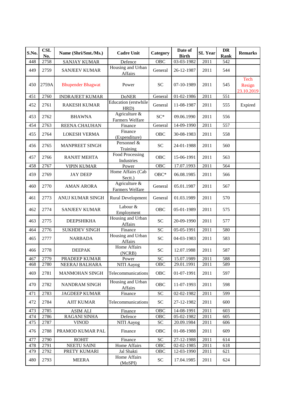| S.No. | <b>CSL</b><br>No. | Name (Shri/Smt./Ms.)     | <b>Cadre Unit</b>                   | Category   | Date of<br><b>Birth</b> | <b>SL</b> Year | DR<br>Rank | <b>Remarks</b>               |
|-------|-------------------|--------------------------|-------------------------------------|------------|-------------------------|----------------|------------|------------------------------|
| 448   | 2758              | <b>SANJAY KUMAR</b>      | Defence                             | OBC        | 03-03-1982              | 2011           | 542        |                              |
| 449   | 2759              | <b>SANJEEV KUMAR</b>     | Housing and Urban<br>Affairs        | General    | 26-12-1987              | 2011           | 544        |                              |
| 450   | 2759A             | <b>Bhupender Bhagwat</b> | Power                               | <b>SC</b>  | 07-10-1989              | 2011           | 545        | Tech<br>Resign<br>23.10.2019 |
| 451   | 2760              | <b>INDRAJEET KUMAR</b>   | <b>DoNER</b>                        | General    | 01-02-1986              | 2011           | 551        |                              |
| 452   | 2761              | <b>RAKESH KUMAR</b>      | Education (erstwhile<br>HRD)        | General    | 11-08-1987              | 2011           | 555        | Expired                      |
| 453   | 2762              | <b>BHAWNA</b>            | Agriculture &<br>Farmers Welfare    | $SC^*$     | 09.06.1990              | 2011           | 556        |                              |
| 454   | 2763              | REENA CHAUHAN            | Finance                             | General    | 14-09-1990              | 2011           | 557        |                              |
| 455   | 2764              | <b>LOKESH VERMA</b>      | Finance<br>(Expenditure)            | <b>OBC</b> | 30-08-1983              | 2011           | 558        |                              |
| 456   | 2765              | <b>MANPREET SINGH</b>    | Personnel &<br>Training             | <b>SC</b>  | 24-01-1988              | 2011           | 560        |                              |
| 457   | 2766              | <b>RANJIT MEHTA</b>      | Food Processing<br>Industries       | OBC        | 15-06-1991              | 2011           | 563        |                              |
| 458   | 2767              | <b>VIPIN KUMAR</b>       | Power                               | OBC        | 17.07.1993              | 2011           | 564        |                              |
| 459   | 2769              | <b>JAY DEEP</b>          | Home Affairs (Cab<br>Sectt.)        | $OBC*$     | 06.08.1985              | 2011           | 566        |                              |
| 460   | 2770              | <b>AMAN ARORA</b>        | Agriculture $\&$<br>Farmers Welfare | General    | 05.01.1987              | 2011           | 567        |                              |
| 461   | 2773              | ANUJ KUMAR SINGH         | <b>Rural Development</b>            | General    | 01.03.1989              | 2011           | 570        |                              |
| 462   | 2774              | <b>SANJEEV KUMAR</b>     | Labour &<br>Employment              | <b>OBC</b> | 05-01-1989              | 2011           | 575        |                              |
| 463   | 2775              | <b>DEEPSHIKHA</b>        | Housing and Urban<br>Affairs        | <b>SC</b>  | 20-09-1990              | 2011           | 577        |                              |
| 464   | 2776              | <b>SUKHDEV SINGH</b>     | Finance                             | <b>SC</b>  | 05-05-1991              | 2011           | 580        |                              |
| 465   | 2777              | <b>NARBADA</b>           | Housing and Urban<br>Affairs        | <b>SC</b>  | 04-03-1983              | 2011           | 583        |                              |
| 466   | 2778              | <b>DEEPAK</b>            | <b>Home Affairs</b><br>(NCRB)       | <b>SC</b>  | 12.07.1988              | 2011           | 587        |                              |
| 467   | 2779              | PRADEEP KUMAR            | Power                               | SC         | 15.07.1989              | 2011           | 588        |                              |
| 468   | 2780              | NEERAJ BALHARA           | NITI Aayog                          | OBC        | 29.01.1991              | 2011           | 589        |                              |
| 469   | 2781              | <b>MANMOHAN SINGH</b>    | Telecommunications                  | OBC        | 01-07-1991              | 2011           | 597        |                              |
| 470   | 2782              | NANDRAM SINGH            | Housing and Urban<br>Affairs        | OBC        | 11-07-1993              | 2011           | 598        |                              |
| 471   | 2783              | <b>JAGDEEP KUMAR</b>     | Finance                             | SC         | 02-02-1982              | 2011           | 599        |                              |
| 472   | 2784              | <b>AJIT KUMAR</b>        | Telecommunications                  | ${\rm SC}$ | 27-12-1982              | 2011           | 600        |                              |
| 473   | 2785              | <b>ASIM ALI</b>          | Finance                             | OBC        | 14-08-1991              | 2011           | 603        |                              |
| 474   | 2786              | <b>RAGANI SINHA</b>      | Defence                             | OBC        | 05-02-1982              | 2011           | 605        |                              |
| 475   | 2787              | <b>VINOD</b>             | NITI Aayog                          | ${\rm SC}$ | 20.09.1984              | 2011           | 606        |                              |
| 476   | 2788              | PRAMOD KUMAR PAL         | Finance                             | <b>OBC</b> | 01-08-1988              | 2011           | 609        |                              |
| 477   | 2790              | <b>ROHIT</b>             | Finance                             | <b>SC</b>  | 27-12-1988              | 2011           | 614        |                              |
| 478   | 2791              | <b>NEETU SAINI</b>       | Home Affairs                        | OBC        | 02-02-1985              | 2011           | 618        |                              |
| 479   | 2792              | PRETY KUMARI             | Jal Shakti                          | OBC        | 12-03-1990              | 2011           | 621        |                              |
| 480   | 2793              | <b>MEERA</b>             | Home Affairs<br>(MoSPI)             | SC         | 17.04.1985              | 2011           | 624        |                              |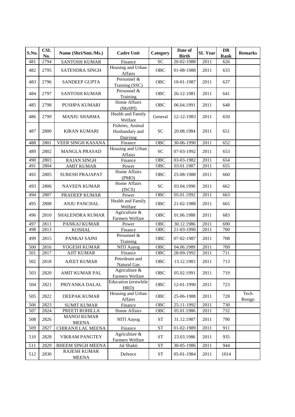| S.No. | <b>CSL</b><br>No. | Name (Shri/Smt./Ms.)                | <b>Cadre Unit</b>                              | Category           | Date of<br><b>Birth</b> | <b>SL Year</b>    | <b>DR</b><br>Rank | <b>Remarks</b> |
|-------|-------------------|-------------------------------------|------------------------------------------------|--------------------|-------------------------|-------------------|-------------------|----------------|
| 481   | 2794              | <b>SANTOSH KUMAR</b>                | Finance                                        | <b>SC</b>          | 20-02-1988              | 2011              | 626               |                |
| 482   | 2795              | SATENDRA SINGH                      | Housing and Urban<br>Affairs                   | OBC                | 01-08-1988              | 2011              | 633               |                |
| 483   | 2796              | <b>SANDEEP GUPTA</b>                | Personnel &<br>Training (SSC)                  | OBC                | 10-01-1987              | 2011              | 637               |                |
| 484   | 2797              | <b>SANTOSH KUMAR</b>                | Personnel &<br>Training                        | OBC                | 26-12-1981              | 2011              | 641               |                |
| 485   | 2798              | PUSHPA KUMARI                       | Home Affairs<br>(MoSPI)                        | OBC                | 06.04.1991              | 2011              | 648               |                |
| 486   | 2799              | <b>MANJU SHARMA</b>                 | <b>Health and Family</b><br>Welfare            | General            | 12-12-1983              | 2011              | 650               |                |
| 487   | 2800              | <b>KIRAN KUMARI</b>                 | Fishries, Animal<br>Husbandary and<br>Dairying | <b>SC</b>          | 20.08.1984              | 2011              | 651               |                |
| 488   | 2801              | VEER SINGH KASANA                   | Finance                                        | OBC                | 30-06-1990              | 2011              | 652               |                |
| 489   | 2802              | <b>MANGLA PRASAD</b>                | Housing and Urban<br>Affairs                   | <b>SC</b>          | 07-03-1992              | 2011              | 653               |                |
| 490   | 2803              | <b>RAJAN SINGH</b>                  | Finance                                        | OBC                | 03-03-1982              | 2011              | 654               |                |
| 491   | 2804              | <b>AMIT KUMAR</b>                   | Power                                          | <b>OBC</b>         | 03.01.1987              | 2011              | 655               |                |
| 492   | 2805              | <b>SURESH PRAJAPAT</b>              | Home Affairs<br>(PMO)                          | <b>OBC</b>         | 25-08-1988              | 2011              | 660               |                |
| 493   | 2806              | <b>NAVEEN KUMAR</b>                 | Home Affairs<br>(ISCS)                         | <b>SC</b>          | 03.04.1990              | 2011              | 662               |                |
| 494   | 2807              | PRADEEP KUMAR                       | Power                                          | <b>OBC</b>         | 05.01.1992              | 2011              | 663               |                |
| 495   | 2808              | ANJU PANCHAL                        | Health and Family<br>Welfare                   | <b>OBC</b>         | 21-02-1988              | 2011              | 665               |                |
| 496   | 2810              | SHALENDRA KUMAR                     | Agriculture &<br>Farmers Welfare               | OBC                | 01.06.1988              | 2011              | 683               |                |
| 497   | 2811              | PANKAJ KUMAR                        | Power                                          | OBC                | 30.12.1986              | 2011              | 690               |                |
| 498   | 2813              | <b>KOSHAL</b>                       | Finance                                        | OBC                | 21-03-1990              | 2011              | 700               |                |
| 499   | 2815              | PANKAJ SAINI                        | Personnel &<br>Training                        | OBC                | 07-02-1987              | 2011              | 708               |                |
| 500   | 2816              | YOGESH KUMAR                        | NITI Aayog                                     | OBC                | 04.06.1989              | $\overline{2011}$ | 709               |                |
| 501   | 2817              | <b>AJIT KUMAR</b>                   | Finance                                        | OBC                | 28-09-1992              | 2011              | 711               |                |
| 502   | 2818              | <b>AJEET KUMAR</b>                  | Petroleum and<br><b>Natural Gas</b>            | OBC                | 13.12.1983              | 2011              | 713               |                |
| 503   | 2820              | AMIT KUMAR PAL                      | Agriculture &<br>Farmers Welfare               | OBC                | 05.02.1991              | 2011              | 719               |                |
| 504   | 2821              | PRIYANKA DALAL                      | Education (erstwhile<br>HRD)                   | ${\rm OBC}$        | 12-01-1990              | 2011              | 723               |                |
| 505   | 2822              | DEEPAK KUMAR                        | Housing and Urban<br>Affairs                   | OBC                | 25-06-1988              | 2011              | 728               | Tech<br>Resign |
| 506   | 2823              | <b>SUMIT KUMAR</b>                  | Finance                                        | OBC                | 25-11-1992              | 2011              | 730               |                |
| 507   | 2824              | PREETI ROHILLA                      | Home Affairs                                   | OBC                | 05.01.1986              | 2011              | 732               |                |
| 508   | 2826              | <b>MANOJ KUMAR</b><br><b>MEENA</b>  | NITI Aayog                                     | <b>ST</b>          | 31.12.1987              | 2011              | 790               |                |
| 509   | 2827              | CHIRANJI LAL MEENA                  | Finance                                        | <b>ST</b>          | 01-02-1989              | 2011              | 911               |                |
| 510   | 2828              | <b>VIKRAM PANGTEY</b>               | Agriculture &<br>Farmers Welfare               | <b>ST</b>          | 23.03.1986              | 2011              | 935               |                |
| 511   | 2829              | <b>BHEEM SINGH MEENA</b>            | Jal Shakti                                     | ${\cal S}{\cal T}$ | 30-05-1986              | 2011              | 944               |                |
| 512   | 2830              | <b>RAJESH KUMAR</b><br><b>MEENA</b> | Defence                                        | ${\cal S}{\cal T}$ | 05-01-1984              | 2011              | 1014              |                |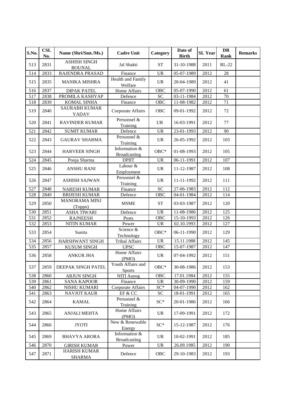| S.No. | <b>CSL</b><br>No. | Name (Shri/Smt./Ms.)                 | <b>Cadre Unit</b>                    | Category                          | Date of<br><b>Birth</b> | <b>SL Year</b> | DR<br><b>Rank</b> | <b>Remarks</b> |
|-------|-------------------|--------------------------------------|--------------------------------------|-----------------------------------|-------------------------|----------------|-------------------|----------------|
| 513   | 2831              | <b>ASHISH SINGH</b><br><b>BOUNAL</b> | Jal Shakti                           | <b>ST</b>                         | 31-10-1988              | 2011           | $RL-22$           |                |
| 514   | 2833              | RAJENDRA PRASAD                      | Finance                              | <b>UR</b>                         | 05-07-1989              | 2012           | 28                |                |
| 515   | 2835              | <b>MANIKA MISHRA</b>                 | <b>Health and Family</b><br>Welfare  | <b>UR</b>                         | 20-04-1989              | 2012           | 41                |                |
| 516   | 2837              | <b>DIPAK PATEL</b>                   | Home Affairs                         | OBC                               | 05-07-1990              | 2012           | 61                |                |
| 517   | 2838              | PROMILA KASHYAP                      | Defence                              | <b>SC</b>                         | 03-11-1984              | 2012           | 70                |                |
| 518   | 2839              | <b>KOMAL SINHA</b>                   | Finance                              | OB <sub>C</sub>                   | 11-08-1982              | 2012           | 71                |                |
| 519   | 2840              | <b>SAURABH KUMAR</b><br>YADAV        | Corporate Affairs                    | <b>OBC</b>                        | 09-01-1992              | 2012           | 72                |                |
| 520   | 2841              | <b>RAVINDER KUMAR</b>                | Personnel &<br>Training              | <b>UR</b>                         | 16-03-1991              | 2012           | 77                |                |
| 521   | 2842              | <b>SUMIT KUMAR</b>                   | Defence                              | <b>UR</b>                         | 23-01-1993              | 2012           | 90                |                |
| 522   | 2843              | <b>GAURAV SHARMA</b>                 | Personnel &<br>Training              | <b>UR</b>                         | 26-05-1992              | 2012           | 103               |                |
| 523   | 2844              | <b>HARVEER SINGH</b>                 | Information &<br>Broadcasting        | $OBC*$                            | 01-08-1993              | 2012           | 105               |                |
| 524   | 2845              | Pooja Sharma                         | <b>DPIIT</b>                         | <b>UR</b>                         | 06-11-1991              | 2012           | 107               |                |
| 525   | 2846              | <b>ANSHU RANI</b>                    | Labour &<br>Employment               | <b>UR</b>                         | 11-12-1987              | 2012           | 108               |                |
| 526   | 2847              | <b>ASHISH SAJWAN</b>                 | Personnel &<br>Training              | <b>UR</b>                         | 11-11-1992              | 2012           | 111               |                |
| 527   | 2848              | <b>NARESH KUMAR</b>                  | Finance                              | <b>SC</b>                         | 27-06-1983              | 2012           | 112               |                |
| 528   | 2849              | <b>BRIJESH KUMAR</b>                 | Defence                              | OBC                               | 04-01-1984              | 2012           | 114               |                |
| 529   | 2850              | <b>MANORAMA MINJ</b><br>(Toppo)      | <b>MSME</b>                          | <b>ST</b>                         | 03-03-1987              | 2012           | 120               |                |
| 530   | 2851              | <b>ASHA TIWARI</b>                   | Defence                              | <b>UR</b>                         | 11-08-1986              | 2012           | 125               |                |
| 531   | 2852              | <b>RAJNEESH</b>                      | Posts                                | OBC                               | 15-10-1993              | 2012           | 126               |                |
| 532   | 2853              | <b>NITIN KUMAR</b>                   | Power                                | <b>UR</b>                         | 02.10.1993              | 2012           | 127               |                |
| 533   | 2854              | Sunita                               | Science &<br>Technology              | $OBC*$                            | 06-11-1990              | 2012           | 129               |                |
| 534   | 2856              | HARSHWANT SINGH                      | Tribal Affairs                       | $\overline{UR}$                   | 15.11.1988              | 2012           | 145               |                |
| 535   | 2857              | <b>KUSUM SINGH</b>                   | <b>UPSC</b>                          | OBC                               | 15-07-1987              | 2012           | 147               |                |
| 536   | 2858              | <b>ANKUR JHA</b>                     | Home Affairs<br>(PMO)                | <b>UR</b>                         | 07-04-1992              | 2012           | 151               |                |
| 537   |                   | 2859 DEEPAK SINGH PATEL              | Youth Affairs and<br><b>Sports</b>   | $OBC*$                            | 30-08-1986              | 2012           | 153               |                |
| 538   | 2860              | <b>ARJUN SINGH</b>                   | NITI Aayog                           | OBC                               | 17.01.1984              | 2012           | 155               |                |
| 539   | 2861              | <b>SANA KAPOOR</b>                   | Finance                              | <b>UR</b>                         | 30-09-1990              | 2012           | 159               |                |
| 540   | 2862              | NISHU KUMARI                         | Corporate Affairs                    | $SC^*$                            | 04-07-1990              | 2012           | 162               |                |
| 541   | 2863              | <b>NAVJOT KAUR</b>                   | EF & CC                              | $\ensuremath{\mathbf{SC}}$        | 18-01-1991              | 2012           | 165               |                |
| 542   | 2864              | <b>KAMAL</b>                         | Personnel &<br>Training              | $SC^*$                            | 20-01-1986              | 2012           | 166               |                |
| 543   | 2865              | <b>ANJALI MEHTA</b>                  | Home Affairs<br>(PMO)                | <b>UR</b>                         | 17-09-1991              | 2012           | 172               |                |
| 544   | 2866              | <b>JYOTI</b>                         | New & Renewable<br>Energy            | $SC^*$                            | 15-12-1987              | 2012           | 176               |                |
| 545   | 2869              | <b>BHAVYA ARORA</b>                  | Information &<br><b>Broadcasting</b> | <b>UR</b>                         | 10-02-1991              | 2012           | 185               |                |
| 546   | 2870              | <b>GIRISH KUMAR</b>                  | Power                                | $\ensuremath{\mathsf{UR}}\xspace$ | 26.09.1985              | 2012           | 190               |                |
| 547   | 2871              | <b>HARISH KUMAR</b><br><b>SHARMA</b> | Defence                              | OBC                               | 29-10-1983              | 2012           | 193               |                |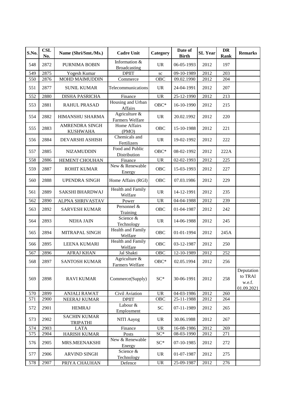| S.No. | <b>CSL</b><br>No. | Name (Shri/Smt./Ms.)                     | <b>Cadre Unit</b>                    | Category                          | Date of<br><b>Birth</b> | <b>SL</b> Year | <b>DR</b><br>Rank | <b>Remarks</b>                                |
|-------|-------------------|------------------------------------------|--------------------------------------|-----------------------------------|-------------------------|----------------|-------------------|-----------------------------------------------|
| 548   | 2872              | PURNIMA BOBIN                            | Information &<br><b>Broadcasting</b> | <b>UR</b>                         | 06-05-1993              | 2012           | 197               |                                               |
| 549   | 2875              | Yogesh Kumar                             | <b>DPIIT</b>                         | sc                                | 09-10-1989              | 2012           | 203               |                                               |
| 550   | 2876              | MOHD MAIMUDDIN                           | Commerce                             | OBC                               | 09.02.1990              | 2012           | 204               |                                               |
| 551   | 2877              | <b>SUNIL KUMAR</b>                       | Telecommunications                   | <b>UR</b>                         | 24-04-1991              | 2012           | 207               |                                               |
| 552   | 2880              | DISHA PASRICHA                           | Finance                              | <b>UR</b>                         | 25-12-1990              | 2012           | 213               |                                               |
| 553   | 2881              | RAHUL PRASAD                             | Housing and Urban<br>Affairs         | $OBC*$                            | 16-10-1990              | 2012           | 215               |                                               |
| 554   | 2882              | <b>HIMANSHU SHARMA</b>                   | Agriculture &<br>Farmers Welfare     | <b>UR</b>                         | 20.02.1992              | 2012           | 220               |                                               |
| 555   | 2883              | <b>AMRENDRA SINGH</b><br><b>KUSHWAHA</b> | Home Affairs<br>(PMO)                | <b>OBC</b>                        | 15-10-1988              | 2012           | 221               |                                               |
| 556   | 2884              | DEVARSHI ASHISH                          | Chemicals and<br>Fertilizers         | <b>UR</b>                         | 19-02-1992              | 2012           | 222               |                                               |
| 557   | 2885              | <b>NIZAMUDDIN</b>                        | Food and Public<br>Distribution      | $OBC*$                            | 08-02-1992              | 2012           | 222A              |                                               |
| 558   | 2886              | <b>HEMENT CHOUHAN</b>                    | Finance                              | <b>UR</b>                         | 02-02-1993              | 2012           | 225               |                                               |
| 559   | 2887              | ROHIT KUMAR                              | New & Renewable<br>Energy            | OBC                               | 15-03-1993              | 2012           | 227               |                                               |
| 560   | 2888              | <b>UPENDRA SINGH</b>                     | Home Affairs (RGI)                   | <b>OBC</b>                        | 07.03.1986              | 2012           | 229               |                                               |
| 561   | 2889              | SAKSHI BHARDWAJ                          | Health and Family<br>Welfare         | <b>UR</b>                         | 14-12-1991              | 2012           | 235               |                                               |
| 562   | 2890              | ALPNA SHRIVASTAV                         | Power                                | <b>UR</b>                         | 04-04-1988              | 2012           | 239               |                                               |
| 563   | 2892              | <b>SARVESH KUMAR</b>                     | Personnel &<br>Training              | OBC                               | 01-04-1987              | 2012           | 242               |                                               |
| 564   | 2893              | <b>NEHA JAIN</b>                         | Science &<br>Technology              | <b>UR</b>                         | 14-06-1988              | 2012           | 245               |                                               |
| 565   | 2894              | MITRAPAL SINGH                           | Health and Family<br>Welfare         | <b>OBC</b>                        | 01-01-1994              | 2012           | 245A              |                                               |
| 566   | 2895              | <b>LEENA KUMARI</b>                      | Health and Family<br>Welfare         | OBC                               | 03-12-1987              | 2012           | 250               |                                               |
| 567   | 2896              | <b>AFRAJ KHAN</b>                        | Jal Shakti                           | <b>OBC</b>                        | 12-10-1989              | 2012           | 252               |                                               |
| 568   | 2897              | <b>SANTOSH KUMAR</b>                     | Agriculture &<br>Farmers Welfare     | $OBC*$                            | 02.05.1994              | 2012           | 256               |                                               |
| 569   | 2898              | <b>RAVI KUMAR</b>                        | Commerce(Supply)                     | $SC*$                             | 30-06-1991              | 2012           | 258               | Deputation<br>to TRAI<br>w.e.f.<br>01.09.2021 |
| 570   | 2899              | <b>ANJALI RAWAT</b>                      | Civil Aviation                       | <b>UR</b>                         | 04-03-1986              | 2012           | 260               |                                               |
| 571   | 2900              | NEERAJ KUMAR                             | <b>DPIIT</b>                         | OBC                               | 25-11-1988              | 2012           | 264               |                                               |
| 572   | 2901              | <b>HEMRAJ</b>                            | Labour &<br>Employment               | <b>SC</b>                         | 07-11-1989              | 2012           | 265               |                                               |
| 573   | 2902              | <b>SACHIN KUMAR</b><br><b>TRIPATHI</b>   | NITI Aayog                           | <b>UR</b>                         | 30.06.1988              | 2012           | 267               |                                               |
| 574   | 2903              | LATA                                     | Finance                              | <b>UR</b>                         | 16-08-1986              | 2012           | 269               |                                               |
| 575   | 2904              | <b>HARISH KUMAR</b>                      | Posts                                | $SC*$                             | 08-03-1990              | 2012           | 271               |                                               |
| 576   | 2905              | MRS.MEENAKSHI                            | New & Renewable<br>Energy            | $SC^*$                            | 07-10-1985              | 2012           | 272               |                                               |
| 577   | 2906              | <b>ARVIND SINGH</b>                      | Science &<br>Technology              | <b>UR</b>                         | 01-07-1987              | 2012           | 275               |                                               |
| 578   | 2907              | PRIYA CHAUHAN                            | Defence                              | $\ensuremath{\mathsf{UR}}\xspace$ | 25-09-1987              | 2012           | 276               |                                               |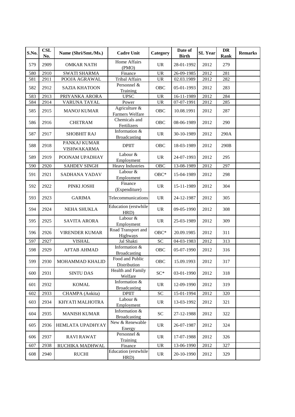| S.No. | <b>CSL</b><br>No. | Name (Shri/Smt./Ms.)        | <b>Cadre Unit</b>                    | Category                          | Date of<br><b>Birth</b>   | <b>SL</b> Year | <b>DR</b><br>Rank | <b>Remarks</b> |
|-------|-------------------|-----------------------------|--------------------------------------|-----------------------------------|---------------------------|----------------|-------------------|----------------|
| 579   | 2909              | <b>OMKAR NATH</b>           | Home Affairs<br>(PMO)                | <b>UR</b>                         | 28-01-1992                | 2012           | 279               |                |
| 580   | 2910              | <b>SWATI SHARMA</b>         | Finance                              | <b>UR</b>                         | 26-09-1985                | 2012           | 281               |                |
| 581   | 2911              | POOJA AGRAWAL               | <b>Tribal Affairs</b>                | <b>UR</b>                         | 02.03.1989                | 2012           | 282               |                |
| 582   | 2912              | <b>SAZIA KHATOON</b>        | Personnel &<br>Training              | OBC                               | 05-01-1993                | 2012           | 283               |                |
| 583   | 2913              | PRIYANKA ARORA              | <b>UPSC</b>                          | <b>UR</b>                         | 16-11-1989                | 2012           | 284               |                |
| 584   | 2914              | VARUNA TAYAL                | Power                                | <b>UR</b>                         | $\overline{07-07} - 1991$ | 2012           | 285               |                |
| 585   | 2915              | <b>MANOJ KUMAR</b>          | Agriculture &<br>Farmers Welfare     | <b>OBC</b>                        | 10.08.1991                | 2012           | 287               |                |
| 586   | 2916              | <b>CHETRAM</b>              | Chemicals and<br>Fertilizers         | <b>OBC</b>                        | 08-06-1989                | 2012           | 290               |                |
| 587   | 2917              | <b>SHOBHIT RAJ</b>          | Information &<br><b>Broadcasting</b> | <b>UR</b>                         | 30-10-1989                | 2012           | 290A              |                |
| 588   | 2918              | PANKAJ KUMAR<br>VISHWAKARMA | <b>DPIIT</b>                         | OBC                               | 18-03-1989                | 2012           | 290B              |                |
| 589   | 2919              | POONAM UPADHAY              | Labour &<br>Employment               | <b>UR</b>                         | 24-07-1993                | 2012           | 295               |                |
| 590   | 2920              | <b>SAHDEV SINGH</b>         | <b>Heavy Industries</b>              | <b>OBC</b>                        | 13-08-1989                | 2012           | 297               |                |
| 591   | 2921              | SADHANA YADAV               | Labour &<br>Employment               | $OBC*$                            | 15-04-1989                | 2012           | 298               |                |
| 592   | 2922              | PINKI JOSHI                 | Finance<br>(Expenditure)             | <b>UR</b>                         | 15-11-1989                | 2012           | 304               |                |
| 593   | 2923              | <b>GARIMA</b>               | Telecommunications                   | <b>UR</b>                         | 24-12-1987                | 2012           | 305               |                |
| 594   | 2924              | NEHA SHUKLA                 | Education (erstwhile<br>HRD)         | <b>UR</b>                         | 09-05-1990                | 2012           | 308               |                |
| 595   | 2925              | <b>SAVITA ARORA</b>         | Labour &<br>Employment               | <b>UR</b>                         | 25-03-1989                | 2012           | 309               |                |
| 596   | 2926              | <b>VIRENDER KUMAR</b>       | Road Transport and<br>Highways       | $OBC*$                            | 20.09.1985                | 2012           | 311               |                |
| 597   | 2927              | <b>VISHAL</b>               | Jal Shakti                           | $\overline{SC}$                   | 04-03-1983                | 2012           | 313               |                |
| 598   | 2929              | <b>AFTAB AHMAD</b>          | Information &<br>Broadcasting        | <b>OBC</b>                        | 05-07-1990                | 2012           | 316               |                |
| 599   | 2930              | MOHAMMAD KHALID             | Food and Public<br>Distribution      | <b>OBC</b>                        | 15.09.1993                | 2012           | 317               |                |
| 600   | 2931              | <b>SINTU DAS</b>            | Health and Family<br>Welfare         | $SC^*$                            | 03-01-1990                | 2012           | 318               |                |
| 601   | 2932              | <b>KOMAL</b>                | Information &<br><b>Broadcasting</b> | <b>UR</b>                         | 12-09-1990                | 2012           | 319               |                |
| 602   | 2933              | CHAMPA (Ankita)             | <b>DPIIT</b>                         | ${\rm SC}$                        | 15-01-1994                | 2012           | 320               |                |
| 603   | 2934              | KHYATI MALHOTRA             | Labour &<br>Employment               | <b>UR</b>                         | 13-03-1992                | 2012           | 321               |                |
| 604   | 2935              | <b>MANISH KUMAR</b>         | Information &<br><b>Broadcasting</b> | $\ensuremath{\mathbf{SC}}$        | 27-12-1988                | 2012           | 322               |                |
| 605   | 2936              | HEMLATA UPADHYAY            | New & Renewable<br>Energy            | <b>UR</b>                         | 26-07-1987                | 2012           | 324               |                |
| 606   | 2937              | <b>RAVI RAWAT</b>           | Personnel &<br>Training              | <b>UR</b>                         | 17-07-1988                | 2012           | 326               |                |
| 607   | 2938              | RUCHIKA MADHWAL             | Finance                              | $\ensuremath{\mathsf{UR}}\xspace$ | 13-06-1990                | 2012           | 327               |                |
| 608   | 2940              | <b>RUCHI</b>                | Education (erstwhile<br>HRD)         | UR                                | 20-10-1990                | 2012           | 329               |                |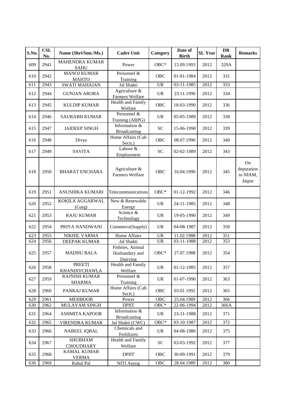| S.No. | <b>CSL</b><br>No. | Name (Shri/Smt./Ms.)                  | <b>Cadre Unit</b>                              | Category                          | Date of<br><b>Birth</b> | <b>SL</b> Year | <b>DR</b><br>Rank | <b>Remarks</b>                         |
|-------|-------------------|---------------------------------------|------------------------------------------------|-----------------------------------|-------------------------|----------------|-------------------|----------------------------------------|
| 609   | 2941              | <b>MAHENDRA KUMAR</b><br><b>SAHU</b>  | Power                                          | $OBC*$                            | 15.09.1993              | 2012           | 329A              |                                        |
| 610   | 2942              | <b>MANOJ KUMAR</b><br><b>MAHTO</b>    | Personnel &<br>Training                        | <b>OBC</b>                        | 01-01-1984              | 2012           | 331               |                                        |
| 611   | 2943              | <b>SWATI MAHAJAN</b>                  | Jal Shakti                                     | <b>UR</b>                         | 03-11-1985              | 2012           | 333               |                                        |
| 612   | 2944              | <b>GUNJAN ARORA</b>                   | Agriculture &<br>Farmers Welfare               | <b>UR</b>                         | 23.11.1990              | 2012           | 334               |                                        |
| 613   | 2945              | <b>KULDIP KUMAR</b>                   | Health and Family<br>Welfare                   | <b>OBC</b>                        | 18-03-1990              | 2012           | 336               |                                        |
| 614   | 2946              | <b>SAURABH KUMAR</b>                  | Personnel $\overline{\&}$<br>Training (ARPG)   | <b>UR</b>                         | 05-05-1989              | 2012           | 338               |                                        |
| 615   | 2947              | <b>JAIDEEP SINGH</b>                  | Information &<br><b>Broadcasting</b>           | <b>SC</b>                         | 15-06-1990              | 2012           | 339               |                                        |
| 616   | 2948              | Divya                                 | Home Affairs (Cab<br>Sectt.)                   | OBC                               | 08.07.1990              | 2012           | 340               |                                        |
| 617   | 2949              | <b>SAVITA</b>                         | Labour $&$<br>Employment                       | <b>SC</b>                         | 02-02-1989              | 2012           | 343               |                                        |
| 618   | 2950              | <b>BHARAT ENCHARA</b>                 | Agriculture &<br><b>Farmers Welfare</b>        | <b>OBC</b>                        | 16.04.1990              | 2012           | 345               | On<br>deputation<br>to NIAM,<br>Jaipur |
| 619   | 2951              | ANUSHIKA KUMARI                       | Telecommunications                             | OBC*                              | 01-12-1992              | 2012           | 346               |                                        |
| 620   | 2952              | KOKILA AGGARWAL<br>(Garg)             | New & Renewable<br>Energy                      | <b>UR</b>                         | 24-11-1985              | 2012           | 348               |                                        |
| 621   | 2953              | <b>RAJU KUMAR</b>                     | Science &<br>Technology                        | <b>UR</b>                         | 19-05-1990              | 2012           | 349               |                                        |
| 622   | 2954              | PRIYA NANDWANI                        | Commerce(Supply)                               | <b>UR</b>                         | 04-08-1987              | 2012           | 350               |                                        |
| 623   | 2955              | NIKHIL VARMA                          | Home Affairs                                   | $\ensuremath{\mathsf{UR}}\xspace$ | 11.02.1988              | 2012           | 351               |                                        |
| 624   | 2956              | DEEPAK KUMAR                          | Jal Shakti                                     | <b>UR</b>                         | 03-11-1988              | 2012           | 353               |                                        |
| 625   | 2957              | <b>MADHU BALA</b>                     | Fishries, Animal<br>Husbandary and<br>Dairying | $OBC*$                            | 27.07.1988              | 2012           | 354               |                                        |
| 626   | 2958              | <b>PREETI</b><br>KHANIJO/CHAWLA       | Health and Family<br>Welfare                   | <b>UR</b>                         | 01-12-1985              | 2012           | 357               |                                        |
| 627   | 2959              | <b>RAJNISH KUMAR</b><br><b>SHARMA</b> | Personnel &<br>Training                        | <b>UR</b>                         | 01-07-1990              | 2012           | 363               |                                        |
| 628   | 2960              | PANKAJ KUMAR                          | Home Affairs (Cab<br>Sectt.)                   | OBC                               | 03.01.1992              | 2012           | 365               |                                        |
| 629   | 2961              | <b>MEHBOOB</b>                        | Power                                          | OBC                               | 25.04.1989              | 2012           | 366               |                                        |
| 630   | 2962              | MULAYAM SINGH                         | <b>DPIIT</b>                                   | $OBC*$                            | 22-06-1994              | 2012           | 366A              |                                        |
| 631   | 2964              | <b>ASHMITA KAPOOR</b>                 | Information &<br><b>Broadcasting</b>           | <b>UR</b>                         | 23-11-1988              | 2012           | 371               |                                        |
| 632   | 2965              | VIRENDRA KUMAR                        | Jal Shakti (CWC)                               | $OBC*$                            | 03-10-1987              | 2012           | 372               |                                        |
| 633   | 2966              | <b>NABEEL IQBAL</b>                   | Chemicals and<br>Fertilizers                   | <b>UR</b>                         | 04-08-1986              | 2012           | 375               |                                        |
| 634   | 2967              | <b>SHUBHAM</b><br><b>CHOUDHARY</b>    | Health and Family<br>Welfare                   | SC <sub>1</sub>                   | 03-03-1992              | 2012           | 377               |                                        |
| 635   | 2968              | <b>KAMAL KUMAR</b><br><b>VERMA</b>    | <b>DPIIT</b>                                   | OBC                               | 30-09-1991              | 2012           | 379               |                                        |
| 636   | 2969              | Rahul Pal                             | NITI Aayog                                     | OBC                               | 28.04.1989              | 2012           | 380               |                                        |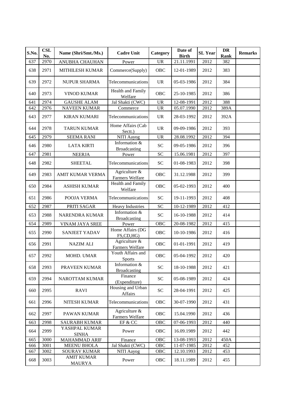| S.No. | <b>CSL</b><br>No. | Name (Shri/Smt./Ms.)               | <b>Cadre Unit</b>                    | Category                          | Date of<br><b>Birth</b> | <b>SL Year</b> | DR<br>Rank | <b>Remarks</b> |
|-------|-------------------|------------------------------------|--------------------------------------|-----------------------------------|-------------------------|----------------|------------|----------------|
| 637   | 2970              | ANUBHA CHAUHAN                     | Power                                | <b>UR</b>                         | 21.11.1991              | 2012           | 382        |                |
| 638   | 2971              | <b>MITHILESH KUMAR</b>             | Commerce(Supply)                     | <b>OBC</b>                        | 12-01-1989              | 2012           | 383        |                |
| 639   | 2972              | <b>NUPUR SHARMA</b>                | Telecommunications                   | <b>UR</b>                         | 05-03-1986              | 2012           | 384        |                |
| 640   | 2973              | <b>VINOD KUMAR</b>                 | Health and Family<br>Welfare         | <b>OBC</b>                        | 25-10-1985              | 2012           | 386        |                |
| 641   | 2974              | <b>GAUSHE ALAM</b>                 | Jal Shakti (CWC)                     | <b>UR</b>                         | 12-08-1991              | 2012           | 388        |                |
| 642   | 2976              | <b>NAVEEN KUMAR</b>                | Commerce                             | $\ensuremath{\mathrm{UR}}\xspace$ | 05.07.1990              | 2012           | 389A       |                |
| 643   | 2977              | <b>KIRAN KUMARI</b>                | Telecommunications                   | <b>UR</b>                         | 28-03-1992              | 2012           | 392A       |                |
| 644   | 2978              | <b>TARUN KUMAR</b>                 | Home Affairs (Cab<br>Sectt.)         | <b>UR</b>                         | 09-09-1986              | 2012           | 393        |                |
| 645   | 2979              | <b>SEEMA RANI</b>                  | NITI Aayog                           | <b>UR</b>                         | 28.08.1992              | 2012           | 394        |                |
| 646   | 2980              | <b>LATA KIRTI</b>                  | Information &<br><b>Broadcasting</b> | <b>SC</b>                         | 09-05-1986              | 2012           | 396        |                |
| 647   | 2981              | <b>NEERJA</b>                      | Power                                | <b>SC</b>                         | 15.06.1981              | 2012           | 397        |                |
| 648   | 2982              | <b>SHEETAL</b>                     | Telecommunications                   | SC                                | 01-08-1983              | 2012           | 398        |                |
| 649   | 2983              | AMIT KUMAR VERMA                   | Agriculture &<br>Farmers Welfare     | <b>OBC</b>                        | 31.12.1988              | 2012           | 399        |                |
| 650   | 2984              | <b>ASHISH KUMAR</b>                | Health and Family<br>Welfare         | OBC                               | 05-02-1993              | 2012           | 400        |                |
| 651   | 2986              | POOJA VERMA                        | Telecommunications                   | <b>SC</b>                         | 19-11-1993              | 2012           | 408        |                |
| 652   | 2987              | PRITI SAGAR                        | <b>Heavy Industries</b>              | <b>SC</b>                         | 10-12-1989              | 2012           | 412        |                |
| 653   | 2988              | NARENDRA KUMAR                     | Information &<br><b>Broadcasting</b> | ${\rm SC}$                        | 16-10-1988              | 2012           | 414        |                |
| 654   | 2989              | VINAM JAYA SREE                    | Power                                | OBC                               | 20-08-1982              | 2012           | 415        |                |
| 655   | 2990              | <b>SANJEET YADAV</b>               | Home Affairs (DG<br>FS,CD,HG)        | OBC                               | 10-10-1986              | 2012           | 416        |                |
| 656   | 2991              | <b>NAZIM ALI</b>                   | Agriculture &<br>Farmers Welfare     | OBC                               | 01-01-1991              | 2012           | 419        |                |
| 657   | 2992              | MOHD. UMAR                         | Youth Affairs and<br><b>Sports</b>   | OBC                               | 05-04-1992              | 2012           | 420        |                |
| 658   | 2993              | PRAVEEN KUMAR                      | Information &<br><b>Broadcasting</b> | ${\rm SC}$                        | 18-10-1988              | 2012           | 421        |                |
| 659   | 2994              | NAROTTAM KUMAR                     | Finance<br>(Expenditure)             | $\ensuremath{\mathbf{SC}}$        | 05-08-1989              | 2012           | 424        |                |
| 660   | 2995              | <b>RAVI</b>                        | Housing and Urban<br>Affairs         | SC                                | 28-04-1991              | 2012           | 425        |                |
| 661   | 2996              | NITESH KUMAR                       | Telecommunications                   | OBC                               | 30-07-1990              | 2012           | 431        |                |
| 662   | 2997              | PAWAN KUMAR                        | Agriculture &<br>Farmers Welfare     | OBC                               | 15.04.1990              | 2012           | 436        |                |
| 663   | 2998              | <b>SAURABH KUMAR</b>               | EF & CC                              | OBC                               | 07-06-1993              | 2012           | 440        |                |
| 664   | 2999              | YASHPAL KUMAR<br><b>SINHA</b>      | Power                                | OBC                               | 16.09.1989              | 2012           | 442        |                |
| 665   | 3000              | MAHAMMAD ARIF                      | Finance                              | OBC                               | 13-08-1993              | 2012           | 450A       |                |
| 666   | 3001              | <b>MEENU BHOLA</b>                 | Jal Shakti (CWC)                     | OBC                               | 11-07-1985              | 2012           | 452        |                |
| 667   | 3002              | SOURAV KUMAR                       | NITI Aayog                           | OBC                               | 12.10.1993              | 2012           | 453        |                |
| 668   | 3003              | <b>AMIT KUMAR</b><br><b>MAURYA</b> | Power                                | OBC                               | 18.11.1989              | 2012           | 455        |                |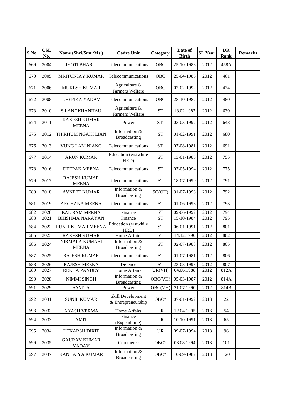| S.No. | <b>CSL</b><br>No. | Name (Shri/Smt./Ms.)                | <b>Cadre Unit</b>                       | Category                           | Date of<br><b>Birth</b> | <b>SL Year</b> | DR<br>Rank | <b>Remarks</b> |
|-------|-------------------|-------------------------------------|-----------------------------------------|------------------------------------|-------------------------|----------------|------------|----------------|
| 669   | 3004              | <b>JYOTI BHARTI</b>                 | Telecommunications                      | OBC                                | 25-10-1988              | 2012           | 458A       |                |
| 670   | 3005              | <b>MRITUNJAY KUMAR</b>              | Telecommunications                      | <b>OBC</b>                         | 25-04-1985              | 2012           | 461        |                |
| 671   | 3006              | <b>MUKESH KUMAR</b>                 | Agriculture &<br>Farmers Welfare        | OBC                                | 02-02-1992              | 2012           | 474        |                |
| 672   | 3008              | DEEPIKA YADAV                       | Telecommunications                      | <b>OBC</b>                         | 28-10-1987              | 2012           | 480        |                |
| 673   | 3010              | S LANGKHANHAU                       | Agriculture &<br>Farmers Welfare        | <b>ST</b>                          | 18.02.1987              | 2012           | 630        |                |
| 674   | 3011              | <b>RAKESH KUMAR</b><br><b>MEENA</b> | Power                                   | <b>ST</b>                          | 03-03-1992              | 2012           | 648        |                |
| 675   | 3012              | TH KHUM NGAIH LIAN                  | Information &<br><b>Broadcasting</b>    | <b>ST</b>                          | 01-02-1991              | 2012           | 680        |                |
| 676   | 3013              | <b>VUNG LAM NIANG</b>               | Telecommunications                      | <b>ST</b>                          | 07-08-1981              | 2012           | 691        |                |
| 677   | 3014              | <b>ARUN KUMAR</b>                   | Education (erstwhile<br>HRD)            | <b>ST</b>                          | 13-01-1985              | 2012           | 755        |                |
| 678   | 3016              | <b>DEEPAK MEENA</b>                 | Telecommunications                      | <b>ST</b>                          | 07-05-1994              | 2012           | 775        |                |
| 679   | 3017              | <b>RAJESH KUMAR</b><br><b>MEENA</b> | Telecommunications                      | <b>ST</b>                          | 18-07-1990              | 2012           | 791        |                |
| 680   | 3018              | <b>AVNEET KUMAR</b>                 | Information &<br><b>Broadcasting</b>    | SC(OH)                             | 31-07-1993              | 2012           | 792        |                |
| 681   | 3019              | <b>ARCHANA MEENA</b>                | Telecommunications                      | <b>ST</b>                          | 01-06-1993              | 2012           | 793        |                |
| 682   | 3020              | <b>BAL RAM MEENA</b>                | Finance                                 | <b>ST</b>                          | 09-06-1992              | 2012           | 794        |                |
| 683   | 3021              | <b>BHISHMA NARAYAN</b>              | Finance                                 | <b>ST</b>                          | 15-10-1984              | 2012           | 795        |                |
| 684   | 3022              | PUNIT KUMAR MEENA                   | Education (erstwhile<br>HRD)            | <b>ST</b>                          | 06-01-1991              | 2012           | 801        |                |
| 685   | 3023              | <b>RAKESH KUMAR</b>                 | Home Affairs                            | <b>ST</b>                          | 14.12.1990              | 2012           | 802        |                |
| 686   | 3024              | NIRMALA KUMARI<br><b>MEENA</b>      | Information &<br><b>Broadcasting</b>    | <b>ST</b>                          | 02-07-1988              | 2012           | 805        |                |
| 687   | 3025              | <b>RAJESH KUMAR</b>                 | Telecommunications                      | <b>ST</b>                          | 01-07-1981              | 2012           | 806        |                |
| 688   | 3026              | <b>RAJESH MEENA</b>                 | Defence                                 | <b>ST</b>                          | 23-08-1993              | 2012           | 807        |                |
| 689   | 3027              | <b>REKHA PANDEY</b>                 | Home Affairs                            | UR(VH)                             | 04.06.1988              | 2012           | 812A       |                |
| 690   | 3028              | NIMMI SINGH                         | Information &<br>Broadcasting           | OBC(VH)                            | 05-03-1987              | 2012           | 814A       |                |
| 691   | 3029              | <b>SAVITA</b>                       | Power                                   | OBC(VH)                            | 21.07.1990              | 2012           | 814B       |                |
| 692   | 3031              | <b>SUNIL KUMAR</b>                  | Skill Development<br>& Entrepreneurship | $OBC*$                             | 07-01-1992              | 2013           | 22         |                |
| 693   | 3032              | <b>AKASH VERMA</b>                  | <b>Home Affairs</b>                     | $\ensuremath{\mathsf{UR}}\xspace$  | 12.04.1995              | 2013           | 54         |                |
| 694   | 3033              | <b>AMIT</b>                         | Finance<br>(Expenditure)                | <b>UR</b>                          | 10-10-1991              | 2013           | 65         |                |
| 695   | 3034              | UTKARSH DIXIT                       | Information &<br><b>Broadcasting</b>    | <b>UR</b>                          | 09-07-1994              | 2013           | 96         |                |
| 696   | 3035              | <b>GAURAV KUMAR</b><br>YADAV        | Commerce                                | $\mathrm{O}\mathrm{B}\mathrm{C}^*$ | 03.08.1994              | 2013           | 101        |                |
| 697   | 3037              | KANHAIYA KUMAR                      | Information &<br><b>Broadcasting</b>    | ${\rm OBC^*}$                      | 10-09-1987              | 2013           | 120        |                |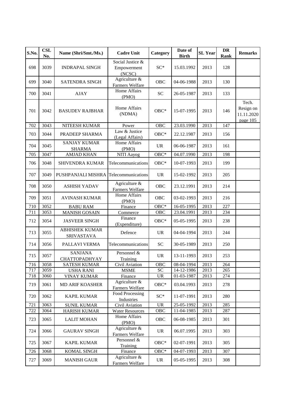| S.No. | <b>CSL</b><br>No. | Name (Shri/Smt./Ms.)                       | <b>Cadre Unit</b>                              | Category                          | Date of<br><b>Birth</b>  | <b>SL</b> Year | <b>DR</b><br>Rank | <b>Remarks</b>                               |
|-------|-------------------|--------------------------------------------|------------------------------------------------|-----------------------------------|--------------------------|----------------|-------------------|----------------------------------------------|
| 698   | 3039              | <b>INDRAPAL SINGH</b>                      | Social Justice &<br>Empowerment<br>(NCSC)      | $SC^*$                            | 15.03.1992               | 2013           | 128               |                                              |
| 699   | 3040              | SATENDRA SINGH                             | Agriculture $\overline{\&}$<br>Farmers Welfare | <b>OBC</b>                        | 04-06-1988               | 2013           | 130               |                                              |
| 700   | 3041              | <b>AJAY</b>                                | Home Affairs<br>(PMO)                          | <b>SC</b>                         | 26-05-1987               | 2013           | 133               |                                              |
| 701   | 3042              | <b>BASUDEV RAJBHAR</b>                     | Home Affairs<br>(NDMA)                         | $OBC*$                            | 15-07-1995               | 2013           | 146               | Tech.<br>Resign on<br>11.11.2020<br>page 105 |
| 702   | 3043              | NITEESH KUMAR                              | Power                                          | <b>OBC</b>                        | 23.03.1990               | 2013           | 147               |                                              |
| 703   | 3044              | PRADEEP SHARMA                             | Law & Justice<br>(Legal Affairs)               | $OBC*$                            | 22.12.1987               | 2013           | 156               |                                              |
| 704   | 3045              | <b>SANJAY KUMAR</b><br><b>SHARMA</b>       | Home Affairs<br>(PMO)                          | <b>UR</b>                         | 06-06-1987               | 2013           | 161               |                                              |
| 705   | 3047              | <b>AMJAD KHAN</b>                          | NITI Aayog                                     | $OBC*$                            | 04.07.1990               | 2013           | 198               |                                              |
| 706   | 3048              | SHIVENDRA KUMAR                            | Telecommunications                             | $OBC*$                            | 10-07-1993               | 2013           | 199               |                                              |
| 707   | 3049              | PUSHPANJALI MISHRA                         | Telecommunications                             | <b>UR</b>                         | 15-02-1992               | 2013           | 205               |                                              |
| 708   | 3050              | <b>ASHISH YADAV</b>                        | Agriculture &<br>Farmers Welfare               | <b>OBC</b>                        | 23.12.1991               | 2013           | 214               |                                              |
| 709   | 3051              | <b>AVINASH KUMAR</b>                       | Home Affairs<br>(PMO)                          | OBC                               | 03-02-1993               | 2013           | 216               |                                              |
| 710   | 3052              | <b>BABU RAM</b>                            | Finance                                        | OBC*                              | 16-05-1995               | 2013           | 227               |                                              |
| 711   | 3053              | <b>MANISH GOSAIN</b>                       | Commerce                                       | OBC                               | 23.04.1991               | 2013           | 234               |                                              |
| 712   | 3054              | <b>JASVEER SINGH</b>                       | Finance<br>(Expenditure)                       | $OBC*$                            | 05-05-1995               | 2013           | 238               |                                              |
| 713   | 3055              | <b>ABHISHEK KUMAR</b><br><b>SRIVASTAVA</b> | Defence                                        | <b>UR</b>                         | 04-04-1994               | 2013           | 244               |                                              |
| 714   | 3056              | PALLAVI VERMA                              | Telecommunications                             | <b>SC</b>                         | 30-05-1989               | 2013           | 250               |                                              |
| 715   | 3057              | <b>SANJANA</b><br><b>CHATTOPADHYAY</b>     | Personnel &<br>Training                        | <b>UR</b>                         | 13-11-1993               | 2013           | 253               |                                              |
| 716   | 3058              | <b>SATESH KUMAR</b>                        | Civil Aviation                                 | <b>OBC</b>                        | 08-04-1994               | 2013           | 264               |                                              |
| 717   | 3059              | <b>USHA RANI</b>                           | <b>MSME</b>                                    | $\ensuremath{\mathbf{SC}}$        | 14-12-1986               | 2013           | 265               |                                              |
| 718   | 3060              | <b>VINAY KUMAR</b>                         | Finance                                        | $\ensuremath{\mathsf{UR}}\xspace$ | 01-03-1987               | 2013           | 274               |                                              |
| 719   | 3061              | MD ARIF KOASHER                            | Agriculture &<br>Farmers Welfare               | $OBC*$                            | 03.04.1993               | 2013           | 278               |                                              |
| 720   | 3062              | <b>KAPIL KUMAR</b>                         | Food Processing<br>Industries                  | $SC^*$                            | 11-07-1991               | 2013           | 280               |                                              |
| 721   | 3063              | <b>SUNIL KUMAR</b>                         | Civil Aviation                                 | <b>UR</b>                         | 25-05-1992               | 2013           | 285               |                                              |
| 722   | 3064              | <b>HARISH KUMAR</b>                        | <b>Water Resources</b>                         | OBC                               | 11-04-1985               | 2013           | 287               |                                              |
| 723   | 3065              | <b>LALIT MOHAN</b>                         | Home Affairs<br>(PMO)                          | <b>OBC</b>                        | 06-08-1985               | 2013           | 301               |                                              |
| 724   | 3066              | <b>GAURAV SINGH</b>                        | Agriculture &<br>Farmers Welfare               | <b>UR</b>                         | 06.07.1995               | 2013           | 303               |                                              |
| 725   | 3067              | <b>KAPIL KUMAR</b>                         | Personnel &<br>Training                        | $OBC*$                            | 02-07-1991               | 2013           | 305               |                                              |
| 726   | 3068              | KOMAL SINGH                                | Finance                                        | $OBC*$                            | $\overline{0}$ 4-07-1993 | 2013           | 307               |                                              |
| 727   | 3069              | <b>MANISH GAUR</b>                         | Agriculture &<br>Farmers Welfare               | <b>UR</b>                         | 05-05-1995               | 2013           | 308               |                                              |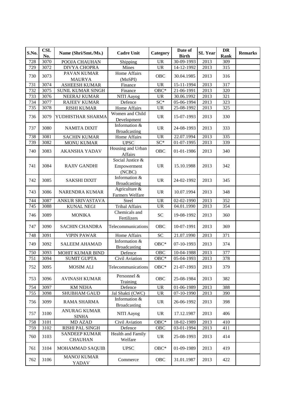| S.No. | CSL<br>No. | Name (Shri/Smt./Ms.)                   | <b>Cadre Unit</b>                         | Category                          | Date of<br><b>Birth</b>  | <b>SL Year</b> | DR<br>Rank | <b>Remarks</b> |
|-------|------------|----------------------------------------|-------------------------------------------|-----------------------------------|--------------------------|----------------|------------|----------------|
| 728   | 3070       | POOJA CHAUHAN                          | Shipping                                  | <b>UR</b>                         | $\overline{30}$ -09-1993 | 2013           | 309        |                |
| 729   | 3072       | <b>DIVYA CHOPRA</b>                    | Mines                                     | <b>UR</b>                         | 14-12-1992               | 2013           | 315        |                |
| 730   | 3073       | PAVAN KUMAR<br><b>MAURYA</b>           | Home Affairs<br>(MoSPI)                   | OBC                               | 30.04.1985               | 2013           | 316        |                |
| 731   | 3074       | <b>ASHEESH KUMAR</b>                   | Finance                                   | <b>UR</b>                         | 15-11-1994               | 2013           | 317        |                |
| 732   | 3075       | SUNIL KUMAR SINGH                      | Finance                                   | $OBC*$                            | 21-06-1991               | 2013           | 320        |                |
| 733   | 3076       | NEERAJ KUMAR                           | NITI Aayog                                | <b>UR</b>                         | 30.06.1992               | 2013           | 321        |                |
| 734   | 3077       | <b>RAJEEV KUMAR</b>                    | Defence                                   | $SC*$                             | 05-06-1994               | 2013           | 323        |                |
| 735   | 3078       | <b>RISHI KUMAR</b>                     | Home Affairs                              | <b>UR</b>                         | 25-08-1992               | 2013           | 325        |                |
| 736   | 3079       | YUDHISTHAR SHARMA                      | Women and Child<br>Development            | <b>UR</b>                         | 15-07-1993               | 2013           | 330        |                |
| 737   | 3080       | <b>NAMITA DIXIT</b>                    | Information &<br><b>Broadcasting</b>      | <b>UR</b>                         | 24-08-1993               | 2013           | 333        |                |
| 738   | 3081       | <b>SACHIN KUMAR</b>                    | Home Affairs                              | <b>UR</b>                         | 22.07.1994               | 2013           | 335        |                |
| 739   | 3082       | <b>MONU KUMAR</b>                      | <b>UPSC</b>                               | $SC*$                             | 01-07-1995               | 2013           | 339        |                |
| 740   | 3083       | <b>AKANSHA YADAV</b>                   | Housing and Urban<br>Affairs              | OBC                               | 01-01-1986               | 2013           | 340        |                |
| 741   | 3084       | <b>RAJIV GANDHI</b>                    | Social Justice &<br>Empowerment<br>(NCBC) | <b>UR</b>                         | 15.10.1988               | 2013           | 342        |                |
| 742   | 3085       | <b>SAKSHI DIXIT</b>                    | Information &<br><b>Broadcasting</b>      | <b>UR</b>                         | 24-02-1992               | 2013           | 345        |                |
| 743   | 3086       | <b>NARENDRA KUMAR</b>                  | Agriculture &<br>Farmers Welfare          | <b>UR</b>                         | 10.07.1994               | 2013           | 348        |                |
| 744   | 3087       | ANKUR SRIVASTAVA                       | Steel                                     | <b>UR</b>                         | 02-02-1990               | 2013           | 352        |                |
| 745   | 3088       | <b>KUNAL NEGI</b>                      | Tribal Affairs                            | $\overline{UR}$                   | 04.01.1990               | 2013           | 354        |                |
| 746   | 3089       | <b>MONIKA</b>                          | Chemicals and<br>Fertilizers              | ${\rm SC}$                        | 19-08-1992               | 2013           | 360        |                |
| 747   | 3090       | <b>SACHIN CHANDRA</b>                  | Telecommunications                        | OBC                               | 10-07-1991               | 2013           | 369        |                |
| 748   | 3091       | <b>VIPIN PAWAR</b>                     | Home Affairs                              | $\overline{SC}$                   | 21.07.1990               | 2013           | 371        |                |
| 749   | 3092       | <b>SALEEM AHAMAD</b>                   | Information &<br><b>Broadcasting</b>      | OBC*                              | 07-10-1993               | 2013           | 374        |                |
| 750   | 3093       | MOHIT KUMAR BIND                       | Defence                                   | OBC                               | 10-04-1988               | 2013           | 377        |                |
| 751   | 3094       | <b>SUMIT GUPTA</b>                     | Civil Aviation                            | $OBC*$                            | 05-04-1993               | 2013           | 378        |                |
| 752   | 3095       | MOSIM ALI                              | <b>Telecommunications</b>                 | $OBC*$                            | 21-07-1993               | 2013           | 379        |                |
| 753   | 3096       | <b>AVINASH KUMAR</b>                   | Personnel &<br>Training                   | OBC                               | 25-08-1984               | 2013           | 382        |                |
| 754   | 3097       | <b>KM NEHA</b>                         | Defence                                   | <b>UR</b>                         | 01-06-1989               | 2013           | 388        |                |
| 755   | 3098       | <b>SHUBHAM GAUD</b>                    | Jal Shakti (CWC)                          | $\ensuremath{\mathsf{UR}}\xspace$ | 07-10-1990               | 2013           | 390        |                |
| 756   | 3099       | RAMA SHARMA                            | Information &<br><b>Broadcasting</b>      | <b>UR</b>                         | 26-06-1992               | 2013           | 398        |                |
| 757   | 3100       | <b>ANURAG KUMAR</b><br><b>SINHA</b>    | <b>NITI Aayog</b>                         | <b>UR</b>                         | 17.12.1987               | 2013           | 406        |                |
| 758   | 3101       | <b>MD AZAD</b>                         | Civil Aviation                            | $OBC*$                            | 18-02-1989               | 2013           | 410        |                |
| 759   | 3102       | RISHI PAL SINGH                        | Defence                                   | OBC                               | 03-01-1994               | 2013           | 411        |                |
| 760   | 3103       | <b>SANDEEP KUMAR</b><br><b>CHAUHAN</b> | Health and Family<br>Welfare              | $\ensuremath{\text{UR}}\xspace$   | 25-08-1993               | 2013           | 414        |                |
| 761   | 3104       | MOHAMMAD SAQUIB                        | <b>UPSC</b>                               | $OBC*$                            | 01-09-1989               | 2013           | 419        |                |
| 762   | 3106       | <b>MANOJ KUMAR</b><br><b>YADAV</b>     | Commerce                                  | OBC                               | 31.01.1987               | 2013           | 422        |                |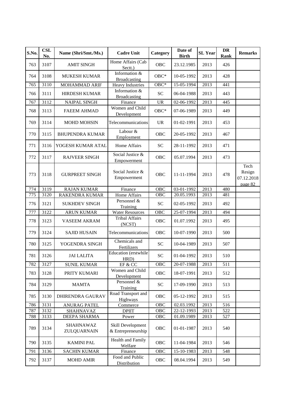| S.No. | <b>CSL</b><br>No. | Name (Shri/Smt./Ms.)     | <b>Cadre Unit</b>                       | Category                   | Date of<br><b>Birth</b> | <b>SL Year</b> | <b>DR</b><br>Rank | <b>Remarks</b>                          |
|-------|-------------------|--------------------------|-----------------------------------------|----------------------------|-------------------------|----------------|-------------------|-----------------------------------------|
| 763   | 3107              | <b>AMIT SINGH</b>        | Home Affairs (Cab<br>Sectt.)            | <b>OBC</b>                 | 23.12.1985              | 2013           | 426               |                                         |
| 764   | 3108              | <b>MUKESH KUMAR</b>      | Information &<br><b>Broadcasting</b>    | $OBC*$                     | 10-05-1992              | 2013           | 428               |                                         |
| 765   | 3110              | MOHAMMAD ARIF            | <b>Heavy Industries</b>                 | $OBC*$                     | 15-05-1994              | 2013           | 441               |                                         |
| 766   | 3111              | <b>HIRDESH KUMAR</b>     | Information &<br><b>Broadcasting</b>    | <b>SC</b>                  | 06-04-1988              | 2013           | 443               |                                         |
| 767   | 3112              | <b>NAIPAL SINGH</b>      | Finance                                 | <b>UR</b>                  | 02-06-1992              | 2013           | 445               |                                         |
| 768   | 3113              | <b>FAEEM AHMAD</b>       | Women and Child<br>Development          | $OBC*$                     | 07-06-1989              | 2013           | 449               |                                         |
| 769   | 3114              | <b>MOHD MOHSIN</b>       | Telecommunications                      | <b>UR</b>                  | 01-02-1991              | 2013           | 453               |                                         |
| 770   | 3115              | <b>BHUPENDRA KUMAR</b>   | Labour &<br>Employment                  | <b>OBC</b>                 | 20-05-1992              | 2013           | 467               |                                         |
| 771   | 3116              | YOGESH KUMAR ATAL        | <b>Home Affairs</b>                     | <b>SC</b>                  | 28-11-1992              | 2013           | 471               |                                         |
| 772   | 3117              | <b>RAJVEER SINGH</b>     | Social Justice &<br>Empowerment         | OBC                        | 05.07.1994              | 2013           | 473               |                                         |
| 773   | 3118              | <b>GURPREET SINGH</b>    | Social Justice &<br>Empowerment         | OBC                        | 11-11-1994              | 2013           | 478               | Tech<br>Resign<br>07.12.2018<br>page 82 |
| 774   | 3119              | <b>RAJAN KUMAR</b>       | Finance                                 | OBC                        | 03-01-1992              | 2013           | 480               |                                         |
| 775   | 3120              | <b>RAKENDRA KUMAR</b>    | Home Affairs                            | OBC                        | 20.05.1993              | 2013           | 481               |                                         |
| 776   | 3121              | <b>SUKHDEV SINGH</b>     | Personnel &<br>Training                 | <b>SC</b>                  | 02-05-1992              | 2013           | 492               |                                         |
| 777   | 3122              | <b>ARUN KUMAR</b>        | <b>Water Resources</b>                  | OBC                        | 25-07-1994              | 2013           | 494               |                                         |
| 778   | 3123              | <b>VASEEM AKRAM</b>      | <b>Tribal Affairs</b><br>(NCST)         | OBC                        | 01.07.1992              | 2013           | 495               |                                         |
| 779   | 3124              | <b>SAJID HUSAIN</b>      | Telecommunications                      | <b>OBC</b>                 | 10-07-1990              | 2013           | 500               |                                         |
| 780   | 3125              | YOGENDRA SINGH           | Chemicals and<br>Fertilizers            | <b>SC</b>                  | 10-04-1989              | 2013           | 507               |                                         |
| 781   | 3126              | <b>JAI LALITA</b>        | Education (erstwhile<br>HRD)            | <b>SC</b>                  | 01-04-1992              | 2013           | 510               |                                         |
| 782   | 3127              | <b>SUNIL KUMAR</b>       | EF & CC                                 | OBC                        | 20-07-1988              | 2013           | 511               |                                         |
| 783   | 3128              | PRITY KUMARI             | Women and Child<br>Development          | OBC                        | 18-07-1991              | 2013           | 512               |                                         |
| 784   | 3129              | <b>MAMTA</b>             | Personnel &<br>Training                 | $\ensuremath{\mathbf{SC}}$ | 17-09-1990              | 2013           | 513               |                                         |
| 785   | 3130              | <b>DHIRENDRA GAURAV</b>  | Road Transport and<br>Highways          | OBC                        | 05-12-1992              | 2013           | 515               |                                         |
| 786   | 3131              | <b>ANURAG PATEL</b>      | Commerce                                | OBC                        | 02.03.1992              | 2013           | 516               |                                         |
| 787   | 3132              | SHAHNAVAZ                | <b>DPIIT</b>                            | OBC                        | 22-12-1993              | 2013           | 522               |                                         |
| 788   | 3133              | DEEPA SHARMA             | Power                                   | OBC                        | 01.09.1989              | 2013           | 527               |                                         |
| 789   | 3134              | SHAHNAWAZ<br>ZULQUARNAIN | Skill Development<br>& Entrepreneurship | OBC                        | 01-01-1987              | 2013           | 540               |                                         |
| 790   | 3135              | <b>KAMINI PAL</b>        | <b>Health and Family</b><br>Welfare     | OBC                        | 11-04-1984              | 2013           | 546               |                                         |
| 791   | 3136              | <b>SACHIN KUMAR</b>      | Finance                                 | OBC                        | 15-10-1983              | 2013           | 548               |                                         |
| 792   | 3137              | <b>MOHD AMIR</b>         | Food and Public<br>Distribution         | OBC                        | 08.04.1994              | 2013           | 549               |                                         |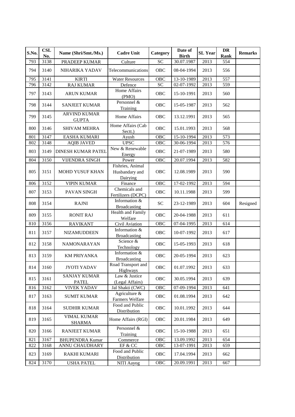| S.No. | <b>CSL</b><br>No. | Name (Shri/Smt./Ms.)                | <b>Cadre Unit</b>                              | Category   | Date of<br><b>Birth</b> | <b>SL</b> Year | <b>DR</b><br>Rank | <b>Remarks</b> |
|-------|-------------------|-------------------------------------|------------------------------------------------|------------|-------------------------|----------------|-------------------|----------------|
| 793   | 3138              | PRADEEP KUMAR                       | Culture                                        | <b>SC</b>  | 30.07.1987              | 2013           | 554               |                |
| 794   | 3140              | NIHARIKA YADAV                      | Telecommunications                             | OBC        | 08-04-1994              | 2013           | 556               |                |
| 795   | 3141              | <b>KIRTI</b>                        | <b>Water Resources</b>                         | OBC        | 13-10-1989              | 2013           | 557               |                |
| 796   | 3142              | <b>RAJ KUMAR</b>                    | Defence                                        | <b>SC</b>  | $\overline{02-07-1992}$ | 2013           | 559               |                |
| 797   | 3143              | <b>ARUN KUMAR</b>                   | Home Affairs<br>(PMO)                          | OBC        | 15-10-1991              | 2013           | 560               |                |
| 798   | 3144              | <b>SANJEET KUMAR</b>                | Personnel &<br>Training                        | <b>OBC</b> | 15-05-1987              | 2013           | 562               |                |
| 799   | 3145              | <b>ARVIND KUMAR</b><br><b>GUPTA</b> | Home Affairs                                   | <b>OBC</b> | 13.12.1991              | 2013           | 565               |                |
| 800   | 3146              | <b>SHIVAM MEHRA</b>                 | Home Affairs (Cab<br>Sectt.)                   | OBC        | 15.01.1993              | 2013           | 568               |                |
| 801   | 3147              | <b>EASHA KUMARI</b>                 | Ayush                                          | <b>OBC</b> | 15-10-1994              | 2013           | 573               |                |
| 802   | 3148              | <b>AQIB JAVED</b>                   | <b>UPSC</b>                                    | <b>OBC</b> | 30-06-1994              | 2013           | 576               |                |
| 803   | 3149              | <b>DINESH KUMAR PATEL</b>           | New & Renewable<br>Energy                      | OBC        | 21-07-1989              | 2013           | 580               |                |
| 804   | 3150              | <b>VIJENDRA SINGH</b>               | Power                                          | <b>OBC</b> | 20.07.1994              | 2013           | 582               |                |
| 805   | 3151              | <b>MOHD YUSUF KHAN</b>              | Fishries, Animal<br>Husbandary and<br>Dairving | <b>OBC</b> | 12.08.1989              | 2013           | 590               |                |
| 806   | 3152              | <b>VIPIN KUMAR</b>                  | Finance                                        | <b>OBC</b> | 17-02-1992              | 2013           | 594               |                |
| 807   | 3153              | PAVAN SINGH                         | Chemicals and<br>Fertilizers (DCPC)            | OBC        | 10.11.1988              | 2013           | 599               |                |
| 808   | 3154              | <b>RAJNI</b>                        | Information &<br><b>Broadcasting</b>           | SC         | 23-12-1989              | 2013           | 604               | Resigned       |
| 809   | 3155              | <b>RONIT RAJ</b>                    | Health and Family<br>Welfare                   | OBC        | 20-04-1988              | 2013           | 611               |                |
| 810   | 3156              | <b>RAVIKANT</b>                     | Civil Aviation                                 | OBC        | 07-04-1995              | 2013           | 614               |                |
| 811   | 3157              | NIZAMUDDEEN                         | Information &<br><b>Broadcasting</b>           | <b>OBC</b> | 10-07-1992              | 2013           | 617               |                |
| 812   | 3158              | NAMONARAYAN                         | Science &<br>Technology                        | <b>OBC</b> | 15-05-1993              | 2013           | 618               |                |
| 813   | 3159              | <b>KM PRIYANKA</b>                  | Information &<br>Broadcasting                  | <b>OBC</b> | 20-05-1994              | 2013           | 623               |                |
| 814   | 3160              | JYOTI YADAV                         | Road Transport and<br>Highways                 | OBC        | 01.07.1992              | 2013           | 633               |                |
| 815   | 3161              | <b>SANJAY KUMAR</b><br><b>PATEL</b> | Law & Justice<br>(Legal Affairs)               | OBC        | 30.05.1994              | 2013           | 639               |                |
| 816   | 3162              | <b>VIVEK YADAV</b>                  | Jal Shakti (CWC)                               | OBC        | 07-09-1994              | 2013           | 641               |                |
| 817   | 3163              | <b>SUMIT KUMAR</b>                  | Agriculture &<br>Farmers Welfare               | OBC        | 01.08.1994              | 2013           | 642               |                |
| 818   | 3164              | <b>SUDHIR KUMAR</b>                 | Food and Public<br>Distribution                | OBC        | 10.01.1992              | 2013           | 644               |                |
| 819   | 3165              | <b>VIMAL KUMAR</b><br><b>SHARMA</b> | Home Affairs (RGI)                             | OBC        | 20.01.1984              | 2013           | 649               |                |
| 820   | 3166              | <b>RANJEET KUMAR</b>                | Personnel &<br>Training                        | OBC        | 15-10-1988              | 2013           | 651               |                |
| 821   | 3167              | <b>BHUPENDRA Kumar</b>              | Commerce                                       | OBC        | 13.09.1992              | 2013           | 654               |                |
| 822   | 3168              | ANNU CHAUDHARY                      | EF & CC                                        | OBC        | 13-07-1991              | 2013           | 659               |                |
| 823   | 3169              | <b>RAKHI KUMARI</b>                 | Food and Public<br>Distribution                | OBC        | 17.04.1994              | 2013           | 662               |                |
| 824   | 3170              | <b>USHA PATEL</b>                   | NITI Aayog                                     | OBC        | 20.09.1991              | 2013           | 667               |                |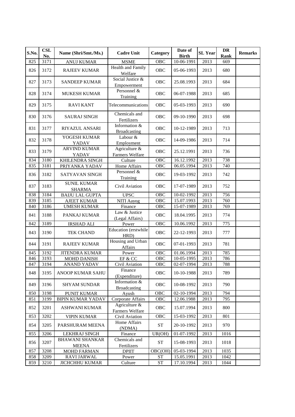| S.No. | <b>CSL</b><br>No. | Name (Shri/Smt./Ms.)                   | <b>Cadre Unit</b>                    | Category            | Date of<br><b>Birth</b> | <b>SL Year</b> | <b>DR</b><br>Rank | <b>Remarks</b> |
|-------|-------------------|----------------------------------------|--------------------------------------|---------------------|-------------------------|----------------|-------------------|----------------|
| 825   | 3171              | <b>ANUJ KUMAR</b>                      | <b>MSME</b>                          | OBC                 | 10-06-1991              | 2013           | 669               |                |
| 826   | 3172              | <b>RAJEEV KUMAR</b>                    | Health and Family<br>Welfare         | OBC                 | 05-06-1993              | 2013           | 680               |                |
| 827   | 3173              | <b>SANDEEP KUMAR</b>                   | Social Justice &<br>Empowerment      | OBC                 | 25.08.1993              | 2013           | 684               |                |
| 828   | 3174              | <b>MUKESH KUMAR</b>                    | Personnel &<br>Training              | OBC                 | 06-07-1988              | 2013           | 685               |                |
| 829   | 3175              | <b>RAVI KANT</b>                       | Telecommunications                   | <b>OBC</b>          | 05-03-1993              | 2013           | 690               |                |
| 830   | 3176              | <b>SAURAJ SINGH</b>                    | Chemicals and<br>Fertilizers         | <b>OBC</b>          | 09-10-1990              | 2013           | 698               |                |
| 831   | 3177              | RIYAZUL ANSARI                         | Information &<br><b>Broadcasting</b> | OBC                 | 10-12-1989              | 2013           | 713               |                |
| 832   | 3178              | YOGESH KUMAR<br>YADAV                  | Labour &<br>Employment               | <b>OBC</b>          | 14-09-1986              | 2013           | 714               |                |
| 833   | 3179              | <b>ARVIND KUMAR</b><br>YADAV           | Agriculture &<br>Farmers Welfare     | OBC                 | 25.12.1991              | 2013           | 736               |                |
| 834   | 3180              | KHILENDRA SINGH                        | Culture                              | <b>OBC</b>          | 16.12.1992              | 2013           | 738               |                |
| 835   | 3181              | PRIYANKA YADAV                         | Home Affairs                         | OBC                 | 06.05.1994              | 2013           | 740               |                |
| 836   | 3182              | <b>SATYAVAN SINGH</b>                  | Personnel &<br>Training              | <b>OBC</b>          | 19-03-1992              | 2013           | 742               |                |
| 837   | 3183              | <b>SUNIL KUMAR</b><br><b>SHARMA</b>    | Civil Aviation                       | OBC                 | 17-07-1989              | 2013           | 752               |                |
| 838   | 3184              | <b>BAIJU LAL GUPTA</b>                 | <b>UPSC</b>                          | OBC                 | 10-02-1992              | 2013           | 756               |                |
| 839   | 3185              | <b>AJEET KUMAR</b>                     | NITI Aayog                           | OBC                 | 15.07.1993              | 2013           | 760               |                |
| 840   | 3186              | <b>UMESH KUMAR</b>                     | Finance                              | OBC                 | 15-07-1989              | 2013           | 769               |                |
| 841   | 3188              | PANKAJ KUMAR                           | Law & Justice<br>(Legal Affairs)     | OBC                 | 18.04.1995              | 2013           | 774               |                |
| 842   | 3189              | <b>IRSHAD ALI</b>                      | Power                                | <b>OBC</b>          | 10.06.1992              | 2013           | 775               |                |
| 843   | 3190              | <b>TEK CHAND</b>                       | Education (erstwhile<br>HRD)         | OBC                 | 22-12-1993              | 2013           | 777               |                |
| 844   | 3191              | <b>RAJEEV KUMAR</b>                    | Housing and Urban<br>Affairs         | OBC                 | 07-01-1993              | 2013           | 781               |                |
| 845   | 3192              | <b>JITENDRA KUMAR</b>                  | Power                                | <b>OBC</b>          | 01.06.1994              | 2013           | 785               |                |
| 846   | 3193              | <b>MOHD DANISH</b>                     | EF & CC                              | $\overline{O}$ BC   | 10-05-1995              | 2013           | 786               |                |
| 847   | 3194              | <b>ANAND YADAV</b>                     | Civil Aviation                       | OBC                 | 02-07-1994              | 2013           | 788               |                |
| 848   | 3195              | ANOOP KUMAR SAHU                       | Finance<br>(Expenditure)             | OBC                 | 10-10-1988              | 2013           | 789               |                |
| 849   | 3196              | <b>SHYAM SUNDAR</b>                    | Information &<br><b>Broadcasting</b> | OBC                 | 10-08-1992              | 2013           | 790               |                |
| 850   | 3198              | PUNIT KUMAR                            | Ayush                                | <b>OBC</b>          | 02-10-1994              | 2013           | 794               |                |
| 851   | 3199              | <b>BIPIN KUMAR YADAV</b>               | Corporate Affairs                    | OBC                 | 12.06.1988              | 2013           | 795               |                |
| 852   | 3201              | <b>ASHWANI KUMAR</b>                   | Agriculture &<br>Farmers Welfare     | OBC                 | 15.07.1994              | 2013           | 800               |                |
| 853   | 3202              | <b>VIPIN KUMAR</b>                     | Civil Aviation                       | OBC                 | 15-03-1992              | 2013           | 801               |                |
| 854   | 3205              | PARSHURAM MEENA                        | Home Affairs<br>(NDMA)               | ${\cal S}{\cal T}$  | 20-10-1992              | 2013           | 970               |                |
| 855   | 3206              | <b>LEKHRAJ SINGH</b>                   | Finance                              | UR(OH)              | 01-07-1992              | 2013           | 1016              |                |
| 856   | 3207              | <b>BHAWANI SHANKAR</b><br><b>MEENA</b> | Chemicals and<br>Fertilizers         | <b>ST</b>           | 15-08-1993              | 2013           | 1018              |                |
| 857   | 3208              | MOHD FARMAN                            | <b>DPIIT</b>                         | OBC(OH)             | 05-03-1994              | 2013           | 1035              |                |
| 858   | 3209              | RAVI JARWAL                            | Power                                | <b>ST</b>           | 15.05.1991              | 2013           | 1042              |                |
| 859   | 3210              | <b>JICHCHHU KUMAR</b>                  | Culture                              | $\operatorname{ST}$ | 17.10.1994              | 2013           | 1044              |                |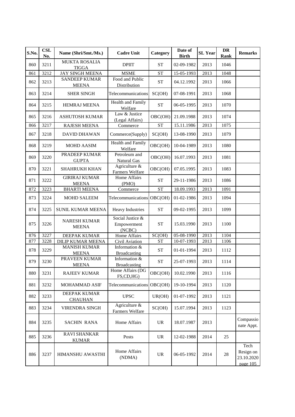| S.No. | <b>CSL</b><br>No. | Name (Shri/Smt./Ms.)                 | <b>Cadre Unit</b>                         | Category                        | Date of<br><b>Birth</b>  | <b>SL Year</b> | DR<br>Rank | <b>Remarks</b>                              |
|-------|-------------------|--------------------------------------|-------------------------------------------|---------------------------------|--------------------------|----------------|------------|---------------------------------------------|
| 860   | 3211              | <b>MUKTA ROSALIA</b><br><b>TIGGA</b> | <b>DPIIT</b>                              | <b>ST</b>                       | 02-09-1982               | 2013           | 1046       |                                             |
| 861   | 3212              | <b>JAY SINGH MEENA</b>               | <b>MSME</b>                               | <b>ST</b>                       | 15-05-1993               | 2013           | 1048       |                                             |
| 862   | 3213              | <b>SANDEEP KUMAR</b><br><b>MEENA</b> | Food and Public<br>Distribution           | <b>ST</b>                       | 04.12.1992               | 2013           | 1066       |                                             |
| 863   | 3214              | <b>SHER SINGH</b>                    | Telecommunications                        | SC(OH)                          | 07-08-1991               | 2013           | 1068       |                                             |
| 864   | 3215              | <b>HEMRAJ MEENA</b>                  | Health and Family<br>Welfare              | <b>ST</b>                       | 06-05-1995               | 2013           | 1070       |                                             |
| 865   | 3216              | <b>ASHUTOSH KUMAR</b>                | Law & Justice<br>(Legal Affairs)          | OBC(OH)                         | 21.09.1988               | 2013           | 1074       |                                             |
| 866   | 3217              | <b>RAJESH MEENA</b>                  | Commerce                                  | <b>ST</b>                       | 15.11.1986               | 2013           | 1075       |                                             |
| 867   | 3218              | <b>DAVID DHAWAN</b>                  | Commerce(Supply)                          | SC(OH)                          | 13-08-1990               | 2013           | 1079       |                                             |
| 868   | 3219              | <b>MOHD AASIM</b>                    | Health and Family<br>Welfare              | OBC(OH)                         | 10-04-1989               | 2013           | 1080       |                                             |
| 869   | 3220              | <b>PRADEEP KUMAR</b><br><b>GUPTA</b> | Petroleum and<br>Natural Gas              | OBC(OH)                         | 16.07.1993               | 2013           | 1081       |                                             |
| 870   | 3221              | SHAHRUKH KHAN                        | Agriculture &<br>Farmers Welfare          | OBC(OH)                         | 07.05.1995               | 2013           | 1083       |                                             |
| 871   | 3222              | <b>GIRIRAJ KUMAR</b><br><b>MEENA</b> | Home Affairs<br>(PMO)                     | <b>ST</b>                       | 29-11-1986               | 2013           | 1086       |                                             |
| 872   | 3223              | <b>BHARTI MEENA</b>                  | Commerce                                  | <b>ST</b>                       | 18.09.1993               | 2013           | 1091       |                                             |
| 873   | 3224              | <b>MOHD SALEEM</b>                   | Telecommunications                        | OBC(OH)                         | 01-02-1986               | 2013           | 1094       |                                             |
| 874   | 3225              | SUNIL KUMAR MEENA                    | Heavy Industries                          | <b>ST</b>                       | 09-02-1995               | 2013           | 1099       |                                             |
| 875   | 3226              | <b>NARESH KUMAR</b><br><b>MEENA</b>  | Social Justice &<br>Empowerment<br>(NCBC) | <b>ST</b>                       | 15.03.1990               | 2013           | 1100       |                                             |
| 876   | 3227              | DEEPAK KUMAR                         | Home Affairs                              | SC(OH)                          | $05 - 08 - 1990$         | 2013           | 1104       |                                             |
| 877   | 3228              | <b>DILIP KUMAR MEENA</b>             | Civil Aviation                            | <b>ST</b>                       | $\overline{10}$ -07-1993 | 2013           | 1106       |                                             |
| 878   | 3229              | <b>MANISH KUMAR</b><br><b>MEENA</b>  | Information &<br><b>Broadcasting</b>      | <b>ST</b>                       | 01-01-1994               | 2013           | 1112       |                                             |
| 879   | 3230              | PRAVEEN KUMAR<br><b>MEENA</b>        | Information &<br><b>Broadcasting</b>      | <b>ST</b>                       | 25-07-1993               | 2013           | 1114       |                                             |
| 880   | 3231              | <b>RAJEEV KUMAR</b>                  | Home Affairs (DG<br>FS,CD,HG)             | OBC(OH)                         | 10.02.1990               | 2013           | 1116       |                                             |
| 881   | 3232              | MOHAMMAD ASIF                        | Telecommunications                        | OBC(OH)                         | 19-10-1994               | 2013           | 1120       |                                             |
| 882   | 3233              | DEEPAK KUMAR<br><b>CHAUHAN</b>       | <b>UPSC</b>                               | UR(OH)                          | 01-07-1992               | 2013           | 1121       |                                             |
| 883   | 3234              | VIRENDRA SINGH                       | Agriculture &<br>Farmers Welfare          | SC(OH)                          | 15.07.1994               | 2013           | 1123       |                                             |
| 884   | 3235              | <b>SACHIN RANA</b>                   | Home Affairs                              | <b>UR</b>                       | 18.07.1987               | 2013           |            | Compassio<br>nate Appt.                     |
| 885   | 3236              | <b>RAVI SHANKAR</b><br><b>KUMAR</b>  | Posts                                     | <b>UR</b>                       | 12-02-1988               | 2014           | 25         |                                             |
| 886   | 3237              | HIMANSHU AWASTHI                     | Home Affairs<br>(NDMA)                    | $\ensuremath{\text{UR}}\xspace$ | 06-05-1992               | 2014           | 28         | Tech<br>Resign on<br>23.10.2020<br>page 105 |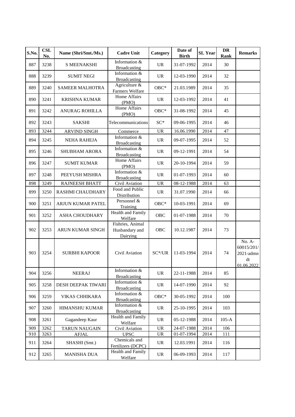| S.No. | <b>CSL</b><br>No. | Name (Shri/Smt./Ms.)   | <b>Cadre Unit</b>                              | Category                          | Date of<br><b>Birth</b>  | <b>SL Year</b> | <b>DR</b><br>Rank | <b>Remarks</b>                                        |
|-------|-------------------|------------------------|------------------------------------------------|-----------------------------------|--------------------------|----------------|-------------------|-------------------------------------------------------|
| 887   | 3238              | <b>S MEENAKSHI</b>     | Information &<br><b>Broadcasting</b>           | <b>UR</b>                         | 31-07-1992               | 2014           | 30                |                                                       |
| 888   | 3239              | <b>SUMIT NEGI</b>      | Information &<br><b>Broadcasting</b>           | <b>UR</b>                         | 12-03-1990               | 2014           | 32                |                                                       |
| 889   | 3240              | <b>SAMEER MALHOTRA</b> | Agriculture &<br>Farmers Welfare               | $OBC*$                            | 21.03.1989               | 2014           | 35                |                                                       |
| 890   | 3241              | <b>KRISHNA KUMAR</b>   | Home Affairs<br>(PMO)                          | <b>UR</b>                         | 12-03-1992               | 2014           | 41                |                                                       |
| 891   | 3242              | <b>ANURAG ROHILLA</b>  | Home Affairs<br>(PMO)                          | $OBC*$                            | 31-08-1992               | 2014           | 45                |                                                       |
| 892   | 3243              | <b>SAKSHI</b>          | Telecommunications                             | $SC*$                             | 09-06-1995               | 2014           | 46                |                                                       |
| 893   | 3244              | <b>ARVIND SINGH</b>    | Commerce                                       | <b>UR</b>                         | 16.06.1990               | 2014           | 47                |                                                       |
| 894   | 3245              | <b>NEHA RAHEJA</b>     | Information &<br><b>Broadcasting</b>           | <b>UR</b>                         | 09-07-1995               | 2014           | 52                |                                                       |
| 895   | 3246              | <b>SHUBHAM ARORA</b>   | Information &<br><b>Broadcasting</b>           | <b>UR</b>                         | 09-12-1991               | 2014           | 54                |                                                       |
| 896   | 3247              | <b>SUMIT KUMAR</b>     | Home Affairs<br>(PMO)                          | <b>UR</b>                         | 20-10-1994               | 2014           | 59                |                                                       |
| 897   | 3248              | PEEYUSH MISHRA         | Information &<br><b>Broadcasting</b>           | <b>UR</b>                         | 01-07-1993               | 2014           | 60                |                                                       |
| 898   | 3249              | RAJNEESH BHATT         | Civil Aviation                                 | <b>UR</b>                         | 08-12-1988               | 2014           | 63                |                                                       |
| 899   | 3250              | RASHMI CHAUDHARY       | Food and Public<br>Distribution                | UR                                | 31.07.1990               | 2014           | 66                |                                                       |
| 900   | 3251              | ARJUN KUMAR PATEL      | Personnel &<br>Training                        | $OBC*$                            | 10-03-1991               | 2014           | 69                |                                                       |
| 901   | 3252              | <b>ASHA CHOUDHARY</b>  | Health and Family<br>Welfare                   | OBC                               | 01-07-1988               | 2014           | 70                |                                                       |
| 902   | 3253              | ARUN KUMAR SINGH       | Fishries, Animal<br>Husbandary and<br>Dairying | OBC                               | 10.12.1987               | 2014           | 73                |                                                       |
| 903   | 3254              | <b>SURBHI KAPOOR</b>   | Civil Aviation                                 | $SC*/UR$                          | 11-03-1994               | 2014           | 74                | No. A-<br>60015/201/<br>2021-admn<br>dt<br>01.06.2022 |
| 904   | 3256              | <b>NEERAJ</b>          | Information &<br><b>Broadcasting</b>           | UR                                | 22-11-1988               | 2014           | 85                |                                                       |
| 905   | 3258              | DESH DEEPAK TIWARI     | Information &<br><b>Broadcasting</b>           | UR                                | 14-07-1990               | 2014           | 92                |                                                       |
| 906   | 3259              | <b>VIKAS CHHIKARA</b>  | Information &<br><b>Broadcasting</b>           | $OBC*$                            | 30-05-1992               | 2014           | 100               |                                                       |
| 907   | 3260              | HIMANSHU KUMAR         | Information &<br>Broadcasting                  | UR                                | 25-10-1995               | 2014           | 103               |                                                       |
| 908   | 3261              | Gagandeep Kaur         | Health and Family<br>Welfare                   | UR                                | 05-12-1988               | 2014           | $105-A$           |                                                       |
| 909   | 3262              | <b>TARUN NAUGAIN</b>   | Civil Aviation                                 | $\ensuremath{\mathsf{UR}}\xspace$ | 24-07-1988               | 2014           | 106               |                                                       |
| 910   | 3263              | AFJAL                  | <b>UPSC</b>                                    | $\ensuremath{\mathsf{UR}}\xspace$ | $\overline{01}$ -07-1994 | 2014           | 111               |                                                       |
| 911   | 3264              | SHASHI (Smt.)          | Chemicals and<br>Fertilizers (DCPC)            | <b>UR</b>                         | 12.03.1991               | 2014           | 116               |                                                       |
| 912   | 3265              | <b>MANISHA DUA</b>     | Health and Family<br>Welfare                   | UR                                | 06-09-1993               | 2014           | 117               |                                                       |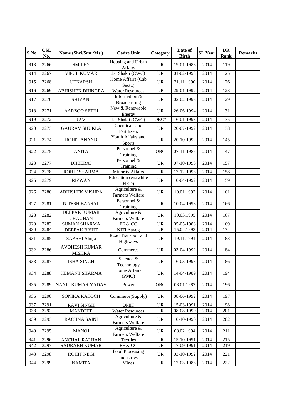| S.No. | <b>CSL</b><br>No. | Name (Shri/Smt./Ms.)                  | <b>Cadre Unit</b>                    | Category                          | Date of<br><b>Birth</b>     | <b>SL Year</b> | <b>DR</b><br>Rank | <b>Remarks</b> |
|-------|-------------------|---------------------------------------|--------------------------------------|-----------------------------------|-----------------------------|----------------|-------------------|----------------|
| 913   | 3266              | <b>SMILEY</b>                         | Housing and Urban<br>Affairs         | <b>UR</b>                         | 19-01-1988                  | 2014           | 119               |                |
| 914   | 3267              | <b>VIPUL KUMAR</b>                    | Jal Shakti (CWC)                     | <b>UR</b>                         | 01-02-1993                  | 2014           | 125               |                |
| 915   | 3268              | <b>UTKARSH</b>                        | Home Affairs (Cab<br>Sectt.)         | <b>UR</b>                         | 21.11.1990                  | 2014           | 126               |                |
| 916   | 3269              | <b>ABHISHEK DHINGRA</b>               | <b>Water Resources</b>               | <b>UR</b>                         | $29-01-1992$                | 2014           | 128               |                |
| 917   | 3270              | <b>SHIVANI</b>                        | Information &<br><b>Broadcasting</b> | <b>UR</b>                         | 02-02-1996                  | 2014           | 129               |                |
| 918   | 3271              | <b>AARZOO SETHI</b>                   | New & Renewable<br>Energy            | <b>UR</b>                         | 26-06-1994                  | 2014           | 131               |                |
| 919   | 3272              | <b>RAVI</b>                           | Jal Shakti (CWC)                     | $OBC*$                            | 16-01-1993                  | 2014           | 135               |                |
| 920   | 3273              | <b>GAURAV SHUKLA</b>                  | Chemicals and<br>Fertilizers         | <b>UR</b>                         | 20-07-1992                  | 2014           | 138               |                |
| 921   | 3274              | <b>ROHIT ANAND</b>                    | Youth Affairs and<br><b>Sports</b>   | <b>UR</b>                         | 20-10-1992                  | 2014           | 145               |                |
| 922   | 3275              | <b>ANITA</b>                          | Personnel &<br>Training              | <b>OBC</b>                        | 07-11-1985                  | 2014           | 147               |                |
| 923   | 3277              | <b>DHEERAJ</b>                        | Personnel &<br>Training              | <b>UR</b>                         | 07-10-1993                  | 2014           | 157               |                |
| 924   | 3278              | ROHIT SHARMA                          | <b>Minority Affairs</b>              | <b>UR</b>                         | 17-12-1993                  | 2014           | 158               |                |
| 925   | 3279              | <b>RIZWAN</b>                         | Education (erstwhile<br>HRD)         | $\ensuremath{\mathsf{UR}}\xspace$ | 10-04-1992                  | 2014           | 159               |                |
| 926   | 3280              | <b>ABHISHEK MISHRA</b>                | Agriculture &<br>Farmers Welfare     | <b>UR</b>                         | 19.01.1993                  | 2014           | 161               |                |
| 927   | 3281              | NITESH BANSAL                         | Personnel &<br>Training              | <b>UR</b>                         | 10-04-1993                  | 2014           | 166               |                |
| 928   | 3282              | DEEPAK KUMAR<br><b>CHAUHAN</b>        | Agriculture &<br>Farmers Welfare     | <b>UR</b>                         | 10.03.1995                  | 2014           | 167               |                |
| 929   | 3283              | <b>SUMAN SHARMA</b>                   | EF & CC                              | <b>UR</b>                         | 05-05-1988                  | 2014           | 169               |                |
| 930   | 3284              | DEEPAK BISHT                          | NITI Aayog                           | $\ensuremath{\mathrm{UR}}\xspace$ | 15.04.1993                  | 2014           | 174               |                |
| 931   | 3285              | SAKSHI Ahuja                          | Road Transport and<br>Highways       | <b>UR</b>                         | 19.11.1991                  | 2014           | 183               |                |
| 932   | 3286              | <b>AVDHESH KUMAR</b><br><b>MISHRA</b> | Commerce                             | <b>UR</b>                         | 03-04-1992                  | 2014           | 184               |                |
| 933   | 3287              | <b>ISHA SINGH</b>                     | Science &<br>Technology              | <b>UR</b>                         | 16-03-1993                  | 2014           | 186               |                |
| 934   | 3288              | HEMANT SHARMA                         | Home Affairs<br>(PMO)                | UR                                | 14-04-1989                  | 2014           | 194               |                |
| 935   | 3289              | <b>NANIL KUMAR YADAV</b>              | Power                                | OBC                               | 08.01.1987                  | 2014           | 196               |                |
| 936   | 3290              | SONIKA KATOCH                         | Commerce(Supply)                     | UR                                | 08-06-1992                  | 2014           | 197               |                |
| 937   | 3291              | <b>RAVI SINGH</b>                     | <b>DPIIT</b>                         | UR                                | 15-03-1991                  | 2014           | 198               |                |
| 938   | 3292              | <b>MANDEEP</b>                        | <b>Water Resources</b>               | $\ensuremath{\mathsf{UR}}\xspace$ | $\overline{0}8 - 08 - 1990$ | 2014           | 201               |                |
| 939   | 3293              | <b>RACHNA SAINI</b>                   | Agriculture &<br>Farmers Welfare     | <b>UR</b>                         | 10-10-1990                  | 2014           | 202               |                |
| 940   | 3295              | <b>MANOJ</b>                          | Agriculture &<br>Farmers Welfare     | UR                                | 08.02.1994                  | 2014           | 211               |                |
| 941   | 3296              | <b>ANCHAL RALHAN</b>                  | Textiles                             | $\ensuremath{\mathsf{UR}}\xspace$ | 15-10-1991                  | 2014           | 215               |                |
| 942   | 3297              | <b>SAURABH KUMAR</b>                  | $EF \& CC$                           | $\ensuremath{\mathsf{UR}}\xspace$ | 17-09-1991                  | 2014           | 219               |                |
| 943   | 3298              | <b>ROHIT NEGI</b>                     | Food Processing<br>Industries        | UR                                | 03-10-1992                  | 2014           | 221               |                |
| 944   | 3299              | <b>NAMITA</b>                         | <b>Mines</b>                         | UR                                | 12-03-1988                  | 2014           | $222\,$           |                |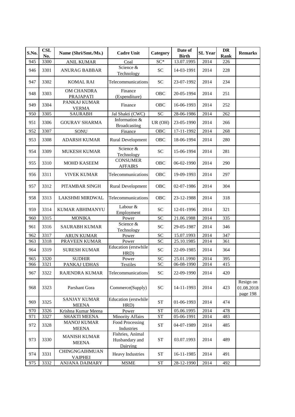| S.No. | <b>CSL</b><br>No. | Name (Shri/Smt./Ms.)                | <b>Cadre Unit</b>                              | Category           | Date of<br><b>Birth</b> | <b>SL Year</b> | DR<br><b>Rank</b> | <b>Remarks</b>                      |
|-------|-------------------|-------------------------------------|------------------------------------------------|--------------------|-------------------------|----------------|-------------------|-------------------------------------|
| 945   | 3300              | <b>ANIL KUMAR</b>                   | Coal                                           | $SC*$              | 13.07.1995              | 2014           | 226               |                                     |
| 946   | 3301              | <b>ANURAG BABBAR</b>                | Science &<br>Technology                        | <b>SC</b>          | 14-03-1991              | 2014           | 228               |                                     |
| 947   | 3302              | <b>KOMAL RAI</b>                    | Telecommunications                             | <b>SC</b>          | 23-07-1992              | 2014           | 234               |                                     |
| 948   | 3303              | OM CHANDRA<br>PRAJAPATI             | Finance<br>(Expenditure)                       | <b>OBC</b>         | 20-05-1994              | 2014           | 251               |                                     |
| 949   | 3304              | PANKAJ KUMAR<br><b>VERMA</b>        | Finance                                        | <b>OBC</b>         | 16-06-1993              | 2014           | 252               |                                     |
| 950   | 3305              | <b>SAURABH</b>                      | Jal Shakti (CWC)                               | SC                 | 28-06-1986              | 2014           | $\overline{262}$  |                                     |
| 951   | 3306              | <b>GOURAV SHARMA</b>                | Information &<br><b>Broadcasting</b>           | UR (OH)            | 23-05-1990              | 2014           | 266               |                                     |
| 952   | 3307              | SONU                                | Finance                                        | OBC                | 17-11-1992              | 2014           | 268               |                                     |
| 953   | 3308              | <b>ADARSH KUMAR</b>                 | <b>Rural Development</b>                       | <b>OBC</b>         | 18-06-1994              | 2014           | 280               |                                     |
| 954   | 3309              | <b>MUKESH KUMAR</b>                 | Science &<br>Technology                        | <b>SC</b>          | 15-06-1994              | 2014           | 281               |                                     |
| 955   | 3310              | MOHD KASEEM                         | <b>CONSUMER</b><br><b>AFFAIRS</b>              | OBC                | 06-02-1990              | 2014           | 290               |                                     |
| 956   | 3311              | <b>VIVEK KUMAR</b>                  | Telecommunications                             | OBC                | 19-09-1993              | 2014           | 297               |                                     |
| 957   | 3312              | PITAMBAR SINGH                      | <b>Rural Development</b>                       | <b>OBC</b>         | 02-07-1986              | 2014           | 304               |                                     |
| 958   | 3313              | LAKSHMI MIRDWAL                     | Telecommunications                             | <b>OBC</b>         | 23-12-1988              | 2014           | 318               |                                     |
| 959   | 3314              | KUMAR ABHIMANYU                     | Labour &<br>Employment                         | <b>SC</b>          | 12-01-1996              | 2014           | 321               |                                     |
| 960   | 3315              | <b>MONIKA</b>                       | Power                                          | <b>SC</b>          | 21.06.1988              | 2014           | 335               |                                     |
| 961   | 3316              | <b>SAURABH KUMAR</b>                | Science &<br>Technology                        | <b>SC</b>          | 29-05-1987              | 2014           | 346               |                                     |
| 962   | 3317              | <b>ARUN KUMAR</b>                   | Power                                          | <b>SC</b>          | 15.07.1993              | 2014           | 347               |                                     |
| 963   | 3318              | PRAVEEN KUMAR                       | Power                                          | SC                 | 25.10.1985              | 2014           | 361               |                                     |
| 964   | 3319              | <b>SURESH KUMAR</b>                 | Education (erstwhile<br>HRD)                   | <b>SC</b>          | 22-09-1985              | 2014           | 364               |                                     |
| 965   | 3320              | <b>SUDHIR</b>                       | Power                                          | SC                 | 25.01.1990              | 2014           | 395               |                                     |
| 966   | 3321              | PANKAJ UDHAS                        | Textiles                                       | SC                 | 06-08-1990              | 2014           | 415               |                                     |
| 967   | 3322              | RAJENDRA KUMAR                      | Telecommunications                             | <b>SC</b>          | 22-09-1990              | 2014           | 420               |                                     |
| 968   | 3323              | Parshant Gora                       | Commerce(Supply)                               | <b>SC</b>          | 14-11-1993              | 2014           | 423               | Resign on<br>01.08.2018<br>page 198 |
| 969   | 3325              | <b>SANJAY KUMAR</b><br><b>MEENA</b> | Education (erstwhile<br>HRD)                   | <b>ST</b>          | 01-06-1993              | 2014           | 474               |                                     |
| 970   | 3326              | Krishna Kumar Meena                 | Power                                          | <b>ST</b>          | 05.06.1995              | 2014           | 478               |                                     |
| 971   | 3327              | <b>SHAKTI MEENA</b>                 | <b>Minority Affairs</b>                        | <b>ST</b>          | 05-06-1991              | 2014           | 483               |                                     |
| 972   | 3328              | <b>MANOJ KUMAR</b><br><b>MEENA</b>  | Food Processing<br>Industries                  | <b>ST</b>          | 04-07-1989              | 2014           | 485               |                                     |
| 973   | 3330              | <b>MANISH KUMAR</b><br><b>MEENA</b> | Fishries, Animal<br>Husbandary and<br>Dairying | ${\cal S}{\cal T}$ | 03.07.1993              | 2014           | 489               |                                     |
| 974   | 3331              | CHINGNGAIHMUAN<br><b>VAIPHEI</b>    | <b>Heavy Industries</b>                        | <b>ST</b>          | 16-11-1985              | 2014           | 491               |                                     |
| 975   | 3332              | ANJANA DAIMARY                      | <b>MSME</b>                                    | ${\cal S}{\cal T}$ | 28-12-1990              | 2014           | 492               |                                     |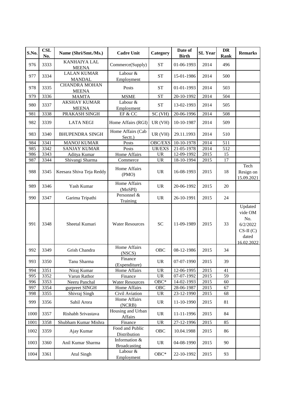| S.No. | <b>CSL</b><br>No. | Name (Shri/Smt./Ms.)                 | <b>Cadre Unit</b>                    | Category                          | Date of<br><b>Birth</b> | <b>SL</b> Year | <b>DR</b><br>Rank | <b>Remarks</b>                                                             |
|-------|-------------------|--------------------------------------|--------------------------------------|-----------------------------------|-------------------------|----------------|-------------------|----------------------------------------------------------------------------|
| 976   | 3333              | <b>KANHAIYA LAL</b><br><b>MEENA</b>  | Commerce(Supply)                     | <b>ST</b>                         | 01-06-1993              | 2014           | 496               |                                                                            |
| 977   | 3334              | <b>LALAN KUMAR</b><br><b>MANDAL</b>  | Labour &<br>Employment               | <b>ST</b>                         | 15-01-1986              | 2014           | 500               |                                                                            |
| 978   | 3335              | <b>CHANDRA MOHAN</b><br><b>MEENA</b> | Posts                                | <b>ST</b>                         | 01-01-1993              | 2014           | 503               |                                                                            |
| 979   | 3336              | <b>MAMTA</b>                         | <b>MSME</b>                          | <b>ST</b>                         | 20-10-1992              | 2014           | 504               |                                                                            |
| 980   | 3337              | <b>AKSHAY KUMAR</b><br><b>MEENA</b>  | Labour &<br>Employment               | <b>ST</b>                         | 13-02-1993              | 2014           | 505               |                                                                            |
| 981   | 3338              | PRAKASH SINGH                        | EF & CC                              | SC (VH)                           | 20-06-1996              | 2014           | 508               |                                                                            |
| 982   | 3339              | <b>LATA NEGI</b>                     | Home Affairs (RGI)                   | UR(VH)                            | 10-10-1987              | 2014           | 509               |                                                                            |
| 983   | 3340              | <b>BHUPENDRA SINGH</b>               | Home Affairs (Cab<br>Sectt.)         | UR (VH)                           | 29.11.1993              | 2014           | 510               |                                                                            |
| 984   | 3341              | <b>MANOJ KUMAR</b>                   | Posts                                | OBC/EXS                           | 10-10-1978              | 2014           | 511               |                                                                            |
| 985   | 3342              | <b>SANJAY KUMAR</b>                  | Posts                                | <b>UR/EXS</b>                     | 21-05-1978              | 2014           | 512               |                                                                            |
| 986   | 3343              | Aditya Kumar                         | Home Affairs                         | <b>UR</b>                         | 12-09-1992              | 2015           | 15                |                                                                            |
| 987   | 3344              | Shivangi Sharma                      | Commerce                             | <b>UR</b>                         | 18-10-1994              | 2015           | 17                |                                                                            |
| 988   | 3345              | Keesara Shiva Teja Reddy             | Home Affairs<br>(PMO)                | <b>UR</b>                         | 16-08-1993              | 2015           | 18                | Tech<br>Resign on<br>15.09.2021                                            |
| 989   | 3346              | Yash Kumar                           | Home Affairs<br>(MoSPI)              | <b>UR</b>                         | 20-06-1992              | 2015           | 20                |                                                                            |
| 990   | 3347              | Garima Tripathi                      | Personnel $\&$<br>Training           | <b>UR</b>                         | 26-10-1991              | 2015           | 24                |                                                                            |
| 991   | 3348              | Sheetal Kumari                       | <b>Water Resources</b>               | <b>SC</b>                         | 11-09-1989              | 2015           | 33                | Updated<br>vide OM<br>No.<br>6/2/2022<br>$CS-II(C)$<br>dated<br>16.02.2022 |
| 992   | 3349              | Grish Chandra                        | Home Affairs<br>(NSCS)               | <b>OBC</b>                        | 08-12-1986              | 2015           | 34                |                                                                            |
| 993   | 3350              | Tanu Sharma                          | Finance<br>(Expenditure)             | <b>UR</b>                         | 07-07-1990              | 2015           | 39                |                                                                            |
| 994   | 3351              | Niraj Kumar                          | Home Affairs                         | <b>UR</b>                         | $12-06-1995$            | 2015           | 41                |                                                                            |
| 995   | 3352              | Varun Rathor                         | Finance                              | <b>UR</b>                         | 07-07-1992              | 2015           | 59                |                                                                            |
| 996   | 3353              | Neeru Panchal                        | <b>Water Resources</b>               | $OBC*$                            | $14-02-1993$            | 2015           | 60                |                                                                            |
| 997   | 3354              | gurpreet SINGH                       | Home Affairs                         | OBC                               | 28-06-1987              | 2015           | 67                |                                                                            |
| 998   | 3355              | Shivraj Singh                        | Civil Aviation                       | $\ensuremath{\mathsf{UR}}\xspace$ | 23-12-1990              | 2015           | 68                |                                                                            |
| 999   | 3356              | Sahil Arora                          | Home Affairs<br>(NCRB)               | <b>UR</b>                         | 11-10-1990              | 2015           | 81                |                                                                            |
| 1000  | 3357              | Rishabh Srivastava                   | Housing and Urban<br>Affairs         | <b>UR</b>                         | 11-11-1996              | 2015           | 84                |                                                                            |
| 1001  | 3358              | Shubham Kumar Mishra                 | Finance                              | <b>UR</b>                         | 27-12-1996              | 2015           | 85                |                                                                            |
| 1002  | 3359              | Ajay Kumar                           | Food and Public<br>Distribution      | OBC                               | 10.04.1988              | 2015           | 86                |                                                                            |
| 1003  | 3360              | Anil Kumar Sharma                    | Information &<br><b>Broadcasting</b> | <b>UR</b>                         | 04-08-1990              | 2015           | 90                |                                                                            |
| 1004  | 3361              | <b>Atul Singh</b>                    | Labour &<br>Employment               | ${\rm OBC^*}$                     | 22-10-1992              | 2015           | 93                |                                                                            |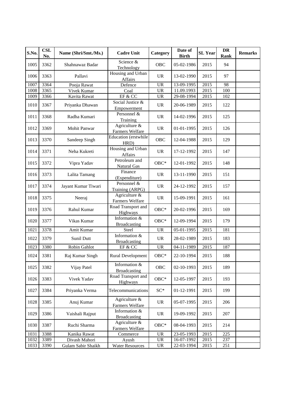| S.No. | <b>CSL</b><br>No. | Name (Shri/Smt./Ms.) | <b>Cadre Unit</b>                    | Category                          | Date of<br><b>Birth</b> | <b>SL</b> Year | <b>DR</b><br>Rank | <b>Remarks</b> |
|-------|-------------------|----------------------|--------------------------------------|-----------------------------------|-------------------------|----------------|-------------------|----------------|
| 1005  | 3362              | Shahnawaz Badar      | Science &<br>Technology              | <b>OBC</b>                        | 05-02-1986              | 2015           | 94                |                |
| 1006  | 3363              | Pallavi              | Housing and Urban<br>Affairs         | <b>UR</b>                         | 13-02-1990              | 2015           | 97                |                |
| 1007  | 3364              | Pooja Rawat          | Defence                              | <b>UR</b>                         | 13-09-1995              | 2015           | 98                |                |
| 1008  | 3365              | Vivek Kumar          | Coal                                 | <b>UR</b>                         | 11.09.1993              | 2015           | 100               |                |
| 1009  | 3366              | Kavita Rawat         | EF & CC                              | <b>UR</b>                         | 29-08-1994              | 2015           | 102               |                |
| 1010  | 3367              | Priyanka Dhawan      | Social Justice &<br>Empowerment      | <b>UR</b>                         | 20-06-1989              | 2015           | 122               |                |
| 1011  | 3368              | Radha Kumari         | Personnel &<br>Training              | <b>UR</b>                         | 14-02-1996              | 2015           | 125               |                |
| 1012  | 3369              | Mohit Panwar         | Agriculture &<br>Farmers Welfare     | <b>UR</b>                         | 01-01-1995              | 2015           | 126               |                |
| 1013  | 3370              | Sandeep Singh        | Education (erstwhile<br>HRD)         | <b>OBC</b>                        | 12-04-1988              | 2015           | 129               |                |
| 1014  | 3371              | Neha Kukreti         | Housing and Urban<br>Affairs         | <b>UR</b>                         | 17-12-1992              | 2015           | 147               |                |
| 1015  | 3372              | Vipra Yadav          | Petroleum and<br>Natural Gas         | $OBC*$                            | 12-01-1992              | 2015           | 148               |                |
| 1016  | 3373              | Lalita Tamang        | Finance<br>(Expenditure)             | <b>UR</b>                         | 13-11-1990              | 2015           | 151               |                |
| 1017  | 3374              | Jayant Kumar Tiwari  | Personnel &<br>Training (ARPG)       | <b>UR</b>                         | 24-12-1992              | 2015           | 157               |                |
| 1018  | 3375              | Neeraj               | Agriculture &<br>Farmers Welfare     | <b>UR</b>                         | 15-09-1991              | 2015           | 161               |                |
| 1019  | 3376              | Rahul Kumar          | Road Transport and<br>Highways       | $OBC*$                            | 20-02-1996              | 2015           | 169               |                |
| 1020  | 3377              | Vikas Kumar          | Information &<br><b>Broadcasting</b> | $OBC*$                            | 12-09-1994              | 2015           | 179               |                |
| 1021  | 3378              | Amit Kumar           | Steel                                | $\ensuremath{\mathrm{UR}}\xspace$ | 05-01-1995              | 2015           | 181               |                |
| 1022  | 3379              | Sunil Dutt           | Information &<br><b>Broadcasting</b> | <b>UR</b>                         | 28-02-1989              | 2015           | 183               |                |
| 1023  | 3380              | Robin Gahlot         | EF & CC                              | $\ensuremath{\mathrm{UR}}\xspace$ | 04-11-1989              | 2015           | 187               |                |
| 1024  | 3381              | Raj Kumar Singh      | <b>Rural Development</b>             | $OBC*$                            | 22-10-1994              | 2015           | 188               |                |
| 1025  | 3382              | Vijay Patel          | Information &<br><b>Broadcasting</b> | OBC                               | 02-10-1993              | 2015           | 189               |                |
| 1026  | 3383              | Vivek Yadav          | Road Transport and<br>Highways       | $OBC*$                            | 12-05-1997              | 2015           | 193               |                |
| 1027  | 3384              | Priyanka Verma       | Telecommunications                   | $SC^*$                            | 01-12-1991              | 2015           | 199               |                |
| 1028  | 3385              | Anuj Kumar           | Agriculture &<br>Farmers Welfare     | <b>UR</b>                         | 05-07-1995              | 2015           | 206               |                |
| 1029  | 3386              | Vaishali Rajput      | Information &<br><b>Broadcasting</b> | UR                                | 19-09-1992              | 2015           | 207               |                |
| 1030  | 3387              | Ruchi Sharma         | Agriculture &<br>Farmers Welfare     | $OBC*$                            | 08-04-1993              | 2015           | 214               |                |
| 1031  | 3388              | Kanika Rawat         | Commerce                             | UR                                | 23-05-1993              | 2015           | 225               |                |
| 1032  | 3389              | Divash Mahori        | Ayush                                | $\ensuremath{\mathsf{UR}}\xspace$ | 16-07-1992              | 2015           | 237               |                |
| 1033  | 3390              | Gulam Sabir Shaikh   | <b>Water Resources</b>               | $\ensuremath{\mathsf{UR}}\xspace$ | 22-03-1994              | 2015           | 251               |                |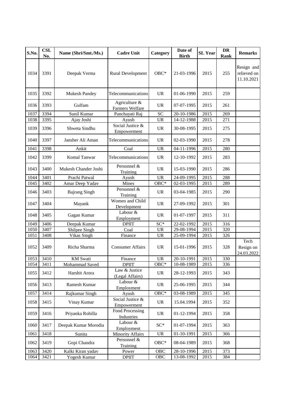| S.No. | <b>CSL</b><br>No. | Name (Shri/Smt./Ms.) | <b>Cadre Unit</b>                | Category                          | Date of<br><b>Birth</b> | <b>SL Year</b> | <b>DR</b><br>Rank | <b>Remarks</b>                          |
|-------|-------------------|----------------------|----------------------------------|-----------------------------------|-------------------------|----------------|-------------------|-----------------------------------------|
| 1034  | 3391              | Deepak Verma         | <b>Rural Development</b>         | $OBC*$                            | 21-03-1996              | 2015           | 255               | Resign and<br>relieved on<br>11.10.2021 |
| 1035  | 3392              | <b>Mukesh Pandey</b> | Telecommunications               | <b>UR</b>                         | 01-06-1990              | 2015           | 259               |                                         |
| 1036  | 3393              | Gulfam               | Agriculture &<br>Farmers Welfare | <b>UR</b>                         | 07-07-1995              | 2015           | 261               |                                         |
| 1037  | 3394              | Sunil Kumar          | Panchayati Raj                   | <b>SC</b>                         | 20-10-1986              | 2015           | 269               |                                         |
| 1038  | 3395              | Ajay Joshi           | Ayush                            | <b>UR</b>                         | 14-12-1988              | 2015           | 271               |                                         |
| 1039  | 3396              | Shweta Sindhu        | Social Justice &<br>Empowerment  | <b>UR</b>                         | 30-08-1995              | 2015           | 275               |                                         |
| 1040  | 3397              | Jansher Ali Aman     | Telecommunications               | <b>UR</b>                         | 02-03-1990              | 2015           | 278               |                                         |
| 1041  | 3398              | Ankit                | Coal                             | <b>UR</b>                         | 04-11-1996              | 2015           | 280               |                                         |
| 1042  | 3399              | Komal Tanwar         | Telecommunications               | <b>UR</b>                         | 12-10-1992              | 2015           | 283               |                                         |
| 1043  | 3400              | Mukesh Chander Joshi | Personnel &<br>Training          | <b>UR</b>                         | 15-03-1990              | 2015           | 286               |                                         |
| 1044  | 3401              | Prachi Patwal        | Ayush                            | <b>UR</b>                         | 24-09-1995              | 2015           | 288               |                                         |
| 1045  | 3402              | Amar Deep Yadav      | Mines                            | $OBC*$                            | 02-03-1995              | 2015           | 289               |                                         |
| 1046  | 3403              | <b>Bajrang Singh</b> | Personnel &<br>Training          | <b>UR</b>                         | 03-04-1985              | 2015           | 290               |                                         |
| 1047  | 3404              | Mayank               | Women and Child<br>Development   | <b>UR</b>                         | 27-09-1992              | 2015           | 301               |                                         |
| 1048  | 3405              | Gagan Kumar          | Labour &<br>Employment           | <b>UR</b>                         | 01-07-1997              | 2015           | 311               |                                         |
| 1049  | 3406              | Deepak Kumar         | <b>DPIIT</b>                     | SC*                               | 22-02-1992              | 2015           | 316               |                                         |
| 1050  | 3407              | Shilpee Singh        | Coal                             | <b>UR</b>                         | 29-08-1994              | 2015           | 320               |                                         |
| 1051  | 3408              | Vikas Singh          | Finance                          | <b>UR</b>                         | 25-09-1994              | 2015           | 326               |                                         |
| 1052  | 3409              | Richa Sharma         | <b>Consumer Affairs</b>          | <b>UR</b>                         | 15-01-1996              | 2015           | 328               | Tech<br>Resign on<br>24.03.2022         |
| 1053  | 3410              | <b>KM</b> Swati      | Finance                          | <b>UR</b>                         | 20-10-1991              | 2015           | 330               |                                         |
| 1054  | 3411              | Mohammad Saved       | <b>DPIIT</b>                     | OBC*                              | 10-08-1989              | 2015           | 336               |                                         |
| 1055  | 3412              | Harshit Arora        | Law & Justice<br>(Legal Affairs) | $\ensuremath{\text{UR}}\xspace$   | 28-12-1993              | 2015           | 343               |                                         |
| 1056  | 3413              | Ramesh Kumar         | Labour &<br>Employment           | UR                                | 25-06-1995              | 2015           | 344               |                                         |
| 1057  | 3414              | Rajkumar Singh       | Ayush                            | OBC*                              | $03-08-1989$            | 2015           | 345               |                                         |
| 1058  | 3415              | Vinay Kumar          | Social Justice &<br>Empowerment  | UR                                | 15.04.1994              | 2015           | 352               |                                         |
| 1059  | 3416              | Priyanka Rohilla     | Food Processing<br>Industries    | <b>UR</b>                         | 01-12-1994              | 2015           | 358               |                                         |
| 1060  | 3417              | Deepak Kumar Morodia | Labour &<br>Employment           | $SC^*$                            | 01-07-1994              | 2015           | 363               |                                         |
| 1061  | 3418              | Sunita               | <b>Minority Affairs</b>          | $\ensuremath{\mathsf{UR}}\xspace$ | 01-10-1991              | 2015           | 366               |                                         |
| 1062  | 3419              | Gopi Chandra         | Personnel &<br>Training          | $OBC*$                            | 08-04-1989              | 2015           | 368               |                                         |
| 1063  | 3420              | Kalki Kiran yadav    | Power                            | OBC                               | 28-10-1996              | 2015           | 373               |                                         |
| 1064  | 3421              | Yogesh Kumar         | <b>DPIIT</b>                     | OBC                               | $13-08-1992$            | 2015           | 384               |                                         |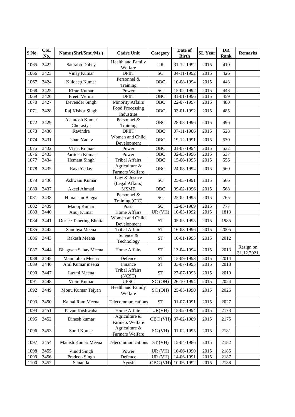| S.No. | <b>CSL</b><br>No. | Name (Shri/Smt./Ms.)        | <b>Cadre Unit</b>                | Category             | Date of<br><b>Birth</b> | <b>SL Year</b>    | <b>DR</b><br>Rank | <b>Remarks</b>          |
|-------|-------------------|-----------------------------|----------------------------------|----------------------|-------------------------|-------------------|-------------------|-------------------------|
| 1065  | 3422              | Saurabh Dubey               | Health and Family<br>Welfare     | <b>UR</b>            | 31-12-1992              | 2015              | 410               |                         |
| 1066  | 3423              | Vinay Kumar                 | <b>DPIIT</b>                     | <b>SC</b>            | 04-11-1992              | 2015              | 426               |                         |
| 1067  | 3424              | Kuldeep Kumar               | Personnel &<br>Training          | <b>OBC</b>           | 10-08-1994              | 2015              | 443               |                         |
| 1068  | 3425              | Kiran Kumar                 | Power                            | <b>SC</b>            | 15-02-1992              | 2015              | 448               |                         |
| 1069  | 3426              | Preeti Verma                | <b>DPIIT</b>                     | OBC                  | $31 - 01 - 1996$        | 2015              | 459               |                         |
| 1070  | 3427              | Devender Singh              | <b>Minority Affairs</b>          | OBC                  | 22-07-1997              | 2015              | 480               |                         |
| 1071  | 3428              | Raj Kishor Singh            | Food Processing<br>Industries    | <b>OBC</b>           | 03-01-1992              | 2015              | 485               |                         |
| 1072  | 3429              | Ashutosh Kumar<br>Chorasiya | Personnel &<br>Training          | <b>OBC</b>           | 28-08-1996              | 2015              | 496               |                         |
| 1073  | 3430              | Ravindra                    | <b>DPIIT</b>                     | <b>OBC</b>           | 07-11-1986              | 2015              | 528               |                         |
| 1074  | 3431              | Ishan Yadav                 | Women and Child<br>Development   | <b>OBC</b>           | 19-12-1991              | 2015              | 530               |                         |
| 1075  | 3432              | Vikas Kumar                 | Power                            | OBC                  | 01-07-1994              | $\overline{2}015$ | 532               |                         |
| 1076  | 3433              | Paritosh Kumar              | Power                            | <b>OBC</b>           | $02 - 03 - 1996$        | 2015              | 537               |                         |
| 1077  | 3434              | Hemant Singh                | <b>Tribal Affairs</b>            | OBC                  | 15-06-1995              | 2015              | 556               |                         |
| 1078  | 3435              | Ravi Yadav                  | Agriculture &<br>Farmers Welfare | <b>OBC</b>           | 24-08-1994              | 2015              | 560               |                         |
| 1079  | 3436              | Ashwani Kumar               | Law & Justice<br>(Legal Affairs) | <b>SC</b>            | 25-03-1991              | 2015              | 566               |                         |
| 1080  | 3437              | Akeel Ahmad                 | <b>MSME</b>                      | <b>OBC</b>           | 09-02-1996              | 2015              | 568               |                         |
| 1081  | 3438              | Himanshu Bagga              | Personnel &<br>Training (CIC)    | <b>SC</b>            | 25-02-1995              | 2015              | 765               |                         |
| 1082  | 3439              | Manoj Kumar                 | Posts                            | $\overline{SC}$      | 12-05-1989              | 2015              | 777               |                         |
| 1083  | 3440              | Anuj Kumar                  | Home Affairs                     | UR (VH)              | 10-03-1992              | 2015              | 1813              |                         |
| 1084  | 3441              | Dorjee Tshering Bhutia      | Women and Child<br>Development   | <b>ST</b>            | 05-05-1995              | 2015              | 1985              |                         |
| 1085  | 3442              | Sandhya Meena               | <b>Tribal Affairs</b>            | <b>ST</b>            | 16-03-1996              | 2015              | 2005              |                         |
| 1086  | 3443              | Rakesh Meena                | Science &<br>Technology          | <b>ST</b>            | 10-01-1995              | 2015              | 2012              |                         |
| 1087  | 3444              | Bhagwan Sahay Meena         | Home Affairs                     | <b>ST</b>            | 13-04-1994              | 2015              | 2013              | Resign on<br>31.12.2021 |
| 1088  | 3445              | Manmohan Meena              | Defence                          | <b>ST</b>            | 15-09-1993              | 2015              | 2014              |                         |
| 1089  | 3446              | Anil Kumar meena            | Finance                          | <b>ST</b>            | 03-07-1995              | 2015              | 2018              |                         |
| 1090  | 3447              | Laxmi Meena                 | <b>Tribal Affairs</b><br>(NCST)  | ST                   | 27-07-1993              | 2015              | 2019              |                         |
| 1091  | 3448              | Vipin Kumar                 | <b>UPSC</b>                      | $\overline{SC}$ (OH) | 26-10-1994              | 2015              | 2024              |                         |
| 1092  | 3449              | Monu Kumar Tejyan           | Health and Family<br>Welfare     | SC (OH)              | 25-05-1990              | 2015              | 2026              |                         |
| 1093  | 3450              | Kamal Ram Meena             | Telecommunications               | <b>ST</b>            | 01-07-1991              | 2015              | 2027              |                         |
| 1094  | 3451              | Pavan Kushwaha              | Home Affairs                     | UR(VH)               | 15-02-1994              | 2015              | 2173              |                         |
| 1095  | 3452              | Dinesh kumar                | Agriculture &<br>Farmers Welfare | OBC (VH)             | 07-02-1989              | 2015              | 2175              |                         |
| 1096  | 3453              | Sunil Kumar                 | Agriculture &<br>Farmers Welfare | SC(VH)               | 01-02-1995              | 2015              | 2181              |                         |
| 1097  | 3454              | Manish Kumar Meena          | Telecommunications               | ST (VH)              | 15-04-1986              | 2015              | 2182              |                         |
| 1098  | 3455              | Vinod Singh                 | Power                            | UR (VH)              | 16-06-1990              | 2015              | 2185              |                         |
| 1099  | 3456              | Pradeep Singh               | Defence                          | UR (VH)              | 14-06-1991              | 2015              | 2187              |                         |
| 1100  | 3457              | Sanaulla                    | Ayush                            |                      | OBC (VH) 10-06-1992     | 2015              | 2188              |                         |